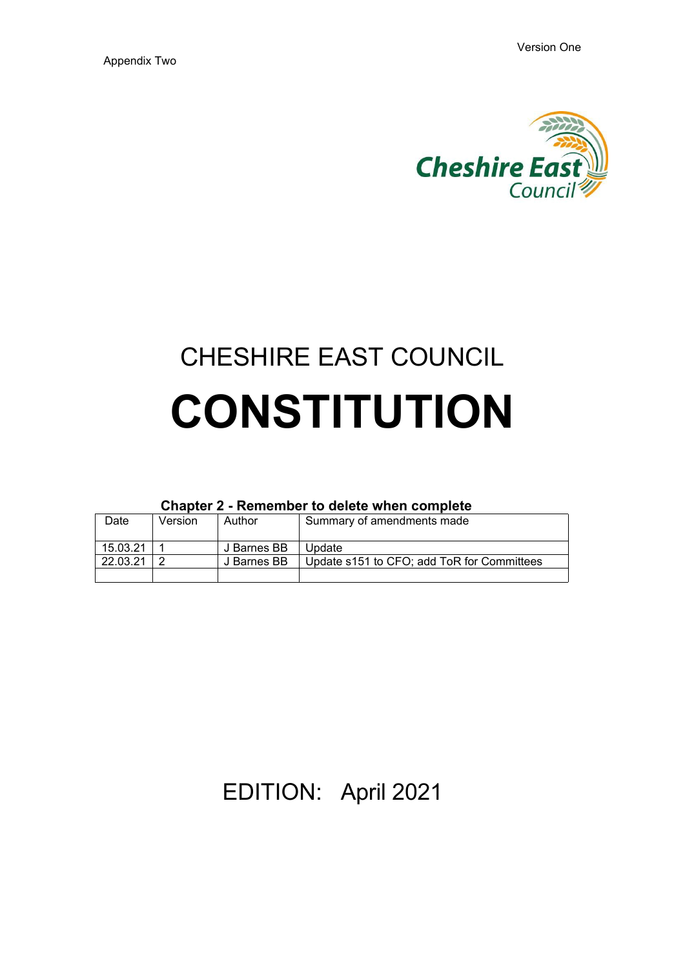

# CHESHIRE EAST COUNCIL **CONSTITUTION**

#### **Chapter 2 - Remember to delete when complete**

| Date     | Version | Author      | Summary of amendments made                 |
|----------|---------|-------------|--------------------------------------------|
|          |         |             |                                            |
| 15.03.21 |         | J Barnes BB | Update                                     |
| 22.03.21 |         | J Barnes BB | Update s151 to CFO; add ToR for Committees |
|          |         |             |                                            |

# EDITION: April 2021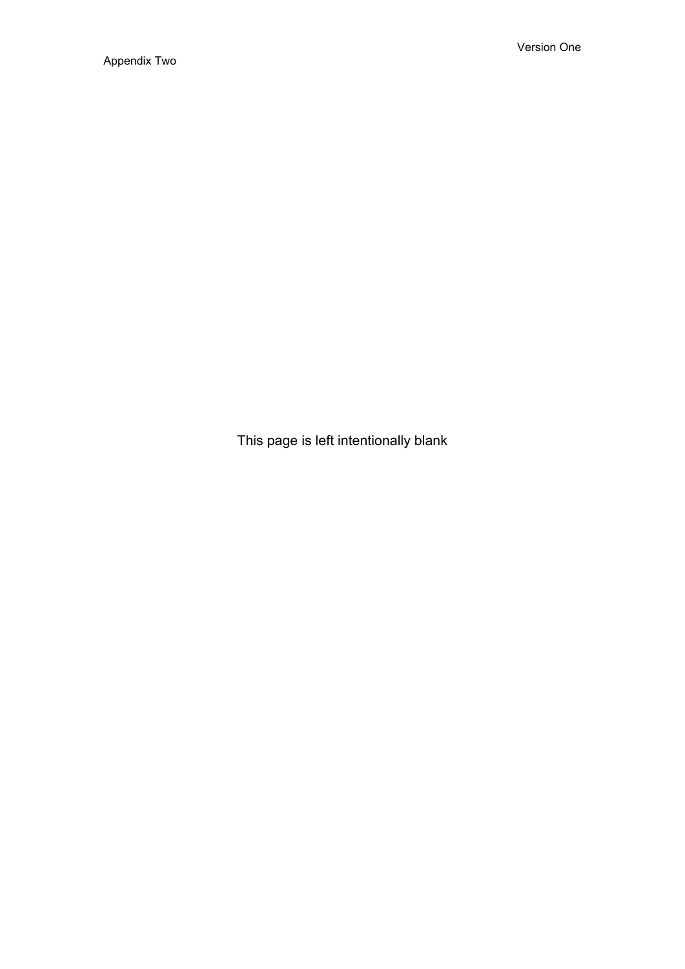This page is left intentionally blank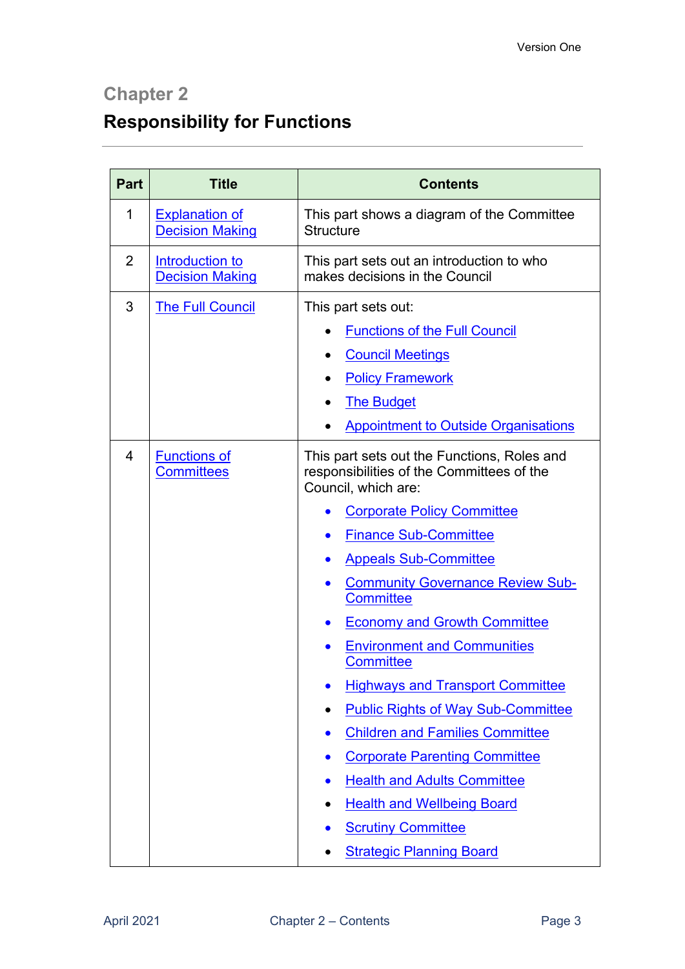# **Chapter 2**

# **Responsibility for Functions**

| <b>Part</b>    | <b>Title</b>                                    | <b>Contents</b>                                                                                                 |  |
|----------------|-------------------------------------------------|-----------------------------------------------------------------------------------------------------------------|--|
| 1              | <b>Explanation of</b><br><b>Decision Making</b> | This part shows a diagram of the Committee<br><b>Structure</b>                                                  |  |
| $\overline{2}$ | Introduction to<br><b>Decision Making</b>       | This part sets out an introduction to who<br>makes decisions in the Council                                     |  |
| 3              | <b>The Full Council</b>                         | This part sets out:                                                                                             |  |
|                |                                                 | <b>Functions of the Full Council</b>                                                                            |  |
|                |                                                 | <b>Council Meetings</b><br>$\bullet$                                                                            |  |
|                |                                                 | <b>Policy Framework</b><br>$\bullet$                                                                            |  |
|                |                                                 | <b>The Budget</b>                                                                                               |  |
|                |                                                 | <b>Appointment to Outside Organisations</b>                                                                     |  |
| 4              | <b>Functions of</b><br><b>Committees</b>        | This part sets out the Functions, Roles and<br>responsibilities of the Committees of the<br>Council, which are: |  |
|                |                                                 | <b>Corporate Policy Committee</b>                                                                               |  |
|                |                                                 | <b>Finance Sub-Committee</b>                                                                                    |  |
|                |                                                 | <b>Appeals Sub-Committee</b><br>$\bullet$                                                                       |  |
|                |                                                 | <b>Community Governance Review Sub-</b><br>$\bullet$<br><b>Committee</b>                                        |  |
|                |                                                 | <b>Economy and Growth Committee</b><br>$\bullet$                                                                |  |
|                |                                                 | <b>Environment and Communities</b><br>$\bullet$<br><b>Committee</b>                                             |  |
|                |                                                 | <b>Highways and Transport Committee</b><br>$\bullet$                                                            |  |
|                |                                                 | <b>Public Rights of Way Sub-Committee</b>                                                                       |  |
|                |                                                 | <b>Children and Families Committee</b>                                                                          |  |
|                |                                                 | <b>Corporate Parenting Committee</b>                                                                            |  |
|                |                                                 | <b>Health and Adults Committee</b><br>$\bullet$                                                                 |  |
|                |                                                 | <b>Health and Wellbeing Board</b>                                                                               |  |
|                |                                                 | <b>Scrutiny Committee</b>                                                                                       |  |
|                |                                                 | <b>Strategic Planning Board</b>                                                                                 |  |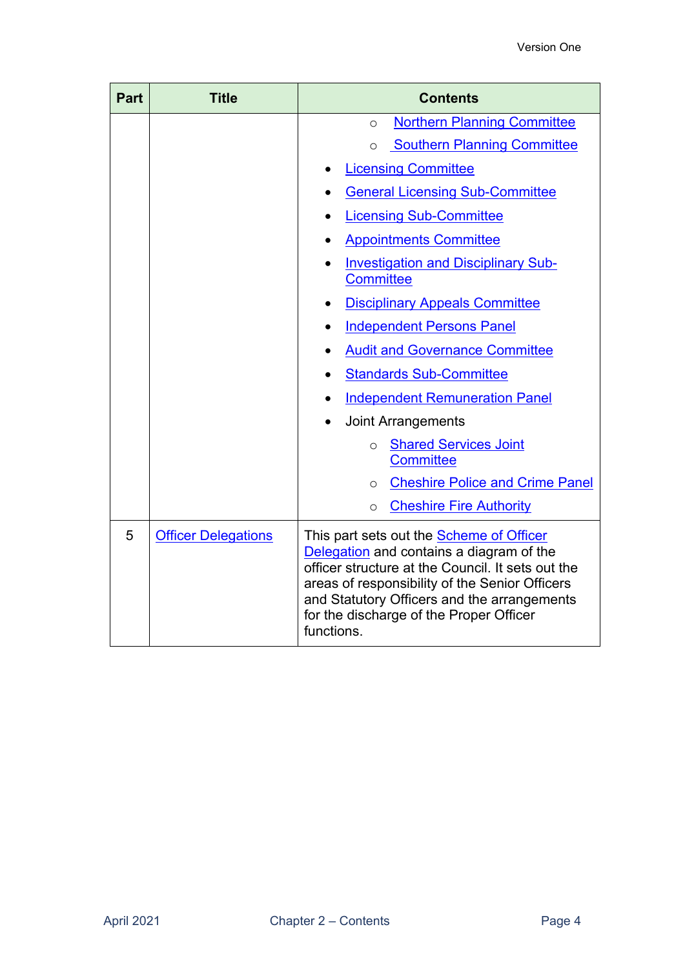| Part | <b>Title</b>               | <b>Contents</b>                                                                                                                                                                                                                                                                                            |  |
|------|----------------------------|------------------------------------------------------------------------------------------------------------------------------------------------------------------------------------------------------------------------------------------------------------------------------------------------------------|--|
|      |                            | <b>Northern Planning Committee</b><br>$\circ$                                                                                                                                                                                                                                                              |  |
|      |                            | <b>Southern Planning Committee</b><br>$\circ$                                                                                                                                                                                                                                                              |  |
|      |                            | <b>Licensing Committee</b>                                                                                                                                                                                                                                                                                 |  |
|      |                            | <b>General Licensing Sub-Committee</b>                                                                                                                                                                                                                                                                     |  |
|      |                            | <b>Licensing Sub-Committee</b>                                                                                                                                                                                                                                                                             |  |
|      |                            | <b>Appointments Committee</b>                                                                                                                                                                                                                                                                              |  |
|      |                            | <b>Investigation and Disciplinary Sub-</b><br><b>Committee</b>                                                                                                                                                                                                                                             |  |
|      |                            | <b>Disciplinary Appeals Committee</b>                                                                                                                                                                                                                                                                      |  |
|      |                            | <b>Independent Persons Panel</b><br>$\bullet$                                                                                                                                                                                                                                                              |  |
|      |                            | <b>Audit and Governance Committee</b>                                                                                                                                                                                                                                                                      |  |
|      |                            | <b>Standards Sub-Committee</b>                                                                                                                                                                                                                                                                             |  |
|      |                            | <b>Independent Remuneration Panel</b>                                                                                                                                                                                                                                                                      |  |
|      |                            | <b>Joint Arrangements</b>                                                                                                                                                                                                                                                                                  |  |
|      |                            | <b>Shared Services Joint</b><br>$\circ$<br><b>Committee</b>                                                                                                                                                                                                                                                |  |
|      |                            | <b>Cheshire Police and Crime Panel</b><br>$\circ$                                                                                                                                                                                                                                                          |  |
|      |                            | <b>Cheshire Fire Authority</b><br>$\circ$                                                                                                                                                                                                                                                                  |  |
| 5    | <b>Officer Delegations</b> | This part sets out the <b>Scheme of Officer</b><br>Delegation and contains a diagram of the<br>officer structure at the Council. It sets out the<br>areas of responsibility of the Senior Officers<br>and Statutory Officers and the arrangements<br>for the discharge of the Proper Officer<br>functions. |  |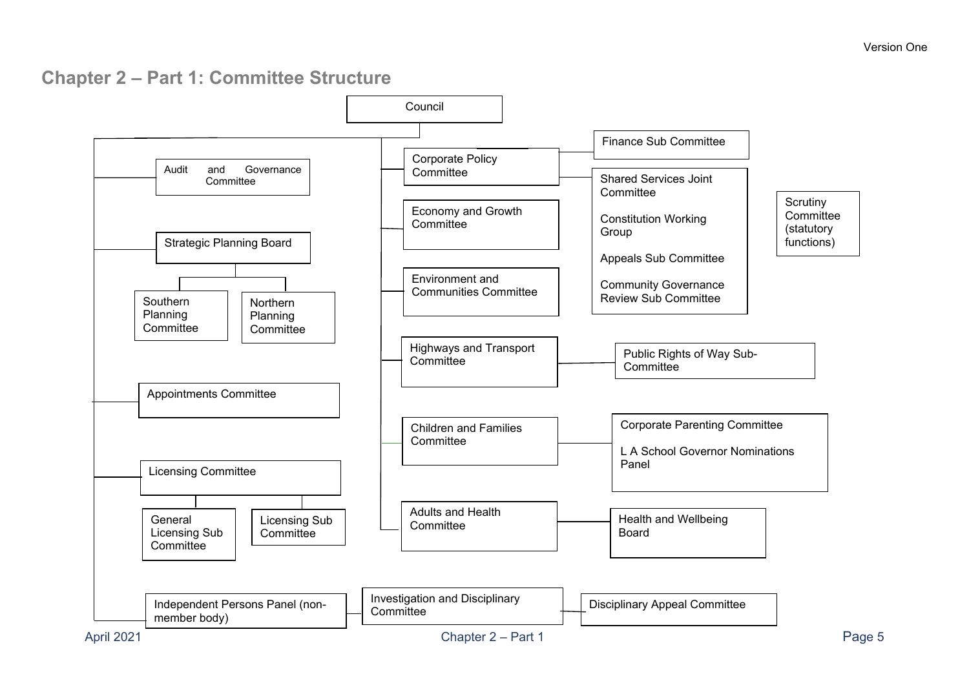# **Chapter 2 – Part 1: Committee Structure**

<span id="page-4-0"></span>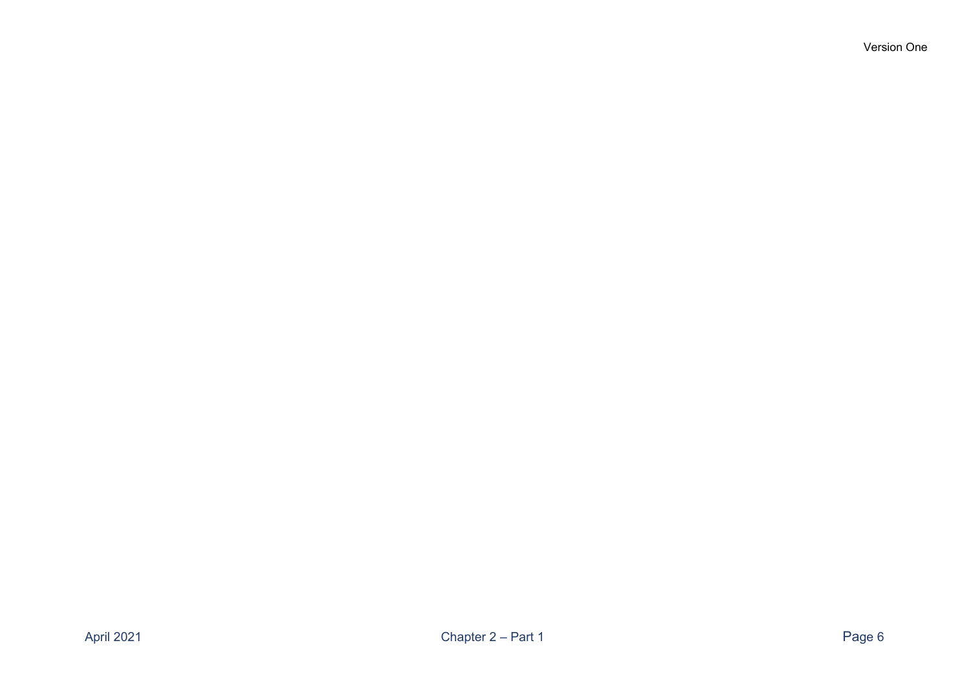Version One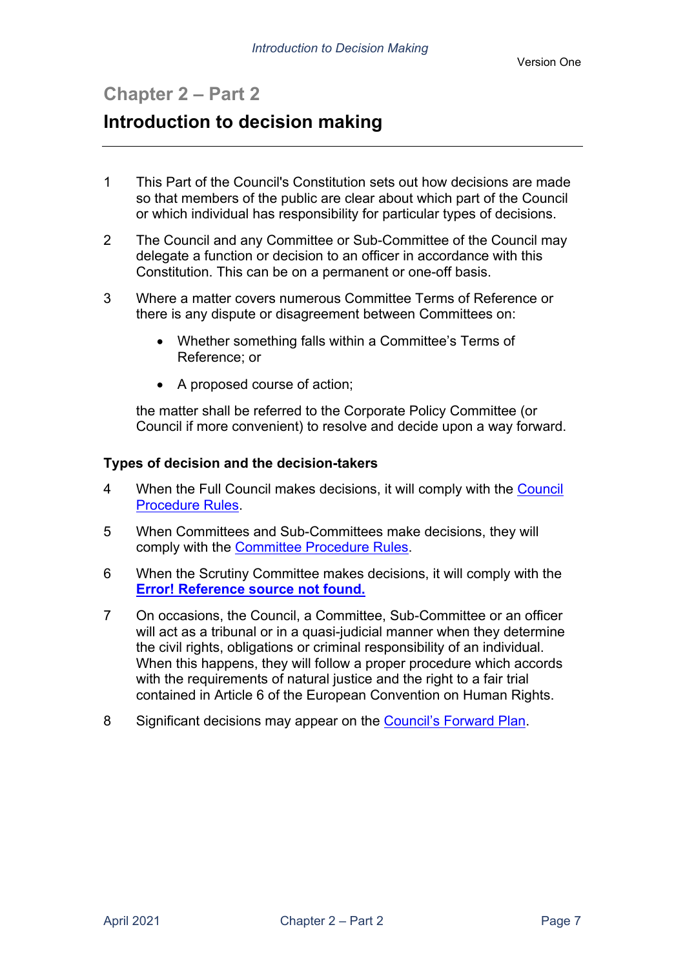# **Chapter 2 – Part 2**

# <span id="page-6-0"></span>**Introduction to decision making**

- 1 This Part of the Council's Constitution sets out how decisions are made so that members of the public are clear about which part of the Council or which individual has responsibility for particular types of decisions.
- 2 The Council and any Committee or Sub-Committee of the Council may delegate a function or decision to an officer in accordance with this Constitution. This can be on a permanent or one-off basis.
- 3 Where a matter covers numerous Committee Terms of Reference or there is any dispute or disagreement between Committees on:
	- Whether something falls within a Committee's Terms of Reference; or
	- A proposed course of action;

the matter shall be referred to the Corporate Policy Committee (or Council if more convenient) to resolve and decide upon a way forward.

#### **Types of decision and the decision-takers**

- 4 When the Full Council makes decisions, it will comply with the Council Procedure Rules.
- 5 When Committees and Sub-Committees make decisions, they will comply with the Committee Procedure Rules.
- 6 When the Scrutiny Committee makes decisions, it will comply with the **Error! Reference source not found.**
- 7 On occasions, the Council, a Committee, Sub-Committee or an officer will act as a tribunal or in a quasi-judicial manner when they determine the civil rights, obligations or criminal responsibility of an individual. When this happens, they will follow a proper procedure which accords with the requirements of natural justice and the right to a fair trial contained in Article 6 of the European Convention on Human Rights.
- 8 Significant decisions may appear on the [Council's](http://moderngov.cheshireeast.gov.uk/ecminutes/mgListPlans.aspx?RPId=241&RD=0&bcr=1) Forward Plan.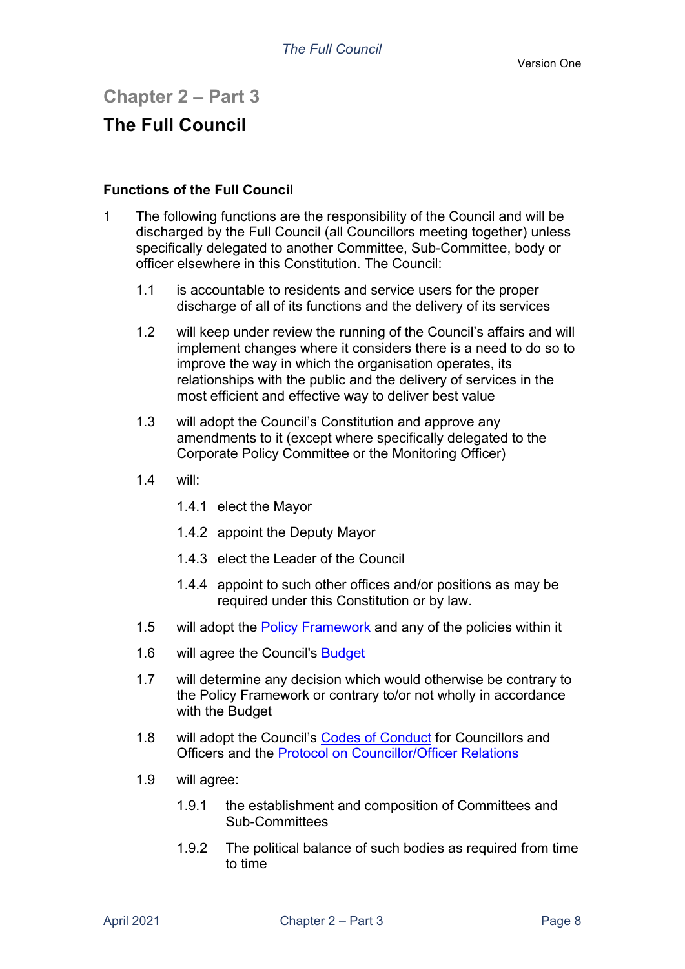## **Chapter 2 – Part 3**

# <span id="page-7-0"></span>**The Full Council**

## <span id="page-7-1"></span>**Functions of the Full Council**

- 1 The following functions are the responsibility of the Council and will be discharged by the Full Council (all Councillors meeting together) unless specifically delegated to another Committee, Sub-Committee, body or officer elsewhere in this Constitution. The Council:
	- 1.1 is accountable to residents and service users for the proper discharge of all of its functions and the delivery of its services
	- 1.2 will keep under review the running of the Council's affairs and will implement changes where it considers there is a need to do so to improve the way in which the organisation operates, its relationships with the public and the delivery of services in the most efficient and effective way to deliver best value
	- 1.3 will adopt the Council's Constitution and approve any amendments to it (except where specifically delegated to the Corporate Policy Committee or the Monitoring Officer)
	- 1.4 will:
		- 1.4.1 elect the Mayor
		- 1.4.2 appoint the Deputy Mayor
		- 1.4.3 elect the Leader of the Council
		- 1.4.4 appoint to such other offices and/or positions as may be required under this Constitution or by law.
	- 1.5 will adopt the Policy [Framework](#page-8-0) and any of the policies within it
	- 1.6 will agree the Council's [Budget](#page-9-0)
	- 1.7 will determine any decision which would otherwise be contrary to the Policy Framework or contrary to/or not wholly in accordance with the Budget
	- 1.8 will adopt the Council's Codes of Conduct for Councillors and Officers and the Protocol on Councillor/Officer Relations
	- 1.9 will agree:
		- 1.9.1 the establishment and composition of Committees and Sub-Committees
		- 1.9.2 The political balance of such bodies as required from time to time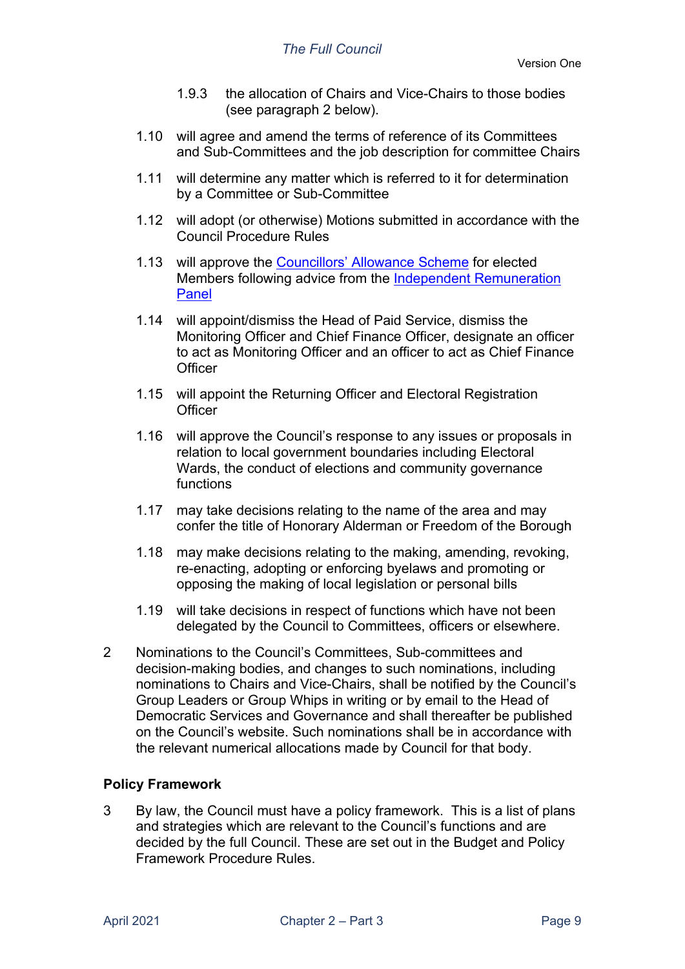- 1.9.3 the allocation of Chairs and Vice-Chairs to those bodies (see paragraph 2 below).
- 1.10 will agree and amend the terms of reference of its Committees and Sub-Committees and the job description for committee Chairs
- 1.11 will determine any matter which is referred to it for determination by a Committee or Sub-Committee
- 1.12 will adopt (or otherwise) Motions submitted in accordance with the Council Procedure Rules
- 1.13 will approve the [Councillors'](http://www.cheshireeast.gov.uk/council_and_democracy/your_council/councillor_expenses.aspx) Allowance Scheme for elected Members following advice from the Independent [Remuneration](#page-34-0) [Panel](#page-34-0)
- 1.14 will appoint/dismiss the Head of Paid Service, dismiss the Monitoring Officer and Chief Finance Officer, designate an officer to act as Monitoring Officer and an officer to act as Chief Finance **Officer**
- 1.15 will appoint the Returning Officer and Electoral Registration **Officer**
- 1.16 will approve the Council's response to any issues or proposals in relation to local government boundaries including Electoral Wards, the conduct of elections and community governance functions
- 1.17 may take decisions relating to the name of the area and may confer the title of Honorary Alderman or Freedom of the Borough
- 1.18 may make decisions relating to the making, amending, revoking, re-enacting, adopting or enforcing byelaws and promoting or opposing the making of local legislation or personal bills
- 1.19 will take decisions in respect of functions which have not been delegated by the Council to Committees, officers or elsewhere.
- 2 Nominations to the Council's Committees, Sub-committees and decision-making bodies, and changes to such nominations, including nominations to Chairs and Vice-Chairs, shall be notified by the Council's Group Leaders or Group Whips in writing or by email to the Head of Democratic Services and Governance and shall thereafter be published on the Council's website. Such nominations shall be in accordance with the relevant numerical allocations made by Council for that body.

## <span id="page-8-0"></span>**Policy Framework**

3 By law, the Council must have a policy framework. This is a list of plans and strategies which are relevant to the Council's functions and are decided by the full Council. These are set out in the Budget and Policy Framework Procedure Rules.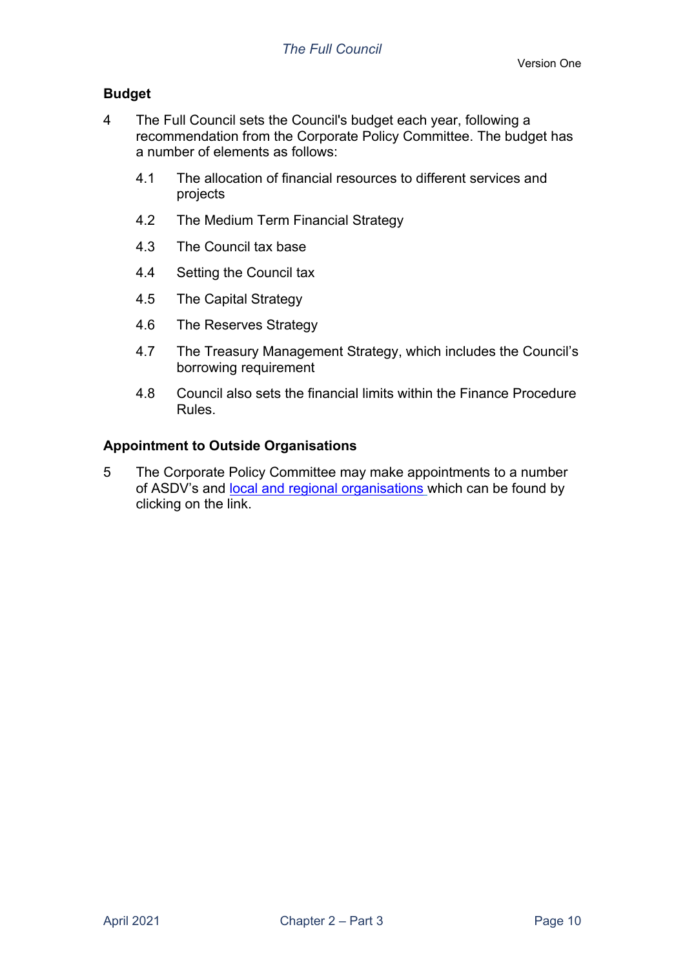## <span id="page-9-0"></span>**Budget**

- <span id="page-9-1"></span>4 The Full Council sets the Council's budget each year, following a recommendation from the Corporate Policy Committee. The budget has a number of elements as follows:
	- 4.1 The allocation of financial resources to different services and projects
	- 4.2 The Medium Term Financial Strategy
	- 4.3 The Council tax base
	- 4.4 Setting the Council tax
	- 4.5 The Capital Strategy
	- 4.6 The Reserves Strategy
	- 4.7 The Treasury Management Strategy, which includes the Council's borrowing requirement
	- 4.8 Council also sets the financial limits within the Finance Procedure Rules.

## **Appointment to Outside Organisations**

5 The Corporate Policy Committee may make appointments to a number of ASDV's and local and regional [organisations](http://www.cheshireeast.gov.uk/council_and_democracy/your_council/councillor_expenses.aspx) which can be found by clicking on the link.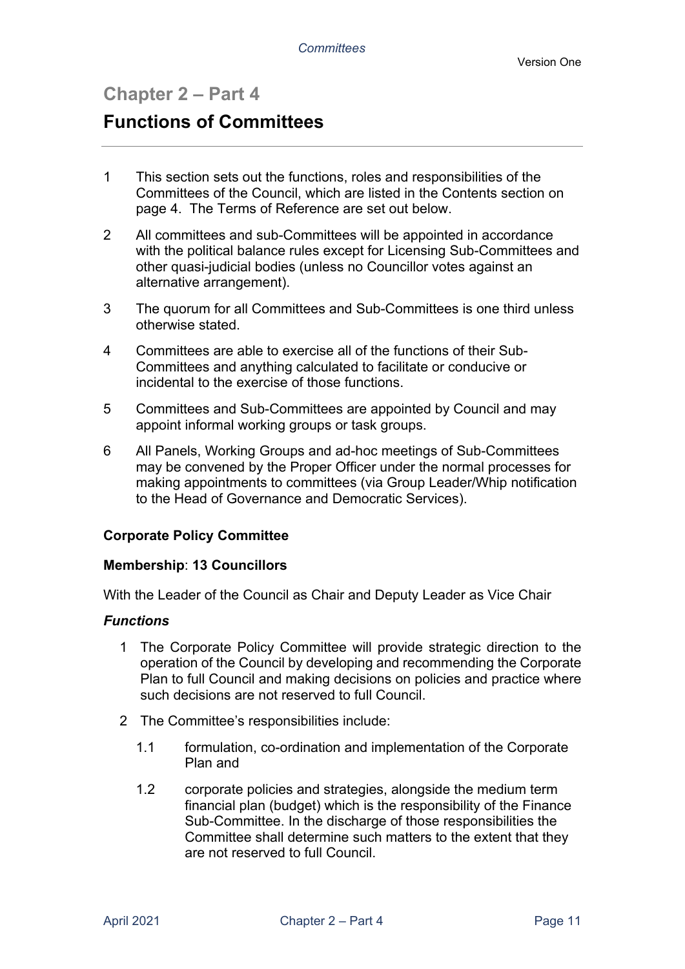# **Chapter 2 – Part 4**

# <span id="page-10-0"></span>**Functions of Committees**

- 1 This section sets out the functions, roles and responsibilities of the Committees of the Council, which are listed in the Contents section on page 4. The Terms of Reference are set out below.
- 2 All committees and sub-Committees will be appointed in accordance with the political balance rules except for Licensing Sub-Committees and other quasi-judicial bodies (unless no Councillor votes against an alternative arrangement).
- 3 The quorum for all Committees and Sub-Committees is one third unless otherwise stated.
- 4 Committees are able to exercise all of the functions of their Sub-Committees and anything calculated to facilitate or conducive or incidental to the exercise of those functions.
- 5 Committees and Sub-Committees are appointed by Council and may appoint informal working groups or task groups.
- 6 All Panels, Working Groups and ad-hoc meetings of Sub-Committees may be convened by the Proper Officer under the normal processes for making appointments to committees (via Group Leader/Whip notification to the Head of Governance and Democratic Services).

## **Corporate Policy Committee**

#### **Membership**: **13 Councillors**

With the Leader of the Council as Chair and Deputy Leader as Vice Chair

- 1 The Corporate Policy Committee will provide strategic direction to the operation of the Council by developing and recommending the Corporate Plan to full Council and making decisions on policies and practice where such decisions are not reserved to full Council.
- 2 The Committee's responsibilities include:
	- 1.1 formulation, co-ordination and implementation of the Corporate Plan and
	- 1.2 corporate policies and strategies, alongside the medium term financial plan (budget) which is the responsibility of the Finance Sub-Committee. In the discharge of those responsibilities the Committee shall determine such matters to the extent that they are not reserved to full Council.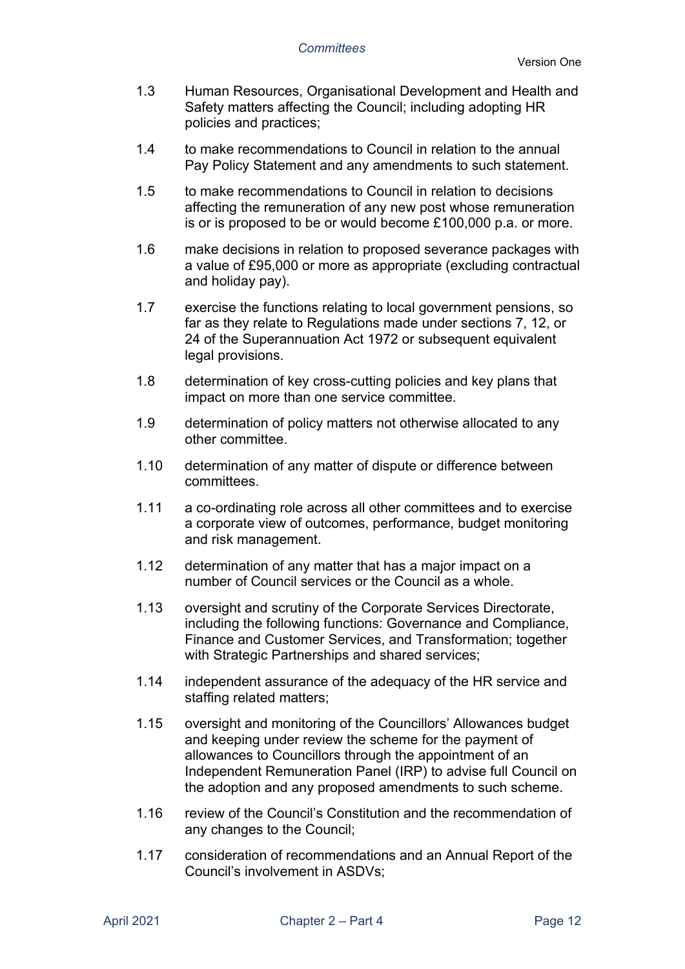#### *Committees*

- 1.3 Human Resources, Organisational Development and Health and Safety matters affecting the Council; including adopting HR policies and practices;
- 1.4 to make recommendations to Council in relation to the annual Pay Policy Statement and any amendments to such statement.
- 1.5 to make recommendations to Council in relation to decisions affecting the remuneration of any new post whose remuneration is or is proposed to be or would become £100,000 p.a. or more.
- 1.6 make decisions in relation to proposed severance packages with a value of £95,000 or more as appropriate (excluding contractual and holiday pay).
- 1.7 exercise the functions relating to local government pensions, so far as they relate to Regulations made under sections 7, 12, or 24 of the Superannuation Act 1972 or subsequent equivalent legal provisions.
- 1.8 determination of key cross-cutting policies and key plans that impact on more than one service committee.
- 1.9 determination of policy matters not otherwise allocated to any other committee.
- 1.10 determination of any matter of dispute or difference between committees.
- 1.11 a co-ordinating role across all other committees and to exercise a corporate view of outcomes, performance, budget monitoring and risk management.
- 1.12 determination of any matter that has a major impact on a number of Council services or the Council as a whole.
- 1.13 oversight and scrutiny of the Corporate Services Directorate, including the following functions: Governance and Compliance, Finance and Customer Services, and Transformation; together with Strategic Partnerships and shared services;
- 1.14 independent assurance of the adequacy of the HR service and staffing related matters;
- 1.15 oversight and monitoring of the Councillors' Allowances budget and keeping under review the scheme for the payment of allowances to Councillors through the appointment of an Independent Remuneration Panel (IRP) to advise full Council on the adoption and any proposed amendments to such scheme.
- 1.16 review of the Council's Constitution and the recommendation of any changes to the Council;
- 1.17 consideration of recommendations and an Annual Report of the Council's involvement in ASDVs;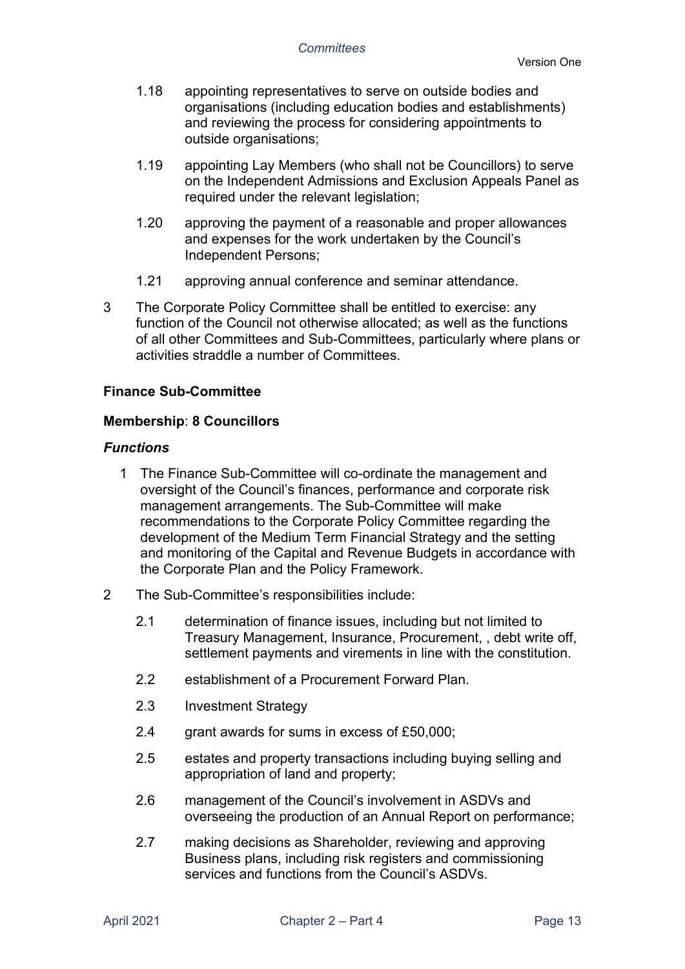- 1.18 appointing representatives to serve on outside bodies and organisations (including education bodies and establishments) and reviewing the process for considering appointments to outside organisations;
- 1.19 appointing Lay Members (who shall not be Councillors) to serve on the Independent Admissions and Exclusion Appeals Panel as required under the relevant legislation;
- 1.20 approving the payment of a reasonable and proper allowances and expenses for the work undertaken by the Council's Independent Persons;
- 1.21 approving annual conference and seminar attendance.
- 3 The Corporate Policy Committee shall be entitled to exercise: any function of the Council not otherwise allocated; as well as the functions of all other Committees and Sub-Committees, particularly where plans or activities straddle a number of Committees.

#### **Finance Sub-Committee**

#### **Membership**: **8 Councillors**

- 1 The Finance Sub-Committee will co-ordinate the management and oversight of the Council's finances, performance and corporate risk management arrangements. The Sub-Committee will make recommendations to the Corporate Policy Committee regarding the development of the Medium Term Financial Strategy and the setting and monitoring of the Capital and Revenue Budgets in accordance with the Corporate Plan and the Policy Framework.
- 2 The Sub-Committee's responsibilities include:
	- 2.1 determination of finance issues, including but not limited to Treasury Management, Insurance, Procurement, , debt write off, settlement payments and virements in line with the constitution.
	- 2.2 establishment of a Procurement Forward Plan.
	- 2.3 Investment Strategy
	- 2.4 grant awards for sums in excess of £50,000;
	- 2.5 estates and property transactions including buying selling and appropriation of land and property;
	- 2.6 management of the Council's involvement in ASDVs and overseeing the production of an Annual Report on performance;
	- 2.7 making decisions as Shareholder, reviewing and approving Business plans, including risk registers and commissioning services and functions from the Council's ASDVs.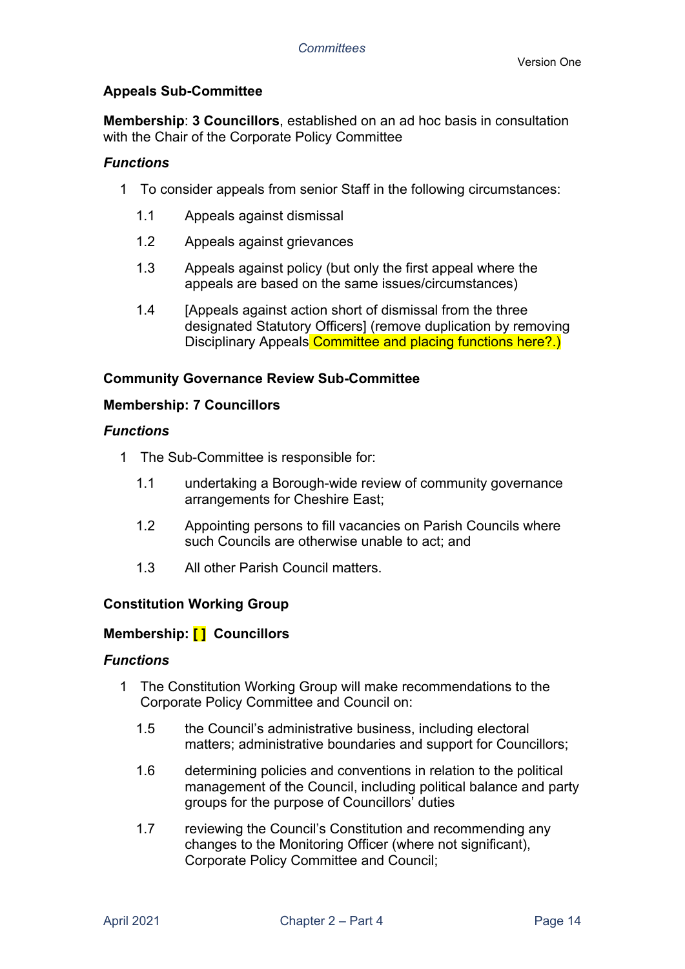## **Appeals Sub-Committee**

**Membership**: **3 Councillors**, established on an ad hoc basis in consultation with the Chair of the Corporate Policy Committee

## *Functions*

- 1 To consider appeals from senior Staff in the following circumstances:
	- 1.1 Appeals against dismissal
	- 1.2 Appeals against grievances
	- 1.3 Appeals against policy (but only the first appeal where the appeals are based on the same issues/circumstances)
	- 1.4 [Appeals against action short of dismissal from the three designated Statutory Officers] (remove duplication by removing Disciplinary Appeals Committee and placing functions here?.)

#### **Community Governance Review Sub-Committee**

#### **Membership: 7 Councillors**

#### *Functions*

- 1 The Sub-Committee is responsible for:
	- 1.1 undertaking a Borough-wide review of community governance arrangements for Cheshire East;
	- 1.2 Appointing persons to fill vacancies on Parish Councils where such Councils are otherwise unable to act; and
	- 1.3 All other Parish Council matters.

## <span id="page-13-0"></span>**Constitution Working Group**

#### **Membership: [ ] Councillors**

- 1 The Constitution Working Group will make recommendations to the Corporate Policy Committee and Council on:
	- 1.5 the Council's administrative business, including electoral matters; administrative boundaries and support for Councillors;
	- 1.6 determining policies and conventions in relation to the political management of the Council, including political balance and party groups for the purpose of Councillors' duties
	- 1.7 reviewing the Council's Constitution and recommending any changes to the Monitoring Officer (where not significant), Corporate Policy Committee and Council;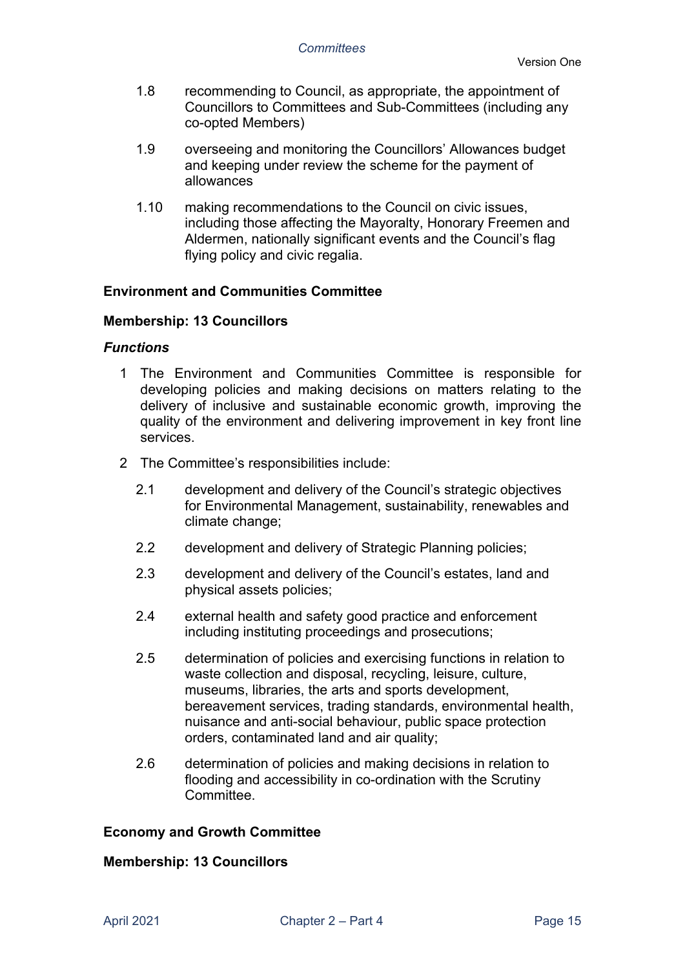- 1.8 recommending to Council, as appropriate, the appointment of Councillors to Committees and Sub-Committees (including any co-opted Members)
- 1.9 overseeing and monitoring the Councillors' Allowances budget and keeping under review the scheme for the payment of allowances
- 1.10 making recommendations to the Council on civic issues, including those affecting the Mayoralty, Honorary Freemen and Aldermen, nationally significant events and the Council's flag flying policy and civic regalia.

## **Environment and Communities Committee**

#### **Membership: 13 Councillors**

#### *Functions*

- 1 The Environment and Communities Committee is responsible for developing policies and making decisions on matters relating to the delivery of inclusive and sustainable economic growth, improving the quality of the environment and delivering improvement in key front line services.
- 2 The Committee's responsibilities include:
	- 2.1 development and delivery of the Council's strategic objectives for Environmental Management, sustainability, renewables and climate change;
	- 2.2 development and delivery of Strategic Planning policies;
	- 2.3 development and delivery of the Council's estates, land and physical assets policies;
	- 2.4 external health and safety good practice and enforcement including instituting proceedings and prosecutions;
	- 2.5 determination of policies and exercising functions in relation to waste collection and disposal, recycling, leisure, culture, museums, libraries, the arts and sports development, bereavement services, trading standards, environmental health, nuisance and anti-social behaviour, public space protection orders, contaminated land and air quality;
	- 2.6 determination of policies and making decisions in relation to flooding and accessibility in co-ordination with the Scrutiny Committee.

#### **Economy and Growth Committee**

#### **Membership: 13 Councillors**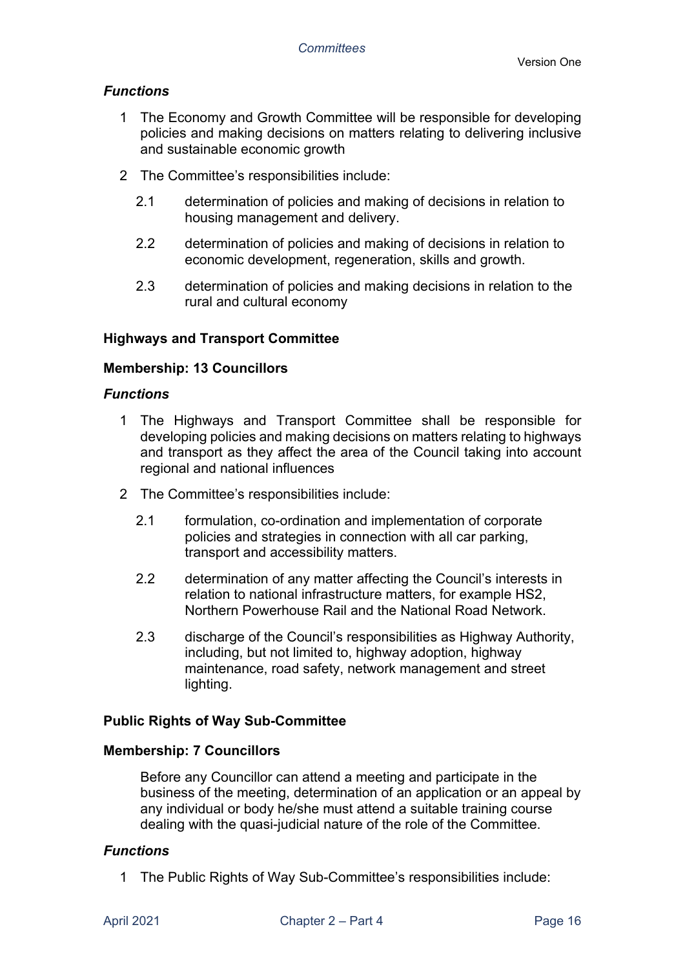## *Functions*

- 1 The Economy and Growth Committee will be responsible for developing policies and making decisions on matters relating to delivering inclusive and sustainable economic growth
- 2 The Committee's responsibilities include:
	- 2.1 determination of policies and making of decisions in relation to housing management and delivery.
	- 2.2 determination of policies and making of decisions in relation to economic development, regeneration, skills and growth.
	- 2.3 determination of policies and making decisions in relation to the rural and cultural economy

## **Highways and Transport Committee**

## **Membership: 13 Councillors**

#### *Functions*

- 1 The Highways and Transport Committee shall be responsible for developing policies and making decisions on matters relating to highways and transport as they affect the area of the Council taking into account regional and national influences
- 2 The Committee's responsibilities include:
	- 2.1 formulation, co-ordination and implementation of corporate policies and strategies in connection with all car parking, transport and accessibility matters.
	- 2.2 determination of any matter affecting the Council's interests in relation to national infrastructure matters, for example HS2, Northern Powerhouse Rail and the National Road Network.
	- 2.3 discharge of the Council's responsibilities as Highway Authority, including, but not limited to, highway adoption, highway maintenance, road safety, network management and street lighting.

## **Public Rights of Way Sub-Committee**

#### **Membership: 7 Councillors**

Before any Councillor can attend a meeting and participate in the business of the meeting, determination of an application or an appeal by any individual or body he/she must attend a suitable training course dealing with the quasi-judicial nature of the role of the Committee.

## *Functions*

1 The Public Rights of Way Sub-Committee's responsibilities include: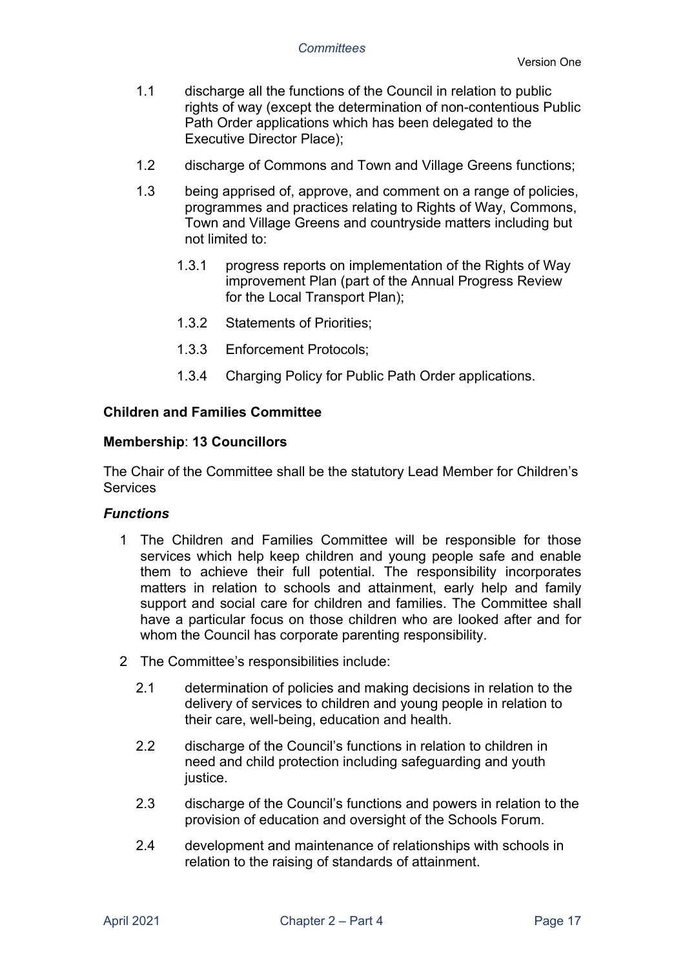- 1.1 discharge all the functions of the Council in relation to public rights of way (except the determination of non-contentious Public Path Order applications which has been delegated to the Executive Director Place);
- 1.2 discharge of Commons and Town and Village Greens functions;
- 1.3 being apprised of, approve, and comment on a range of policies, programmes and practices relating to Rights of Way, Commons, Town and Village Greens and countryside matters including but not limited to:
	- 1.3.1 progress reports on implementation of the Rights of Way improvement Plan (part of the Annual Progress Review for the Local Transport Plan);
	- 1.3.2 Statements of Priorities;
	- 1.3.3 Enforcement Protocols;
	- 1.3.4 Charging Policy for Public Path Order applications.

#### **Children and Families Committee**

#### **Membership**: **13 Councillors**

The Chair of the Committee shall be the statutory Lead Member for Children's **Services** 

- 1 The Children and Families Committee will be responsible for those services which help keep children and young people safe and enable them to achieve their full potential. The responsibility incorporates matters in relation to schools and attainment, early help and family support and social care for children and families. The Committee shall have a particular focus on those children who are looked after and for whom the Council has corporate parenting responsibility.
- 2 The Committee's responsibilities include:
	- 2.1 determination of policies and making decisions in relation to the delivery of services to children and young people in relation to their care, well-being, education and health.
	- 2.2 discharge of the Council's functions in relation to children in need and child protection including safeguarding and youth justice.
	- 2.3 discharge of the Council's functions and powers in relation to the provision of education and oversight of the Schools Forum.
	- 2.4 development and maintenance of relationships with schools in relation to the raising of standards of attainment.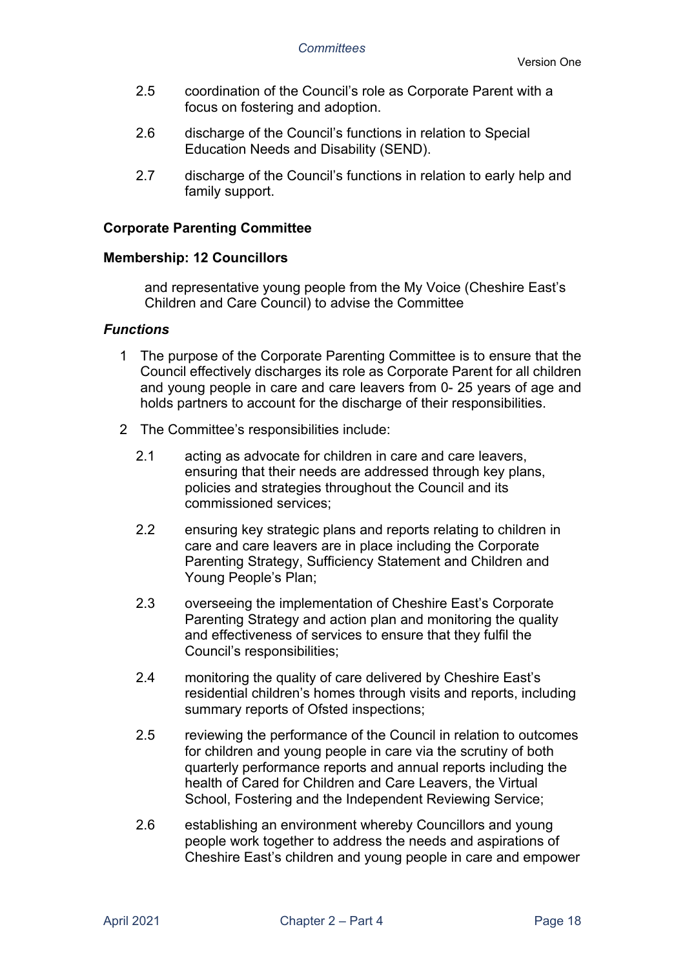- 2.5 coordination of the Council's role as Corporate Parent with a focus on fostering and adoption.
- 2.6 discharge of the Council's functions in relation to Special Education Needs and Disability (SEND).
- 2.7 discharge of the Council's functions in relation to early help and family support.

#### **Corporate Parenting Committee**

#### **Membership: 12 Councillors**

and representative young people from the My Voice (Cheshire East's Children and Care Council) to advise the Committee

- 1 The purpose of the Corporate Parenting Committee is to ensure that the Council effectively discharges its role as Corporate Parent for all children and young people in care and care leavers from 0- 25 years of age and holds partners to account for the discharge of their responsibilities.
- 2 The Committee's responsibilities include:
	- 2.1 acting as advocate for children in care and care leavers, ensuring that their needs are addressed through key plans, policies and strategies throughout the Council and its commissioned services;
	- 2.2 ensuring key strategic plans and reports relating to children in care and care leavers are in place including the Corporate Parenting Strategy, Sufficiency Statement and Children and Young People's Plan;
	- 2.3 overseeing the implementation of Cheshire East's Corporate Parenting Strategy and action plan and monitoring the quality and effectiveness of services to ensure that they fulfil the Council's responsibilities;
	- 2.4 monitoring the quality of care delivered by Cheshire East's residential children's homes through visits and reports, including summary reports of Ofsted inspections;
	- 2.5 reviewing the performance of the Council in relation to outcomes for children and young people in care via the scrutiny of both quarterly performance reports and annual reports including the health of Cared for Children and Care Leavers, the Virtual School, Fostering and the Independent Reviewing Service;
	- 2.6 establishing an environment whereby Councillors and young people work together to address the needs and aspirations of Cheshire East's children and young people in care and empower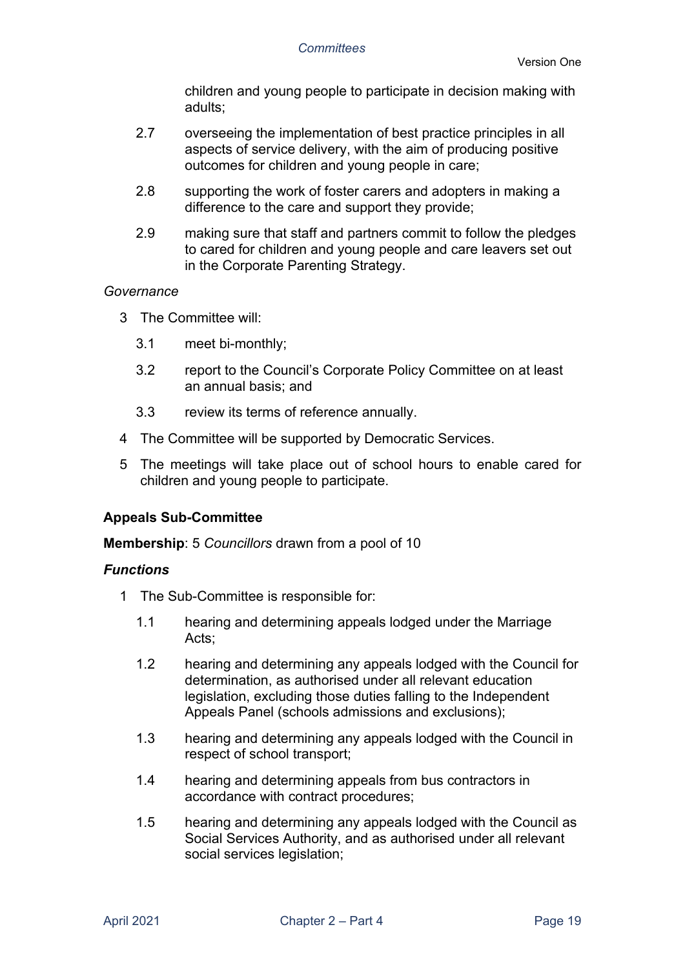children and young people to participate in decision making with adults;

- 2.7 overseeing the implementation of best practice principles in all aspects of service delivery, with the aim of producing positive outcomes for children and young people in care;
- 2.8 supporting the work of foster carers and adopters in making a difference to the care and support they provide;
- 2.9 making sure that staff and partners commit to follow the pledges to cared for children and young people and care leavers set out in the Corporate Parenting Strategy.

#### *Governance*

- 3 The Committee will:
	- 3.1 meet bi-monthly;
	- 3.2 report to the Council's Corporate Policy Committee on at least an annual basis; and
	- 3.3 review its terms of reference annually.
- 4 The Committee will be supported by Democratic Services.
- 5 The meetings will take place out of school hours to enable cared for children and young people to participate.

## **Appeals Sub-Committee**

**Membership**: 5 *Councillors* drawn from a pool of 10

- 1 The Sub-Committee is responsible for:
	- 1.1 hearing and determining appeals lodged under the Marriage Acts;
	- 1.2 hearing and determining any appeals lodged with the Council for determination, as authorised under all relevant education legislation, excluding those duties falling to the Independent Appeals Panel (schools admissions and exclusions);
	- 1.3 hearing and determining any appeals lodged with the Council in respect of school transport;
	- 1.4 hearing and determining appeals from bus contractors in accordance with contract procedures;
	- 1.5 hearing and determining any appeals lodged with the Council as Social Services Authority, and as authorised under all relevant social services legislation;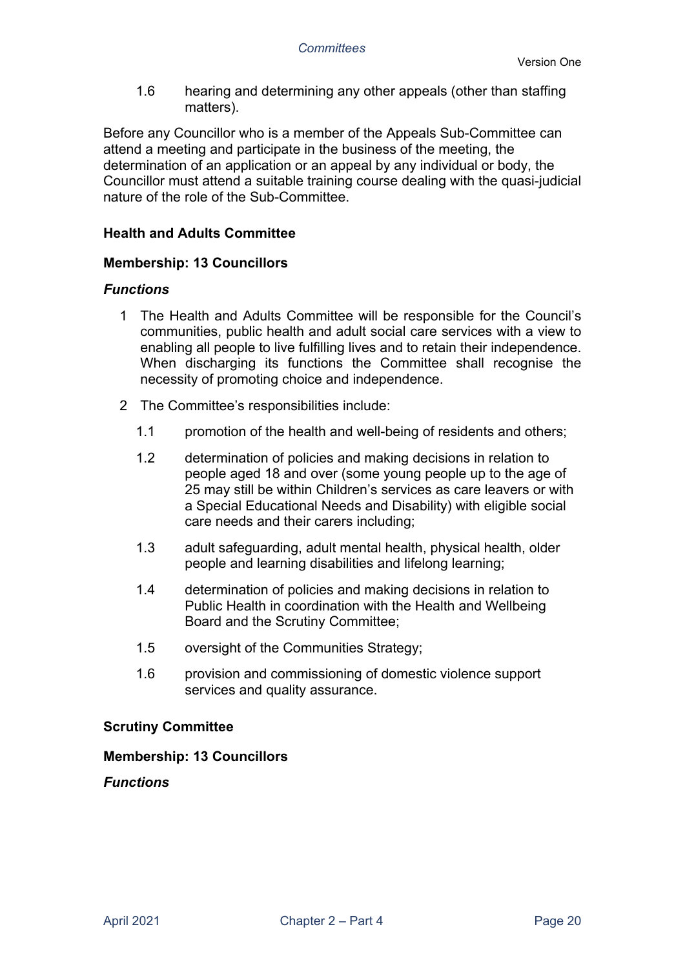1.6 hearing and determining any other appeals (other than staffing matters).

Before any Councillor who is a member of the Appeals Sub-Committee can attend a meeting and participate in the business of the meeting, the determination of an application or an appeal by any individual or body, the Councillor must attend a suitable training course dealing with the quasi-judicial nature of the role of the Sub-Committee.

## **Health and Adults Committee**

## **Membership: 13 Councillors**

#### *Functions*

- 1 The Health and Adults Committee will be responsible for the Council's communities, public health and adult social care services with a view to enabling all people to live fulfilling lives and to retain their independence. When discharging its functions the Committee shall recognise the necessity of promoting choice and independence.
- 2 The Committee's responsibilities include:
	- 1.1 promotion of the health and well-being of residents and others;
	- 1.2 determination of policies and making decisions in relation to people aged 18 and over (some young people up to the age of 25 may still be within Children's services as care leavers or with a Special Educational Needs and Disability) with eligible social care needs and their carers including;
	- 1.3 adult safeguarding, adult mental health, physical health, older people and learning disabilities and lifelong learning;
	- 1.4 determination of policies and making decisions in relation to Public Health in coordination with the Health and Wellbeing Board and the Scrutiny Committee;
	- 1.5 oversight of the Communities Strategy;
	- 1.6 provision and commissioning of domestic violence support services and quality assurance.

#### **Scrutiny Committee**

## **Membership: 13 Councillors**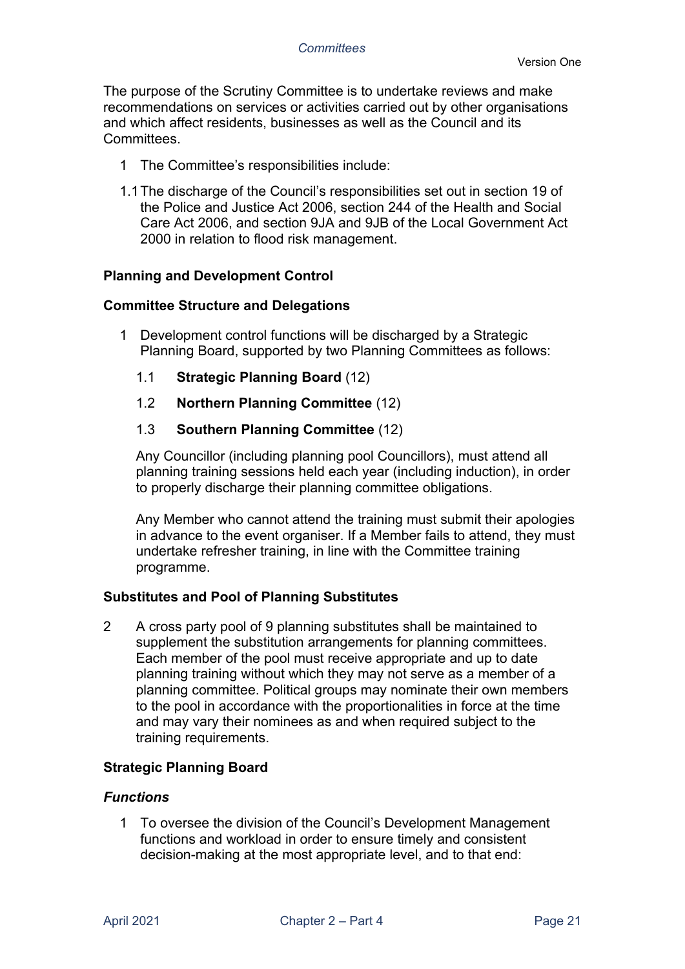The purpose of the Scrutiny Committee is to undertake reviews and make recommendations on services or activities carried out by other organisations and which affect residents, businesses as well as the Council and its **Committees** 

- 1 The Committee's responsibilities include:
- 1.1The discharge of the Council's responsibilities set out in section 19 of the Police and Justice Act 2006, section 244 of the Health and Social Care Act 2006, and section 9JA and 9JB of the Local Government Act 2000 in relation to flood risk management.

#### **Planning and Development Control**

#### **Committee Structure and Delegations**

- 1 Development control functions will be discharged by a Strategic Planning Board, supported by two Planning Committees as follows:
	- 1.1 **Strategic Planning Board** (12)
	- 1.2 **Northern Planning Committee** (12)
	- 1.3 **Southern Planning Committee** (12)

Any Councillor (including planning pool Councillors), must attend all planning training sessions held each year (including induction), in order to properly discharge their planning committee obligations.

Any Member who cannot attend the training must submit their apologies in advance to the event organiser. If a Member fails to attend, they must undertake refresher training, in line with the Committee training programme.

#### **Substitutes and Pool of Planning Substitutes**

2 A cross party pool of 9 planning substitutes shall be maintained to supplement the substitution arrangements for planning committees. Each member of the pool must receive appropriate and up to date planning training without which they may not serve as a member of a planning committee. Political groups may nominate their own members to the pool in accordance with the proportionalities in force at the time and may vary their nominees as and when required subject to the training requirements.

#### <span id="page-20-0"></span>**Strategic Planning Board**

#### *Functions*

1 To oversee the division of the Council's Development Management functions and workload in order to ensure timely and consistent decision-making at the most appropriate level, and to that end: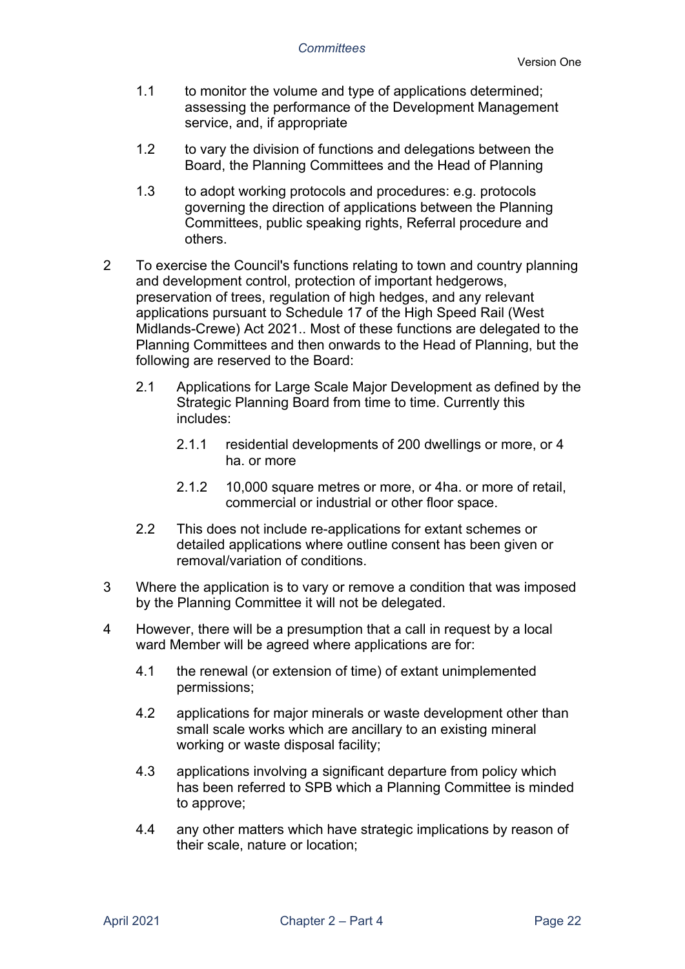- 1.1 to monitor the volume and type of applications determined; assessing the performance of the Development Management service, and, if appropriate
- 1.2 to vary the division of functions and delegations between the Board, the Planning Committees and the Head of Planning
- 1.3 to adopt working protocols and procedures: e.g. protocols governing the direction of applications between the Planning Committees, public speaking rights, Referral procedure and others.
- 2 To exercise the Council's functions relating to town and country planning and development control, protection of important hedgerows, preservation of trees, regulation of high hedges, and any relevant applications pursuant to Schedule 17 of the High Speed Rail (West Midlands-Crewe) Act 2021.. Most of these functions are delegated to the Planning Committees and then onwards to the Head of Planning, but the following are reserved to the Board:
	- 2.1 Applications for Large Scale Major Development as defined by the Strategic Planning Board from time to time. Currently this includes:
		- 2.1.1 residential developments of 200 dwellings or more, or 4 ha. or more
		- 2.1.2 10,000 square metres or more, or 4ha. or more of retail, commercial or industrial or other floor space.
	- 2.2 This does not include re-applications for extant schemes or detailed applications where outline consent has been given or removal/variation of conditions.
- 3 Where the application is to vary or remove a condition that was imposed by the Planning Committee it will not be delegated.
- 4 However, there will be a presumption that a call in request by a local ward Member will be agreed where applications are for:
	- 4.1 the renewal (or extension of time) of extant unimplemented permissions;
	- 4.2 applications for major minerals or waste development other than small scale works which are ancillary to an existing mineral working or waste disposal facility;
	- 4.3 applications involving a significant departure from policy which has been referred to SPB which a Planning Committee is minded to approve;
	- 4.4 any other matters which have strategic implications by reason of their scale, nature or location;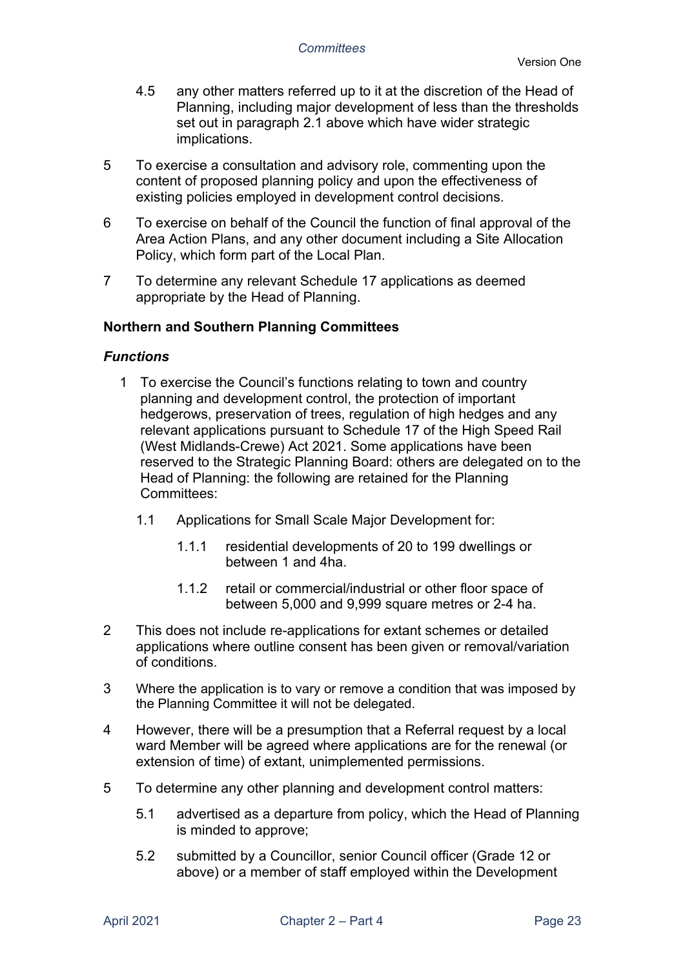- 4.5 any other matters referred up to it at the discretion of the Head of Planning, including major development of less than the thresholds set out in paragraph 2.1 above which have wider strategic implications.
- 5 To exercise a consultation and advisory role, commenting upon the content of proposed planning policy and upon the effectiveness of existing policies employed in development control decisions.
- 6 To exercise on behalf of the Council the function of final approval of the Area Action Plans, and any other document including a Site Allocation Policy, which form part of the Local Plan.
- 7 To determine any relevant Schedule 17 applications as deemed appropriate by the Head of Planning.

## <span id="page-22-0"></span>**Northern and Southern Planning Committees**

- 1 To exercise the Council's functions relating to town and country planning and development control, the protection of important hedgerows, preservation of trees, regulation of high hedges and any relevant applications pursuant to Schedule 17 of the High Speed Rail (West Midlands-Crewe) Act 2021. Some applications have been reserved to the Strategic Planning Board: others are delegated on to the Head of Planning: the following are retained for the Planning Committees:
	- 1.1 Applications for Small Scale Major Development for:
		- 1.1.1 residential developments of 20 to 199 dwellings or between 1 and 4ha.
		- 1.1.2 retail or commercial/industrial or other floor space of between 5,000 and 9,999 square metres or 2-4 ha.
- 2 This does not include re-applications for extant schemes or detailed applications where outline consent has been given or removal/variation of conditions.
- 3 Where the application is to vary or remove a condition that was imposed by the Planning Committee it will not be delegated.
- 4 However, there will be a presumption that a Referral request by a local ward Member will be agreed where applications are for the renewal (or extension of time) of extant, unimplemented permissions.
- 5 To determine any other planning and development control matters:
	- 5.1 advertised as a departure from policy, which the Head of Planning is minded to approve;
	- 5.2 submitted by a Councillor, senior Council officer (Grade 12 or above) or a member of staff employed within the Development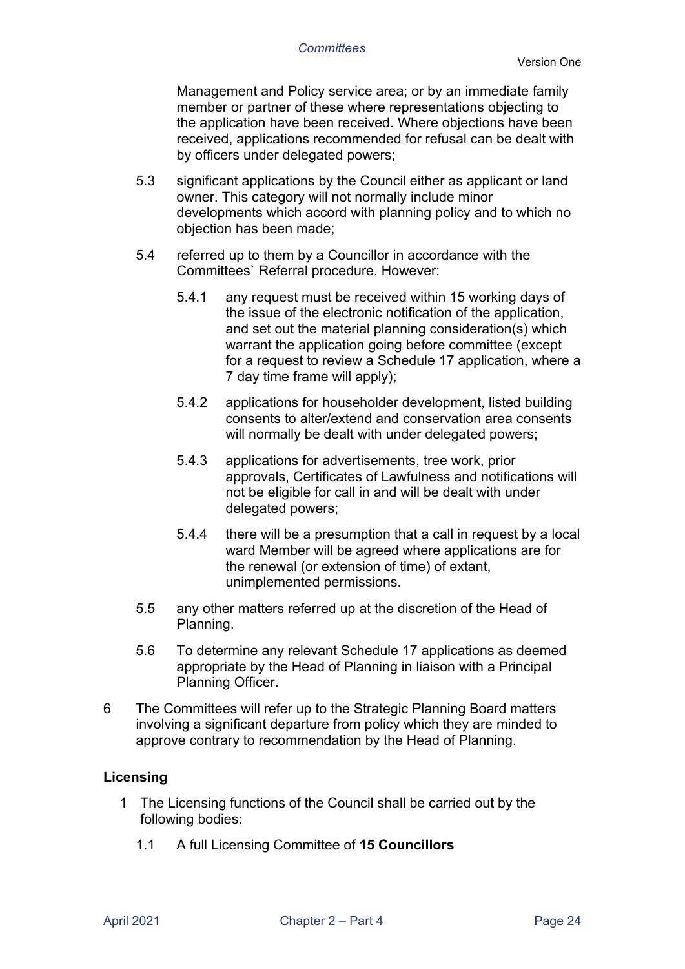Management and Policy service area; or by an immediate family member or partner of these where representations objecting to the application have been received. Where objections have been received, applications recommended for refusal can be dealt with by officers under delegated powers;

- 5.3 significant applications by the Council either as applicant or land owner. This category will not normally include minor developments which accord with planning policy and to which no objection has been made;
- 5.4 referred up to them by a Councillor in accordance with the Committees` Referral procedure. However:
	- 5.4.1 any request must be received within 15 working days of the issue of the electronic notification of the application, and set out the material planning consideration(s) which warrant the application going before committee (except for a request to review a Schedule 17 application, where a 7 day time frame will apply);
	- 5.4.2 applications for householder development, listed building consents to alter/extend and conservation area consents will normally be dealt with under delegated powers;
	- 5.4.3 applications for advertisements, tree work, prior approvals, Certificates of Lawfulness and notifications will not be eligible for call in and will be dealt with under delegated powers;
	- 5.4.4 there will be a presumption that a call in request by a local ward Member will be agreed where applications are for the renewal (or extension of time) of extant, unimplemented permissions.
- 5.5 any other matters referred up at the discretion of the Head of Planning.
- 5.6 To determine any relevant Schedule 17 applications as deemed appropriate by the Head of Planning in liaison with a Principal Planning Officer.
- 6 The Committees will refer up to the Strategic Planning Board matters involving a significant departure from policy which they are minded to approve contrary to recommendation by the Head of Planning.

## <span id="page-23-0"></span>**Licensing**

- 1 The Licensing functions of the Council shall be carried out by the following bodies:
	- 1.1 A full Licensing Committee of **15 Councillors**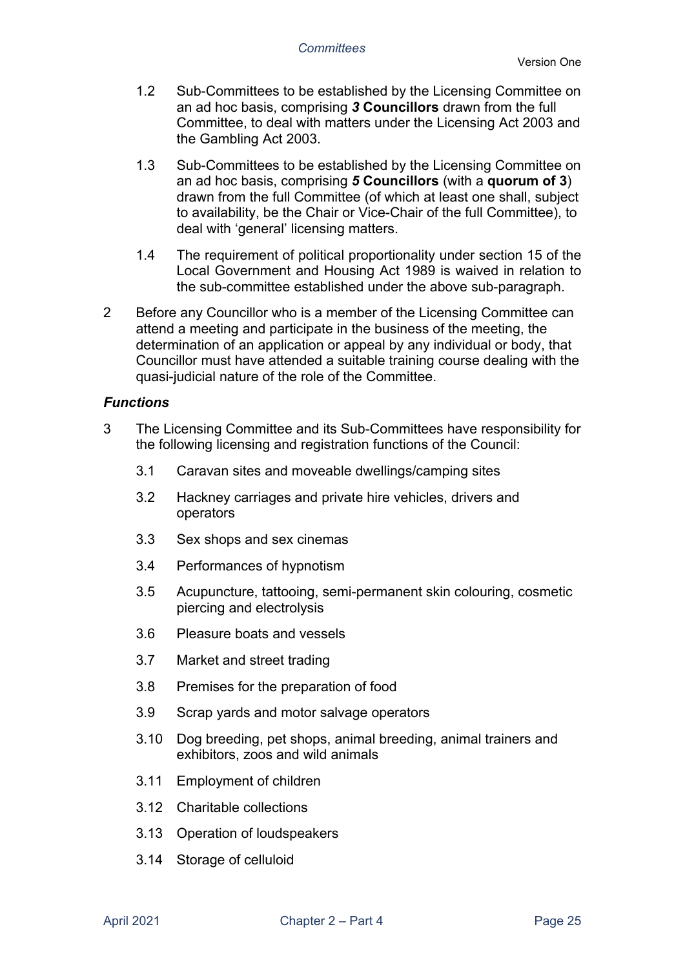- 1.2 Sub-Committees to be established by the Licensing Committee on an ad hoc basis, comprising *3* **Councillors** drawn from the full Committee, to deal with matters under the Licensing Act 2003 and the Gambling Act 2003.
- 1.3 Sub-Committees to be established by the Licensing Committee on an ad hoc basis, comprising *5* **Councillors** (with a **quorum of 3**) drawn from the full Committee (of which at least one shall, subject to availability, be the Chair or Vice-Chair of the full Committee), to deal with 'general' licensing matters.
- 1.4 The requirement of political proportionality under section 15 of the Local Government and Housing Act 1989 is waived in relation to the sub-committee established under the above sub-paragraph.
- 2 Before any Councillor who is a member of the Licensing Committee can attend a meeting and participate in the business of the meeting, the determination of an application or appeal by any individual or body, that Councillor must have attended a suitable training course dealing with the quasi-judicial nature of the role of the Committee.

- 3 The Licensing Committee and its Sub-Committees have responsibility for the following licensing and registration functions of the Council:
	- 3.1 Caravan sites and moveable dwellings/camping sites
	- 3.2 Hackney carriages and private hire vehicles, drivers and operators
	- 3.3 Sex shops and sex cinemas
	- 3.4 Performances of hypnotism
	- 3.5 Acupuncture, tattooing, semi-permanent skin colouring, cosmetic piercing and electrolysis
	- 3.6 Pleasure boats and vessels
	- 3.7 Market and street trading
	- 3.8 Premises for the preparation of food
	- 3.9 Scrap yards and motor salvage operators
	- 3.10 Dog breeding, pet shops, animal breeding, animal trainers and exhibitors, zoos and wild animals
	- 3.11 Employment of children
	- 3.12 Charitable collections
	- 3.13 Operation of loudspeakers
	- 3.14 Storage of celluloid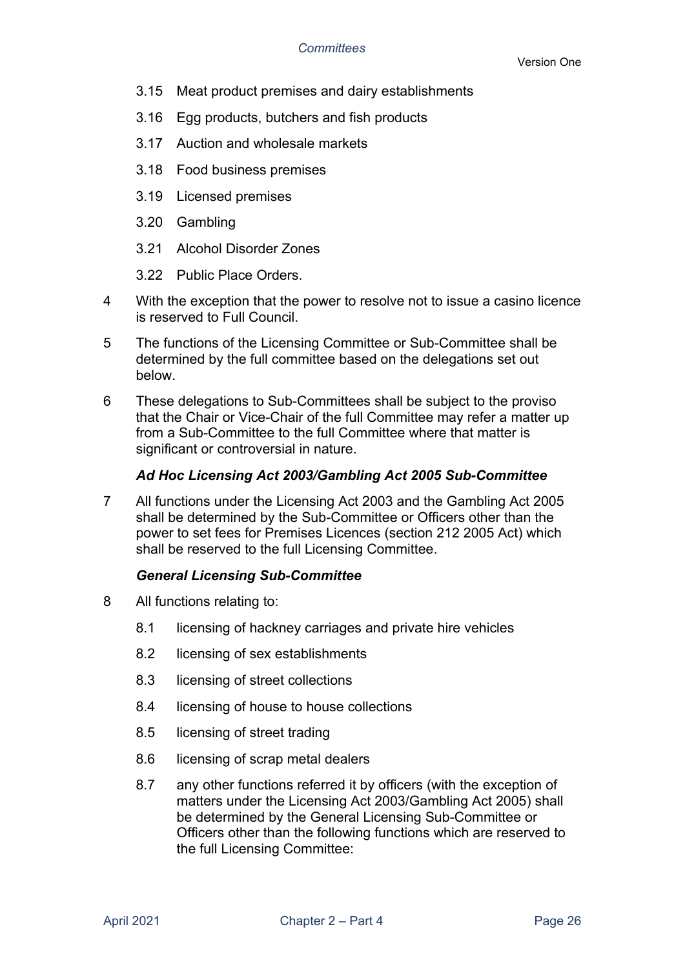#### *Committees*

- 3.15 Meat product premises and dairy establishments
- 3.16 Egg products, butchers and fish products
- 3.17 Auction and wholesale markets
- 3.18 Food business premises
- 3.19 Licensed premises
- 3.20 Gambling
- 3.21 Alcohol Disorder Zones
- 3.22 Public Place Orders.
- 4 With the exception that the power to resolve not to issue a casino licence is reserved to Full Council.
- 5 The functions of the Licensing Committee or Sub-Committee shall be determined by the full committee based on the delegations set out below.
- 6 These delegations to Sub-Committees shall be subject to the proviso that the Chair or Vice-Chair of the full Committee may refer a matter up from a Sub-Committee to the full Committee where that matter is significant or controversial in nature.

#### *Ad Hoc Licensing Act 2003/Gambling Act 2005 Sub-Committee*

7 All functions under the Licensing Act 2003 and the Gambling Act 2005 shall be determined by the Sub-Committee or Officers other than the power to set fees for Premises Licences (section 212 2005 Act) which shall be reserved to the full Licensing Committee.

#### *General Licensing Sub-Committee*

- 8 All functions relating to:
	- 8.1 licensing of hackney carriages and private hire vehicles
	- 8.2 licensing of sex establishments
	- 8.3 licensing of street collections
	- 8.4 licensing of house to house collections
	- 8.5 licensing of street trading
	- 8.6 licensing of scrap metal dealers
	- 8.7 any other functions referred it by officers (with the exception of matters under the Licensing Act 2003/Gambling Act 2005) shall be determined by the General Licensing Sub-Committee or Officers other than the following functions which are reserved to the full Licensing Committee: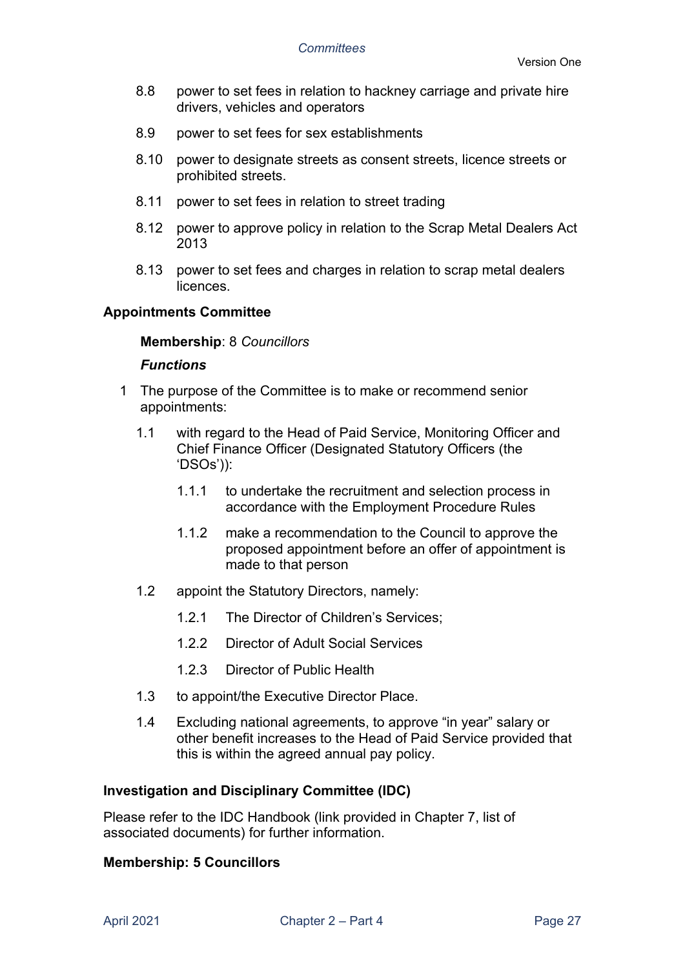- 8.8 power to set fees in relation to hackney carriage and private hire drivers, vehicles and operators
- 8.9 power to set fees for sex establishments
- 8.10 power to designate streets as consent streets, licence streets or prohibited streets.
- 8.11 power to set fees in relation to street trading
- 8.12 power to approve policy in relation to the Scrap Metal Dealers Act 2013
- 8.13 power to set fees and charges in relation to scrap metal dealers **licences**

## **Appointments Committee**

#### **Membership**: 8 *Councillors*

#### *Functions*

- 1 The purpose of the Committee is to make or recommend senior appointments:
	- 1.1 with regard to the Head of Paid Service, Monitoring Officer and Chief Finance Officer (Designated Statutory Officers (the 'DSOs')):
		- 1.1.1 to undertake the recruitment and selection process in accordance with the Employment Procedure Rules
		- 1.1.2 make a recommendation to the Council to approve the proposed appointment before an offer of appointment is made to that person
	- 1.2 appoint the Statutory Directors, namely:
		- 1.2.1 The Director of Children's Services;
		- 1.2.2 Director of Adult Social Services
		- 1.2.3 Director of Public Health
	- 1.3 to appoint/the Executive Director Place.
	- 1.4 Excluding national agreements, to approve "in year" salary or other benefit increases to the Head of Paid Service provided that this is within the agreed annual pay policy.

#### <span id="page-26-0"></span>**Investigation and Disciplinary Committee (IDC)**

Please refer to the IDC Handbook (link provided in Chapter 7, list of associated documents) for further information.

#### **Membership: 5 Councillors**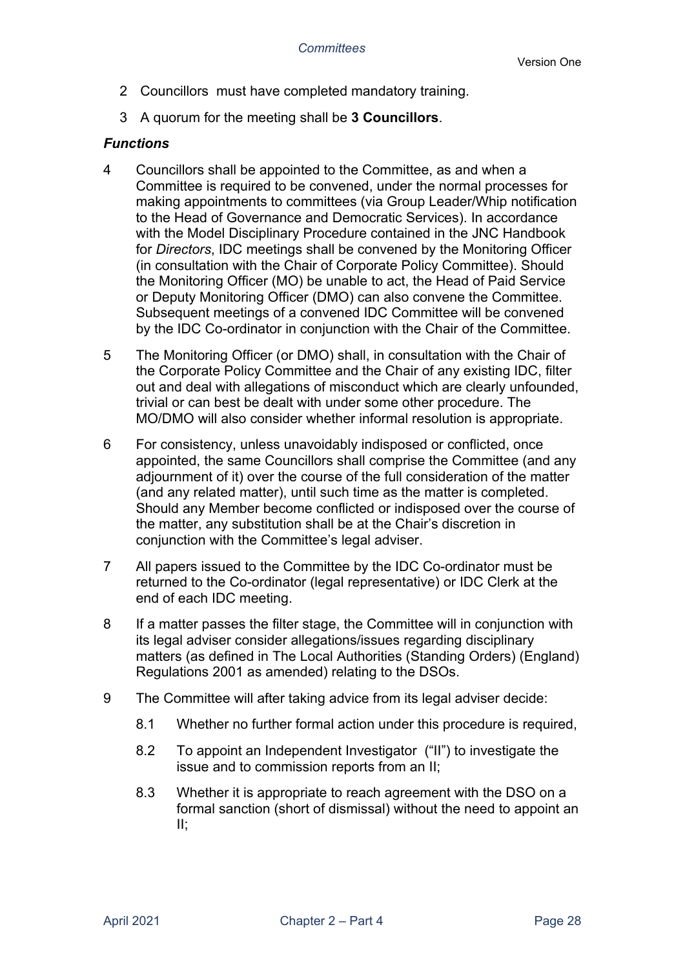- 2 Councillors must have completed mandatory training.
- 3 A quorum for the meeting shall be **3 Councillors**.

- 4 Councillors shall be appointed to the Committee, as and when a Committee is required to be convened, under the normal processes for making appointments to committees (via Group Leader/Whip notification to the Head of Governance and Democratic Services). In accordance with the Model Disciplinary Procedure contained in the JNC Handbook for *Directors*, IDC meetings shall be convened by the Monitoring Officer (in consultation with the Chair of Corporate Policy Committee). Should the Monitoring Officer (MO) be unable to act, the Head of Paid Service or Deputy Monitoring Officer (DMO) can also convene the Committee. Subsequent meetings of a convened IDC Committee will be convened by the IDC Co-ordinator in conjunction with the Chair of the Committee.
- 5 The Monitoring Officer (or DMO) shall, in consultation with the Chair of the Corporate Policy Committee and the Chair of any existing IDC, filter out and deal with allegations of misconduct which are clearly unfounded, trivial or can best be dealt with under some other procedure. The MO/DMO will also consider whether informal resolution is appropriate.
- 6 For consistency, unless unavoidably indisposed or conflicted, once appointed, the same Councillors shall comprise the Committee (and any adjournment of it) over the course of the full consideration of the matter (and any related matter), until such time as the matter is completed. Should any Member become conflicted or indisposed over the course of the matter, any substitution shall be at the Chair's discretion in conjunction with the Committee's legal adviser.
- 7 All papers issued to the Committee by the IDC Co-ordinator must be returned to the Co-ordinator (legal representative) or IDC Clerk at the end of each IDC meeting.
- 8 If a matter passes the filter stage, the Committee will in conjunction with its legal adviser consider allegations/issues regarding disciplinary matters (as defined in The Local Authorities (Standing Orders) (England) Regulations 2001 as amended) relating to the DSOs.
- 9 The Committee will after taking advice from its legal adviser decide:
	- 8.1 Whether no further formal action under this procedure is required,
	- 8.2 To appoint an Independent Investigator ("II") to investigate the issue and to commission reports from an II;
	- 8.3 Whether it is appropriate to reach agreement with the DSO on a formal sanction (short of dismissal) without the need to appoint an II;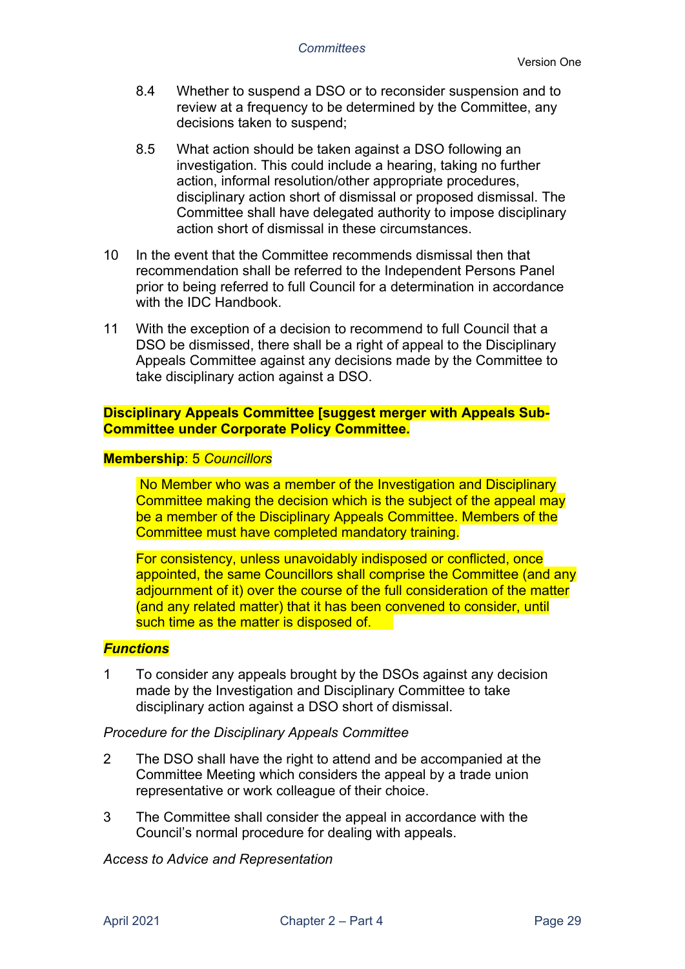- 8.4 Whether to suspend a DSO or to reconsider suspension and to review at a frequency to be determined by the Committee, any decisions taken to suspend;
- 8.5 What action should be taken against a DSO following an investigation. This could include a hearing, taking no further action, informal resolution/other appropriate procedures, disciplinary action short of dismissal or proposed dismissal. The Committee shall have delegated authority to impose disciplinary action short of dismissal in these circumstances.
- 10 In the event that the Committee recommends dismissal then that recommendation shall be referred to the Independent Persons Panel prior to being referred to full Council for a determination in accordance with the IDC Handbook.
- 11 With the exception of a decision to recommend to full Council that a DSO be dismissed, there shall be a right of appeal to the Disciplinary Appeals Committee against any decisions made by the Committee to take disciplinary action against a DSO.

<span id="page-28-0"></span>**Disciplinary Appeals Committee [suggest merger with Appeals Sub-Committee under Corporate Policy Committee.**

#### <span id="page-28-1"></span>**Membership**: 5 *Councillors*

No Member who was a member of the Investigation and Disciplinary Committee making the decision which is the subject of the appeal may be a member of the Disciplinary Appeals Committee. Members of the Committee must have completed mandatory training.

For consistency, unless unavoidably indisposed or conflicted, once appointed, the same Councillors shall comprise the Committee (and any adjournment of it) over the course of the full consideration of the matter (and any related matter) that it has been convened to consider, until such time as the matter is disposed of.

## *Functions*

1 To consider any appeals brought by the DSOs against any decision made by the Investigation and Disciplinary Committee to take disciplinary action against a DSO short of dismissal.

#### *Procedure for the Disciplinary Appeals Committee*

- 2 The DSO shall have the right to attend and be accompanied at the Committee Meeting which considers the appeal by a trade union representative or work colleague of their choice.
- 3 The Committee shall consider the appeal in accordance with the Council's normal procedure for dealing with appeals.

#### *Access to Advice and Representation*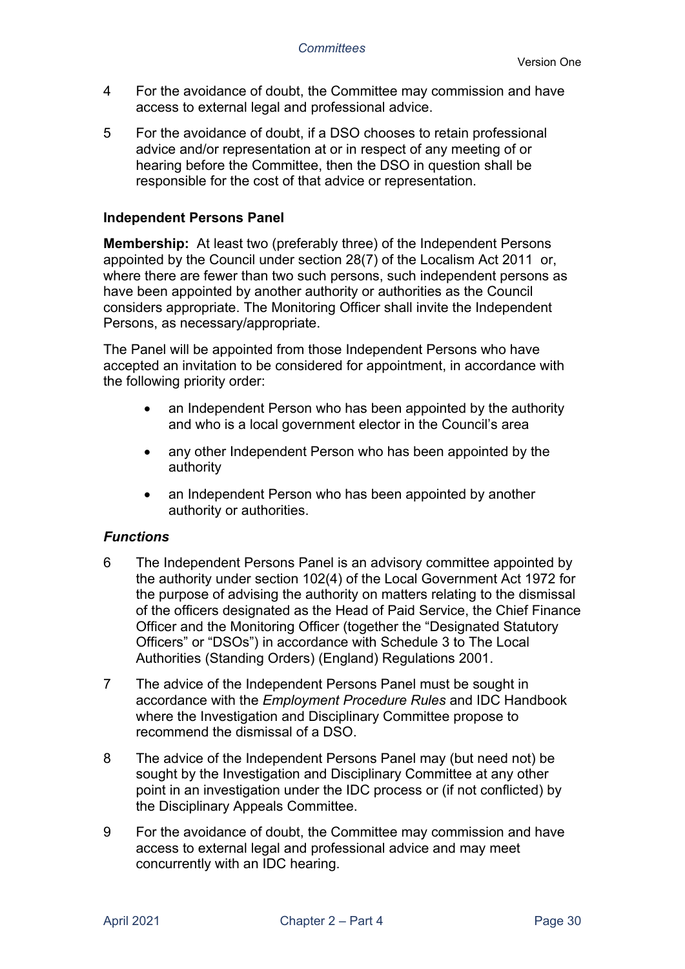- 4 For the avoidance of doubt, the Committee may commission and have access to external legal and professional advice.
- 5 For the avoidance of doubt, if a DSO chooses to retain professional advice and/or representation at or in respect of any meeting of or hearing before the Committee, then the DSO in question shall be responsible for the cost of that advice or representation.

#### **Independent Persons Panel**

**Membership:** At least two (preferably three) of the Independent Persons appointed by the Council under section 28(7) of the Localism Act 2011 or, where there are fewer than two such persons, such independent persons as have been appointed by another authority or authorities as the Council considers appropriate. The Monitoring Officer shall invite the Independent Persons, as necessary/appropriate.

The Panel will be appointed from those Independent Persons who have accepted an invitation to be considered for appointment, in accordance with the following priority order:

- an Independent Person who has been appointed by the authority and who is a local government elector in the Council's area
- any other Independent Person who has been appointed by the authority
- an Independent Person who has been appointed by another authority or authorities.

- 6 The Independent Persons Panel is an advisory committee appointed by the authority under section 102(4) of the Local Government Act 1972 for the purpose of advising the authority on matters relating to the dismissal of the officers designated as the Head of Paid Service, the Chief Finance Officer and the Monitoring Officer (together the "Designated Statutory Officers" or "DSOs") in accordance with Schedule 3 to The Local Authorities (Standing Orders) (England) Regulations 2001.
- 7 The advice of the Independent Persons Panel must be sought in accordance with the *Employment Procedure Rules* and IDC Handbook where the Investigation and Disciplinary Committee propose to recommend the dismissal of a DSO.
- 8 The advice of the Independent Persons Panel may (but need not) be sought by the Investigation and Disciplinary Committee at any other point in an investigation under the IDC process or (if not conflicted) by the Disciplinary Appeals Committee.
- 9 For the avoidance of doubt, the Committee may commission and have access to external legal and professional advice and may meet concurrently with an IDC hearing.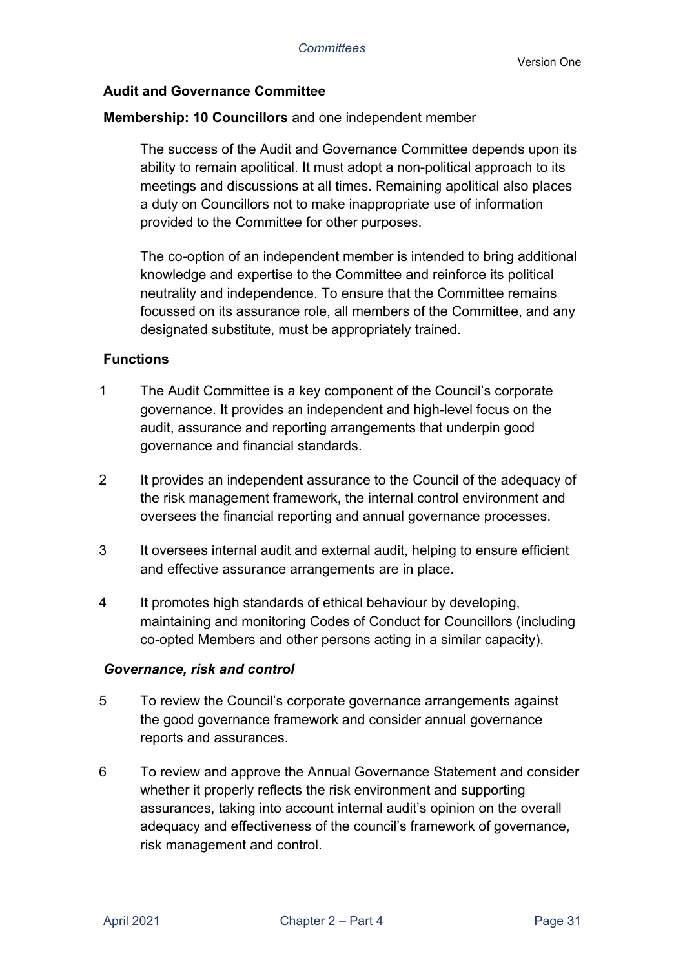## **Audit and Governance Committee**

## **Membership: 10 Councillors** and one independent member

The success of the Audit and Governance Committee depends upon its ability to remain apolitical. It must adopt a non-political approach to its meetings and discussions at all times. Remaining apolitical also places a duty on Councillors not to make inappropriate use of information provided to the Committee for other purposes.

The co-option of an independent member is intended to bring additional knowledge and expertise to the Committee and reinforce its political neutrality and independence. To ensure that the Committee remains focussed on its assurance role, all members of the Committee, and any designated substitute, must be appropriately trained.

## **Functions**

- 1 The Audit Committee is a key component of the Council's corporate governance. It provides an independent and high-level focus on the audit, assurance and reporting arrangements that underpin good governance and financial standards.
- 2 It provides an independent assurance to the Council of the adequacy of the risk management framework, the internal control environment and oversees the financial reporting and annual governance processes.
- 3 It oversees internal audit and external audit, helping to ensure efficient and effective assurance arrangements are in place.
- 4 It promotes high standards of ethical behaviour by developing, maintaining and monitoring Codes of Conduct for Councillors (including co-opted Members and other persons acting in a similar capacity).

## *Governance, risk and control*

- 5 To review the Council's corporate governance arrangements against the good governance framework and consider annual governance reports and assurances.
- 6 To review and approve the Annual Governance Statement and consider whether it properly reflects the risk environment and supporting assurances, taking into account internal audit's opinion on the overall adequacy and effectiveness of the council's framework of governance, risk management and control.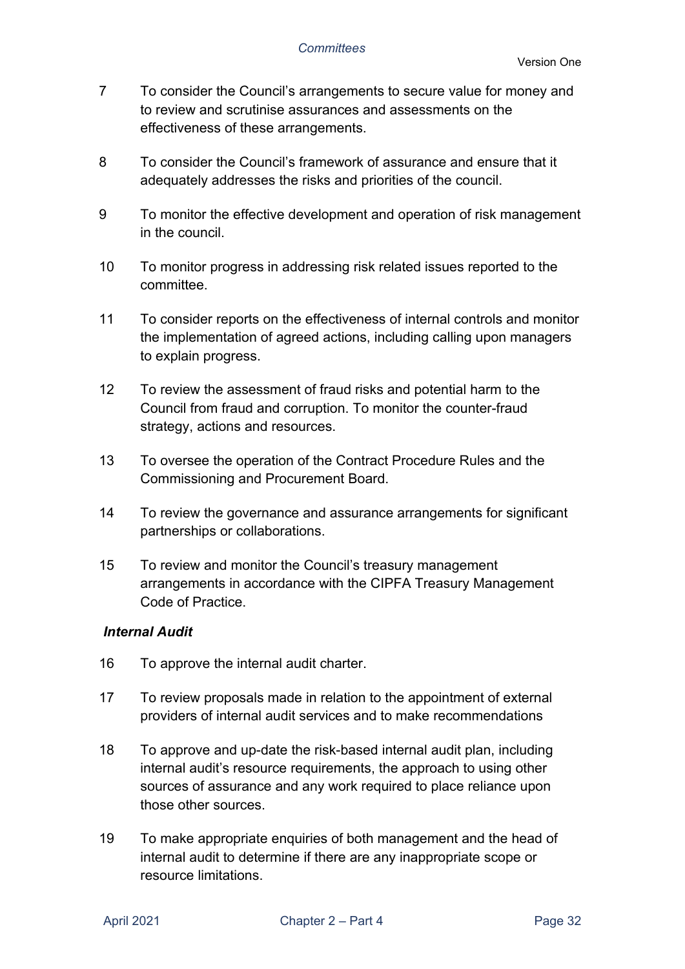#### *Committees*

- 7 To consider the Council's arrangements to secure value for money and to review and scrutinise assurances and assessments on the effectiveness of these arrangements.
- 8 To consider the Council's framework of assurance and ensure that it adequately addresses the risks and priorities of the council.
- 9 To monitor the effective development and operation of risk management in the council.
- 10 To monitor progress in addressing risk related issues reported to the committee.
- 11 To consider reports on the effectiveness of internal controls and monitor the implementation of agreed actions, including calling upon managers to explain progress.
- 12 To review the assessment of fraud risks and potential harm to the Council from fraud and corruption. To monitor the counter-fraud strategy, actions and resources.
- 13 To oversee the operation of the Contract Procedure Rules and the Commissioning and Procurement Board.
- 14 To review the governance and assurance arrangements for significant partnerships or collaborations.
- 15 To review and monitor the Council's treasury management arrangements in accordance with the CIPFA Treasury Management Code of Practice.

## *Internal Audit*

- 16 To approve the internal audit charter.
- 17 To review proposals made in relation to the appointment of external providers of internal audit services and to make recommendations
- 18 To approve and up-date the risk-based internal audit plan, including internal audit's resource requirements, the approach to using other sources of assurance and any work required to place reliance upon those other sources.
- 19 To make appropriate enquiries of both management and the head of internal audit to determine if there are any inappropriate scope or resource limitations.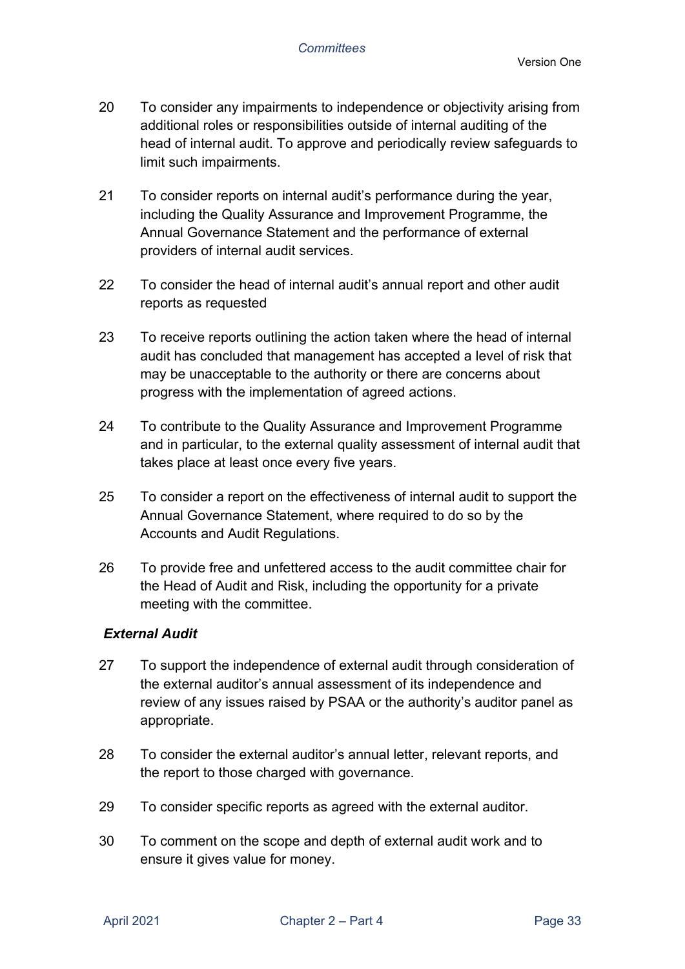- 20 To consider any impairments to independence or objectivity arising from additional roles or responsibilities outside of internal auditing of the head of internal audit. To approve and periodically review safeguards to limit such impairments.
- 21 To consider reports on internal audit's performance during the year, including the Quality Assurance and Improvement Programme, the Annual Governance Statement and the performance of external providers of internal audit services.
- 22 To consider the head of internal audit's annual report and other audit reports as requested
- 23 To receive reports outlining the action taken where the head of internal audit has concluded that management has accepted a level of risk that may be unacceptable to the authority or there are concerns about progress with the implementation of agreed actions.
- 24 To contribute to the Quality Assurance and Improvement Programme and in particular, to the external quality assessment of internal audit that takes place at least once every five years.
- 25 To consider a report on the effectiveness of internal audit to support the Annual Governance Statement, where required to do so by the Accounts and Audit Regulations.
- 26 To provide free and unfettered access to the audit committee chair for the Head of Audit and Risk, including the opportunity for a private meeting with the committee.

## *External Audit*

- 27 To support the independence of external audit through consideration of the external auditor's annual assessment of its independence and review of any issues raised by PSAA or the authority's auditor panel as appropriate.
- 28 To consider the external auditor's annual letter, relevant reports, and the report to those charged with governance.
- 29 To consider specific reports as agreed with the external auditor.
- 30 To comment on the scope and depth of external audit work and to ensure it gives value for money.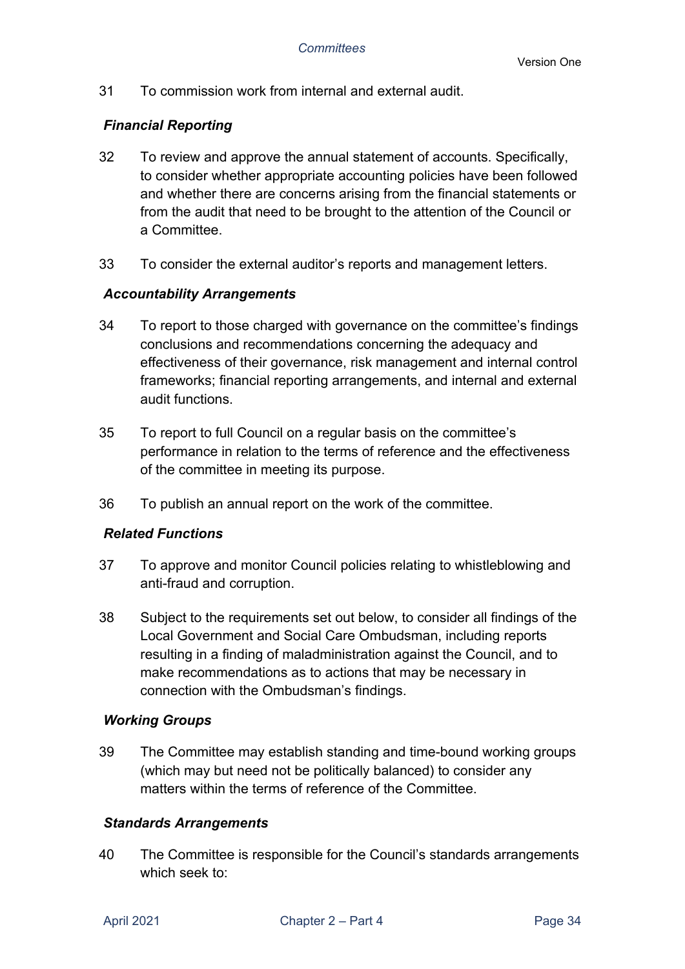31 To commission work from internal and external audit.

## *Financial Reporting*

- 32 To review and approve the annual statement of accounts. Specifically, to consider whether appropriate accounting policies have been followed and whether there are concerns arising from the financial statements or from the audit that need to be brought to the attention of the Council or a Committee.
- 33 To consider the external auditor's reports and management letters.

## *Accountability Arrangements*

- 34 To report to those charged with governance on the committee's findings conclusions and recommendations concerning the adequacy and effectiveness of their governance, risk management and internal control frameworks; financial reporting arrangements, and internal and external audit functions.
- 35 To report to full Council on a regular basis on the committee's performance in relation to the terms of reference and the effectiveness of the committee in meeting its purpose.
- 36 To publish an annual report on the work of the committee.

## *Related Functions*

- 37 To approve and monitor Council policies relating to whistleblowing and anti-fraud and corruption.
- 38 Subject to the requirements set out below, to consider all findings of the Local Government and Social Care Ombudsman, including reports resulting in a finding of maladministration against the Council, and to make recommendations as to actions that may be necessary in connection with the Ombudsman's findings.

## *Working Groups*

39 The Committee may establish standing and time-bound working groups (which may but need not be politically balanced) to consider any matters within the terms of reference of the Committee.

## *Standards Arrangements*

40 The Committee is responsible for the Council's standards arrangements which seek to: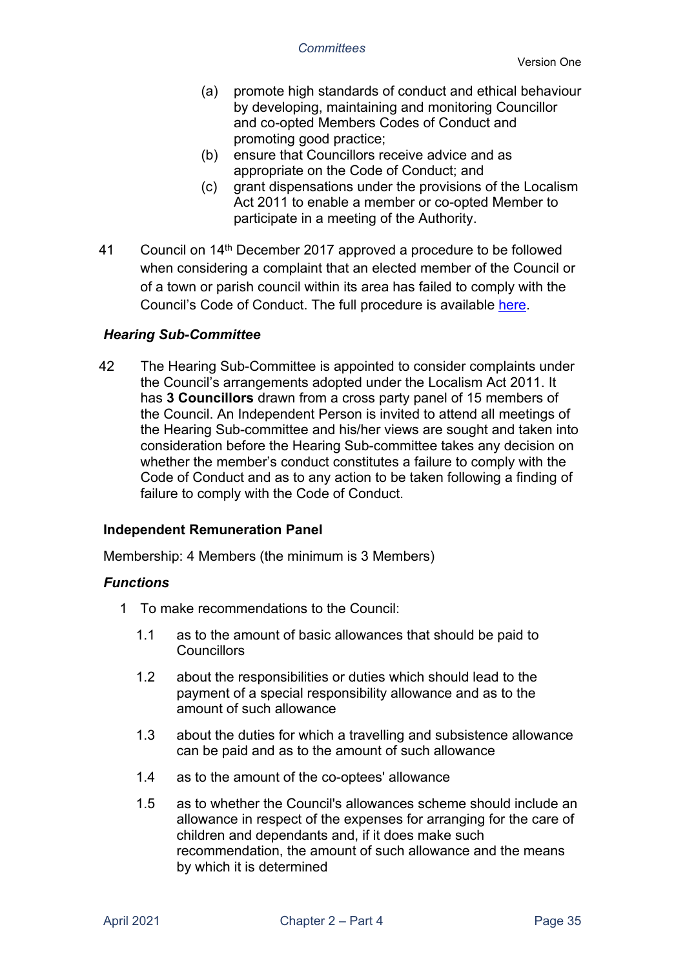- (a) promote high standards of conduct and ethical behaviour by developing, maintaining and monitoring Councillor and co-opted Members Codes of Conduct and promoting good practice;
- (b) ensure that Councillors receive advice and as appropriate on the Code of Conduct; and
- (c) grant dispensations under the provisions of the Localism Act 2011 to enable a member or co-opted Member to participate in a meeting of the Authority.
- 41 Council on 14th December 2017 approved a procedure to be followed when considering a complaint that an elected member of the Council or of a town or parish council within its area has failed to comply with the Council's Code of Conduct. The full procedure is available here.

## *Hearing Sub-Committee*

42 The Hearing Sub-Committee is appointed to consider complaints under the Council's arrangements adopted under the Localism Act 2011. It has **3 Councillors** drawn from a cross party panel of 15 members of the Council. An Independent Person is invited to attend all meetings of the Hearing Sub-committee and his/her views are sought and taken into consideration before the Hearing Sub-committee takes any decision on whether the member's conduct constitutes a failure to comply with the Code of Conduct and as to any action to be taken following a finding of failure to comply with the Code of Conduct.

## <span id="page-34-0"></span>**Independent Remuneration Panel**

Membership: 4 Members (the minimum is 3 Members)

- 1 To make recommendations to the Council:
	- 1.1 as to the amount of basic allowances that should be paid to **Councillors**
	- 1.2 about the responsibilities or duties which should lead to the payment of a special responsibility allowance and as to the amount of such allowance
	- 1.3 about the duties for which a travelling and subsistence allowance can be paid and as to the amount of such allowance
	- 1.4 as to the amount of the co-optees' allowance
	- 1.5 as to whether the Council's allowances scheme should include an allowance in respect of the expenses for arranging for the care of children and dependants and, if it does make such recommendation, the amount of such allowance and the means by which it is determined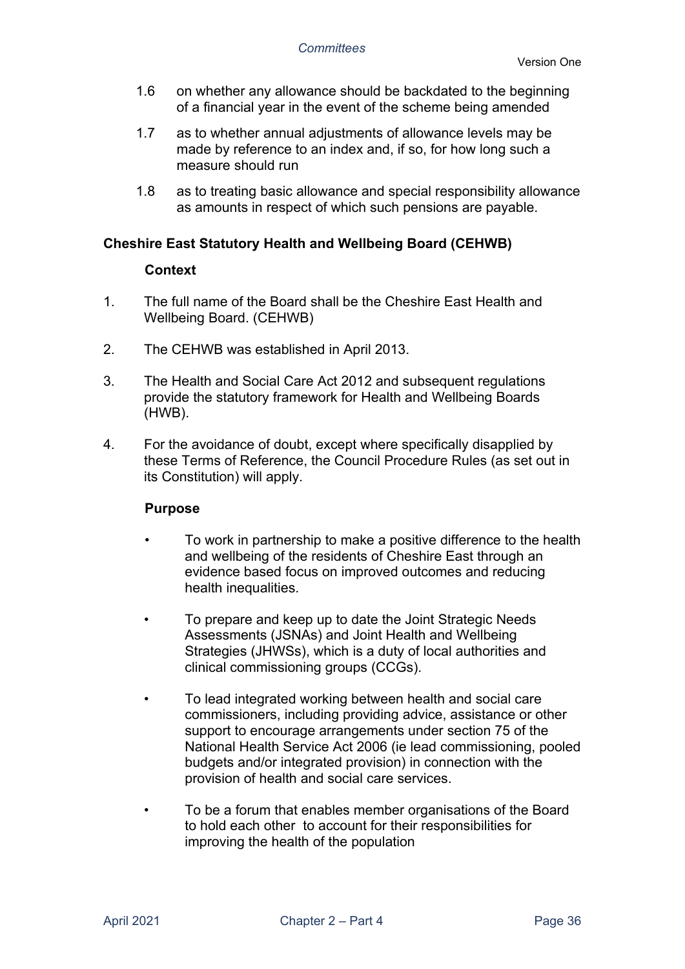- 1.6 on whether any allowance should be backdated to the beginning of a financial year in the event of the scheme being amended
- 1.7 as to whether annual adjustments of allowance levels may be made by reference to an index and, if so, for how long such a measure should run
- 1.8 as to treating basic allowance and special responsibility allowance as amounts in respect of which such pensions are payable.

## **Cheshire East Statutory Health and Wellbeing Board (CEHWB)**

#### <span id="page-35-0"></span>**Context**

- 1. The full name of the Board shall be the Cheshire East Health and Wellbeing Board. (CEHWB)
- 2. The CEHWB was established in April 2013.
- 3. The Health and Social Care Act 2012 and subsequent regulations provide the statutory framework for Health and Wellbeing Boards (HWB).
- 4. For the avoidance of doubt, except where specifically disapplied by these Terms of Reference, the Council Procedure Rules (as set out in its Constitution) will apply.

## **Purpose**

- To work in partnership to make a positive difference to the health and wellbeing of the residents of Cheshire East through an evidence based focus on improved outcomes and reducing health inequalities.
- To prepare and keep up to date the Joint Strategic Needs Assessments (JSNAs) and Joint Health and Wellbeing Strategies (JHWSs), which is a duty of local authorities and clinical commissioning groups (CCGs).
- To lead integrated working between health and social care commissioners, including providing advice, assistance or other support to encourage arrangements under section 75 of the National Health Service Act 2006 (ie lead commissioning, pooled budgets and/or integrated provision) in connection with the provision of health and social care services.
- To be a forum that enables member organisations of the Board to hold each other to account for their responsibilities for improving the health of the population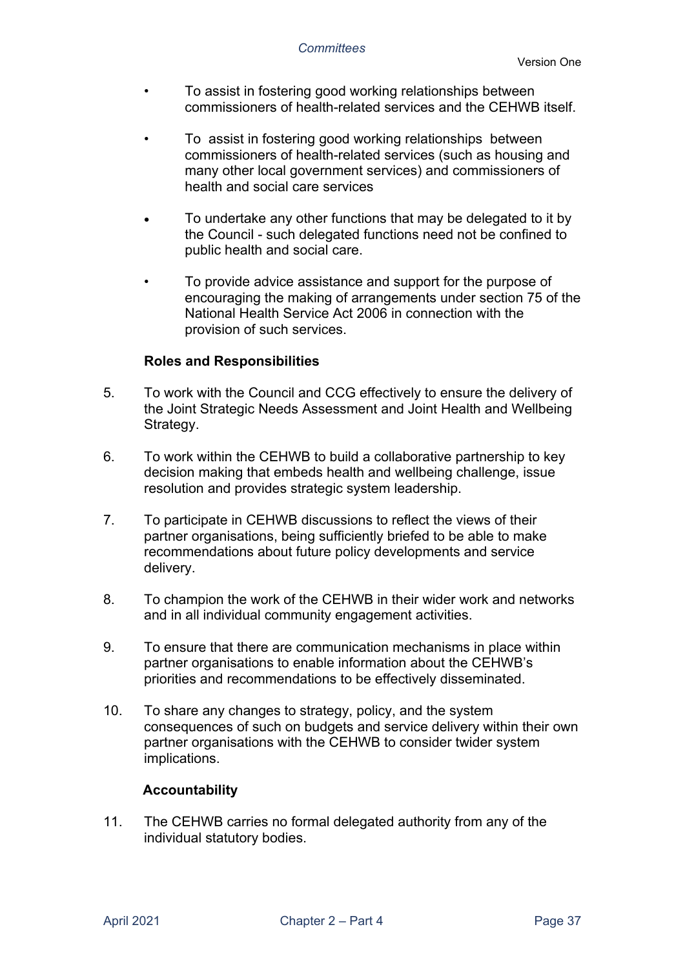- To assist in fostering good working relationships between commissioners of health-related services and the CEHWB itself.
- To assist in fostering good working relationships between commissioners of health-related services (such as housing and many other local government services) and commissioners of health and social care services
- To undertake any other functions that may be delegated to it by the Council - such delegated functions need not be confined to public health and social care.
- To provide advice assistance and support for the purpose of encouraging the making of arrangements under section 75 of the National Health Service Act 2006 in connection with the provision of such services.

## **Roles and Responsibilities**

- 5. To work with the Council and CCG effectively to ensure the delivery of the Joint Strategic Needs Assessment and Joint Health and Wellbeing Strategy.
- 6. To work within the CEHWB to build a collaborative partnership to key decision making that embeds health and wellbeing challenge, issue resolution and provides strategic system leadership.
- 7. To participate in CEHWB discussions to reflect the views of their partner organisations, being sufficiently briefed to be able to make recommendations about future policy developments and service delivery.
- 8. To champion the work of the CEHWB in their wider work and networks and in all individual community engagement activities.
- 9. To ensure that there are communication mechanisms in place within partner organisations to enable information about the CEHWB's priorities and recommendations to be effectively disseminated.
- 10. To share any changes to strategy, policy, and the system consequences of such on budgets and service delivery within their own partner organisations with the CEHWB to consider twider system implications.

## **Accountability**

11. The CEHWB carries no formal delegated authority from any of the individual statutory bodies.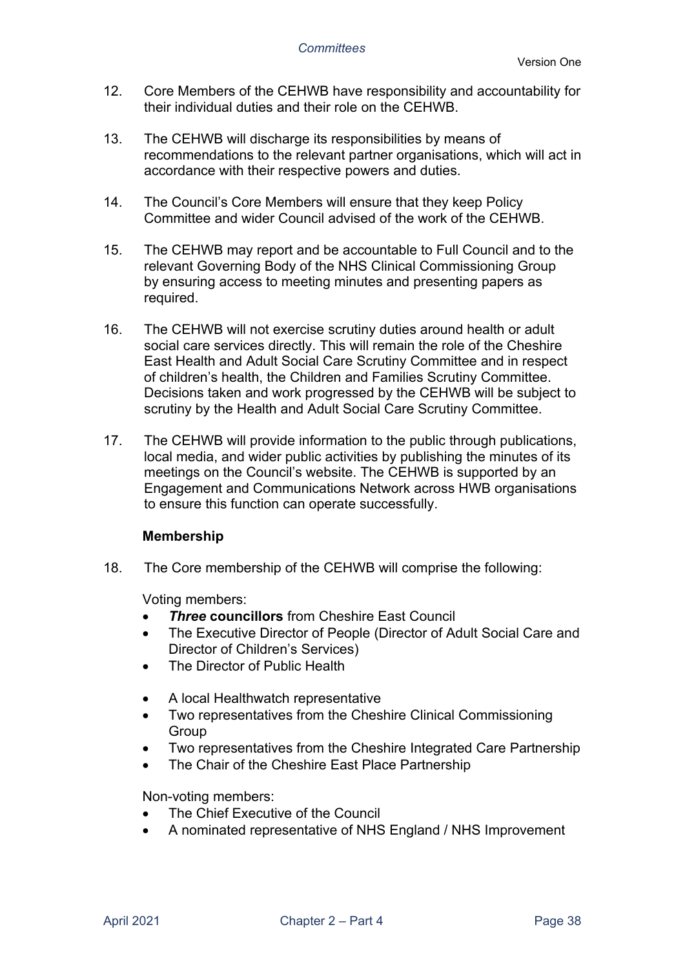- 12. Core Members of the CEHWB have responsibility and accountability for their individual duties and their role on the CEHWB.
- 13. The CEHWB will discharge its responsibilities by means of recommendations to the relevant partner organisations, which will act in accordance with their respective powers and duties.
- 14. The Council's Core Members will ensure that they keep Policy Committee and wider Council advised of the work of the CEHWB.
- 15. The CEHWB may report and be accountable to Full Council and to the relevant Governing Body of the NHS Clinical Commissioning Group by ensuring access to meeting minutes and presenting papers as required.
- 16. The CEHWB will not exercise scrutiny duties around health or adult social care services directly. This will remain the role of the Cheshire East Health and Adult Social Care Scrutiny Committee and in respect of children's health, the Children and Families Scrutiny Committee. Decisions taken and work progressed by the CEHWB will be subject to scrutiny by the Health and Adult Social Care Scrutiny Committee.
- 17. The CEHWB will provide information to the public through publications, local media, and wider public activities by publishing the minutes of its meetings on the Council's website. The CEHWB is supported by an Engagement and Communications Network across HWB organisations to ensure this function can operate successfully.

## **Membership**

18. The Core membership of the CEHWB will comprise the following:

Voting members:

- *Three* **councillors** from Cheshire East Council
- The Executive Director of People (Director of Adult Social Care and Director of Children's Services)
- The Director of Public Health
- A local Healthwatch representative
- Two representatives from the Cheshire Clinical Commissioning **Group**
- Two representatives from the Cheshire Integrated Care Partnership
- The Chair of the Cheshire East Place Partnership

Non-voting members:

- The Chief Executive of the Council
- A nominated representative of NHS England / NHS Improvement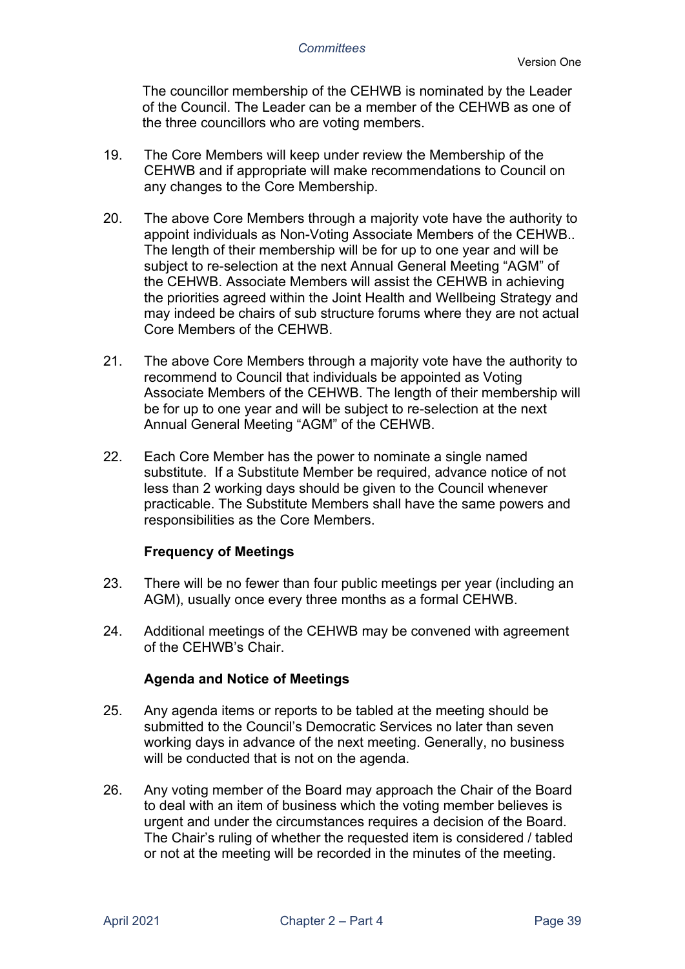The councillor membership of the CEHWB is nominated by the Leader of the Council. The Leader can be a member of the CEHWB as one of the three councillors who are voting members.

- 19. The Core Members will keep under review the Membership of the CEHWB and if appropriate will make recommendations to Council on any changes to the Core Membership.
- 20. The above Core Members through a majority vote have the authority to appoint individuals as Non-Voting Associate Members of the CEHWB.. The length of their membership will be for up to one year and will be subject to re-selection at the next Annual General Meeting "AGM" of the CEHWB. Associate Members will assist the CEHWB in achieving the priorities agreed within the Joint Health and Wellbeing Strategy and may indeed be chairs of sub structure forums where they are not actual Core Members of the CEHWB.
- 21. The above Core Members through a majority vote have the authority to recommend to Council that individuals be appointed as Voting Associate Members of the CEHWB. The length of their membership will be for up to one year and will be subject to re-selection at the next Annual General Meeting "AGM" of the CEHWB.
- 22. Each Core Member has the power to nominate a single named substitute. If a Substitute Member be required, advance notice of not less than 2 working days should be given to the Council whenever practicable. The Substitute Members shall have the same powers and responsibilities as the Core Members.

## **Frequency of Meetings**

- 23. There will be no fewer than four public meetings per year (including an AGM), usually once every three months as a formal CEHWB.
- 24. Additional meetings of the CEHWB may be convened with agreement of the CEHWB's Chair.

## **Agenda and Notice of Meetings**

- 25. Any agenda items or reports to be tabled at the meeting should be submitted to the Council's Democratic Services no later than seven working days in advance of the next meeting. Generally, no business will be conducted that is not on the agenda.
- 26. Any voting member of the Board may approach the Chair of the Board to deal with an item of business which the voting member believes is urgent and under the circumstances requires a decision of the Board. The Chair's ruling of whether the requested item is considered / tabled or not at the meeting will be recorded in the minutes of the meeting.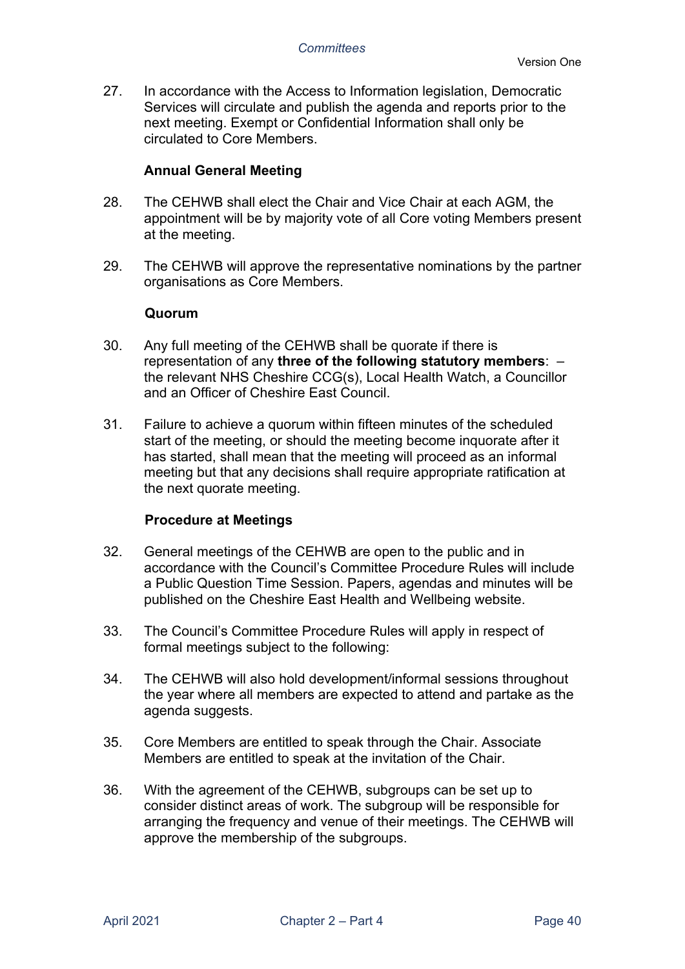27. In accordance with the Access to Information legislation, Democratic Services will circulate and publish the agenda and reports prior to the next meeting. Exempt or Confidential Information shall only be circulated to Core Members.

#### **Annual General Meeting**

- 28. The CEHWB shall elect the Chair and Vice Chair at each AGM, the appointment will be by majority vote of all Core voting Members present at the meeting.
- 29. The CEHWB will approve the representative nominations by the partner organisations as Core Members.

#### **Quorum**

- 30. Any full meeting of the CEHWB shall be quorate if there is representation of any **three of the following statutory members**: – the relevant NHS Cheshire CCG(s), Local Health Watch, a Councillor and an Officer of Cheshire East Council.
- 31. Failure to achieve a quorum within fifteen minutes of the scheduled start of the meeting, or should the meeting become inquorate after it has started, shall mean that the meeting will proceed as an informal meeting but that any decisions shall require appropriate ratification at the next quorate meeting.

#### **Procedure at Meetings**

- 32. General meetings of the CEHWB are open to the public and in accordance with the Council's Committee Procedure Rules will include a Public Question Time Session. Papers, agendas and minutes will be published on the Cheshire East Health and Wellbeing website.
- 33. The Council's Committee Procedure Rules will apply in respect of formal meetings subject to the following:
- 34. The CEHWB will also hold development/informal sessions throughout the year where all members are expected to attend and partake as the agenda suggests.
- 35. Core Members are entitled to speak through the Chair. Associate Members are entitled to speak at the invitation of the Chair.
- 36. With the agreement of the CEHWB, subgroups can be set up to consider distinct areas of work. The subgroup will be responsible for arranging the frequency and venue of their meetings. The CEHWB will approve the membership of the subgroups.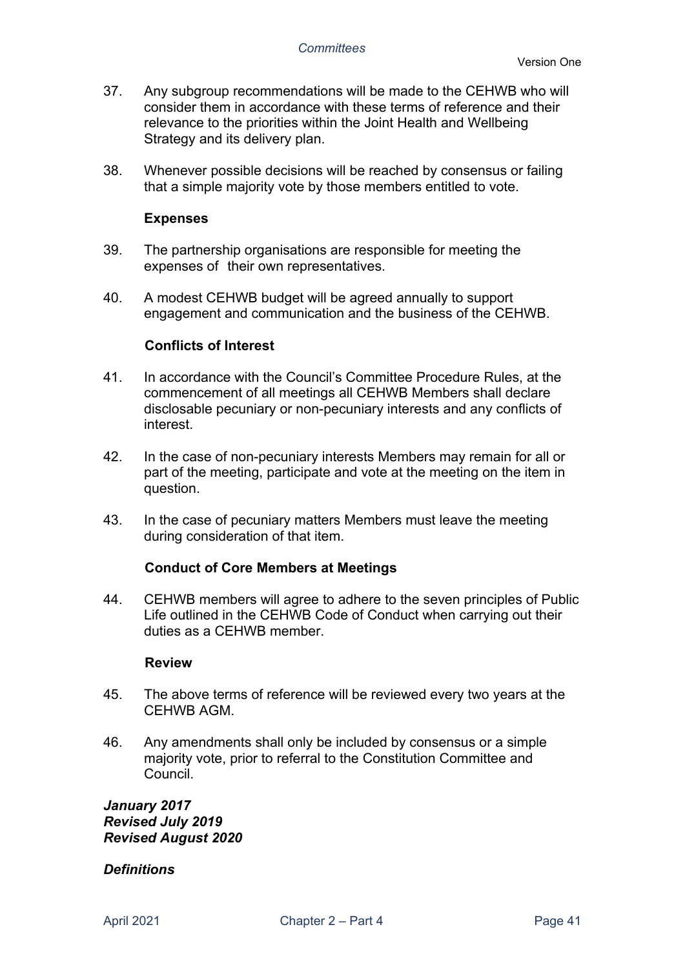- 37. Any subgroup recommendations will be made to the CEHWB who will consider them in accordance with these terms of reference and their relevance to the priorities within the Joint Health and Wellbeing Strategy and its delivery plan.
- 38. Whenever possible decisions will be reached by consensus or failing that a simple majority vote by those members entitled to vote.

#### **Expenses**

- 39. The partnership organisations are responsible for meeting the expenses of their own representatives.
- 40. A modest CEHWB budget will be agreed annually to support engagement and communication and the business of the CEHWB.

## **Conflicts of Interest**

- 41. In accordance with the Council's Committee Procedure Rules, at the commencement of all meetings all CEHWB Members shall declare disclosable pecuniary or non-pecuniary interests and any conflicts of interest.
- 42. In the case of non-pecuniary interests Members may remain for all or part of the meeting, participate and vote at the meeting on the item in question.
- 43. In the case of pecuniary matters Members must leave the meeting during consideration of that item.

#### **Conduct of Core Members at Meetings**

44. CEHWB members will agree to adhere to the seven principles of Public Life outlined in the CEHWB Code of Conduct when carrying out their duties as a CEHWB member.

#### **Review**

- 45. The above terms of reference will be reviewed every two years at the CEHWB AGM.
- 46. Any amendments shall only be included by consensus or a simple majority vote, prior to referral to the Constitution Committee and Council.

*January 2017 Revised July 2019 Revised August 2020*

*Definitions*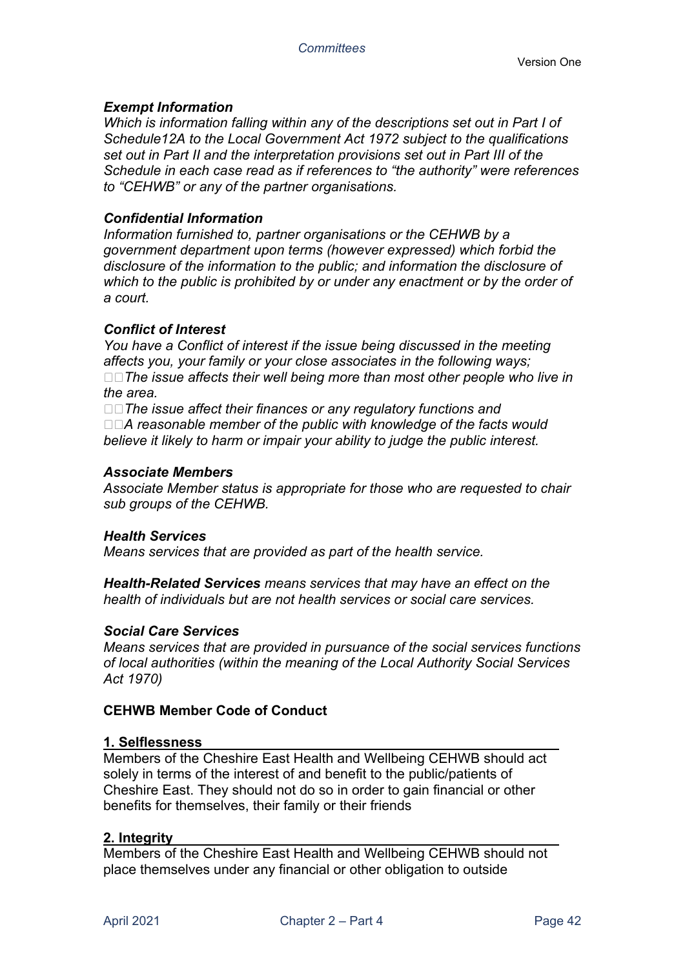#### *Exempt Information*

*Which is information falling within any of the descriptions set out in Part I of Schedule12A to the Local Government Act 1972 subject to the qualifications set out in Part II and the interpretation provisions set out in Part III of the Schedule in each case read as if references to "the authority" were references to "CEHWB" or any of the partner organisations.*

#### *Confidential Information*

*Information furnished to, partner organisations or the CEHWB by a government department upon terms (however expressed) which forbid the disclosure of the information to the public; and information the disclosure of which to the public is prohibited by or under any enactment or by the order of a court.*

## *Conflict of Interest*

*You have a Conflict of interest if the issue being discussed in the meeting affects you, your family or your close associates in the following ways; The issue affects their well being more than most other people who live in the area.*

*The issue affect their finances or any regulatory functions and A reasonable member of the public with knowledge of the facts would believe it likely to harm or impair your ability to judge the public interest.*

#### *Associate Members*

*Associate Member status is appropriate for those who are requested to chair sub groups of the CEHWB.*

#### *Health Services*

*Means services that are provided as part of the health service.*

*Health-Related Services means services that may have an effect on the health of individuals but are not health services or social care services.*

## *Social Care Services*

*Means services that are provided in pursuance of the social services functions of local authorities (within the meaning of the Local Authority Social Services Act 1970)*

## **CEHWB Member Code of Conduct**

#### **1. Selflessness**

Members of the Cheshire East Health and Wellbeing CEHWB should act solely in terms of the interest of and benefit to the public/patients of Cheshire East. They should not do so in order to gain financial or other benefits for themselves, their family or their friends

#### **2. Integrity**

Members of the Cheshire East Health and Wellbeing CEHWB should not place themselves under any financial or other obligation to outside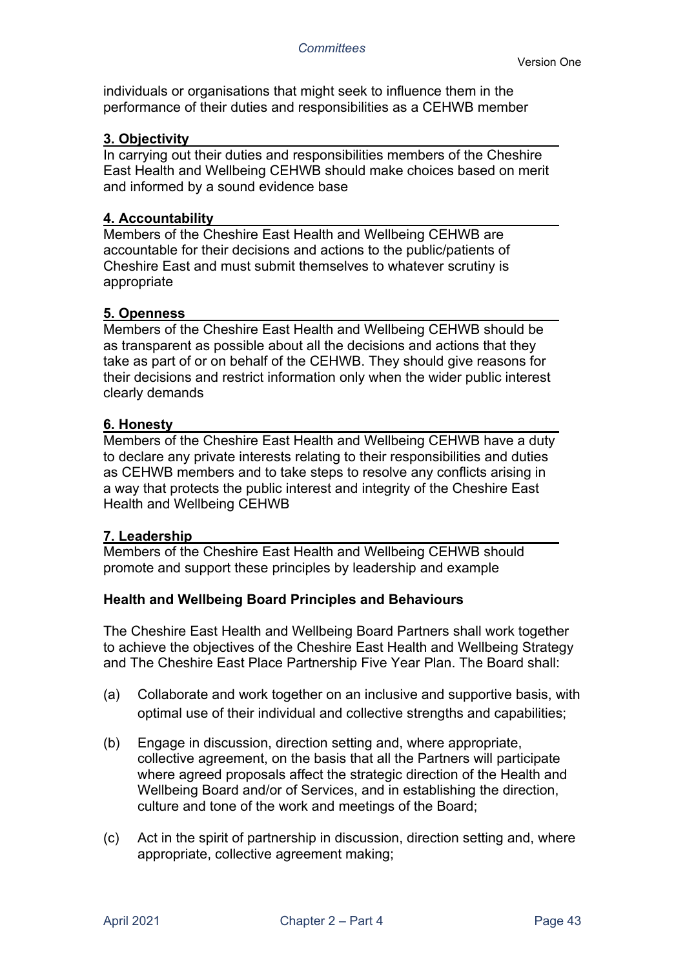individuals or organisations that might seek to influence them in the performance of their duties and responsibilities as a CEHWB member

## **3. Objectivity**

In carrying out their duties and responsibilities members of the Cheshire East Health and Wellbeing CEHWB should make choices based on merit and informed by a sound evidence base

## **4. Accountability**

Members of the Cheshire East Health and Wellbeing CEHWB are accountable for their decisions and actions to the public/patients of Cheshire East and must submit themselves to whatever scrutiny is appropriate

## **5. Openness**

Members of the Cheshire East Health and Wellbeing CEHWB should be as transparent as possible about all the decisions and actions that they take as part of or on behalf of the CEHWB. They should give reasons for their decisions and restrict information only when the wider public interest clearly demands

## **6. Honesty**

Members of the Cheshire East Health and Wellbeing CEHWB have a duty to declare any private interests relating to their responsibilities and duties as CEHWB members and to take steps to resolve any conflicts arising in a way that protects the public interest and integrity of the Cheshire East Health and Wellbeing CEHWB

## **7. Leadership**

Members of the Cheshire East Health and Wellbeing CEHWB should promote and support these principles by leadership and example

## **Health and Wellbeing Board Principles and Behaviours**

The Cheshire East Health and Wellbeing Board Partners shall work together to achieve the objectives of the Cheshire East Health and Wellbeing Strategy and The Cheshire East Place Partnership Five Year Plan. The Board shall:

- (a) Collaborate and work together on an inclusive and supportive basis, with optimal use of their individual and collective strengths and capabilities;
- (b) Engage in discussion, direction setting and, where appropriate, collective agreement, on the basis that all the Partners will participate where agreed proposals affect the strategic direction of the Health and Wellbeing Board and/or of Services, and in establishing the direction, culture and tone of the work and meetings of the Board;
- (c) Act in the spirit of partnership in discussion, direction setting and, where appropriate, collective agreement making;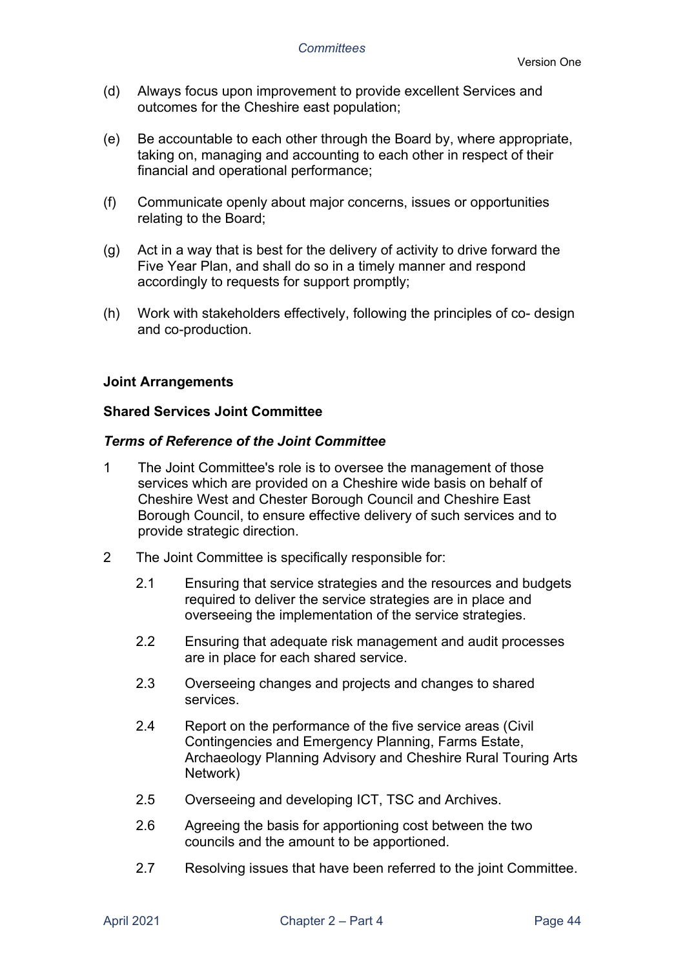- (d) Always focus upon improvement to provide excellent Services and outcomes for the Cheshire east population;
- (e) Be accountable to each other through the Board by, where appropriate, taking on, managing and accounting to each other in respect of their financial and operational performance;
- (f) Communicate openly about major concerns, issues or opportunities relating to the Board;
- (g) Act in a way that is best for the delivery of activity to drive forward the Five Year Plan, and shall do so in a timely manner and respond accordingly to requests for support promptly;
- (h) Work with stakeholders effectively, following the principles of co- design and co-production.

#### **Joint Arrangements**

#### <span id="page-43-0"></span>**Shared Services Joint Committee**

#### *Terms of Reference of the Joint Committee*

- 1 The Joint Committee's role is to oversee the management of those services which are provided on a Cheshire wide basis on behalf of Cheshire West and Chester Borough Council and Cheshire East Borough Council, to ensure effective delivery of such services and to provide strategic direction.
- 2 The Joint Committee is specifically responsible for:
	- 2.1 Ensuring that service strategies and the resources and budgets required to deliver the service strategies are in place and overseeing the implementation of the service strategies.
	- 2.2 Ensuring that adequate risk management and audit processes are in place for each shared service.
	- 2.3 Overseeing changes and projects and changes to shared services.
	- 2.4 Report on the performance of the five service areas (Civil Contingencies and Emergency Planning, Farms Estate, Archaeology Planning Advisory and Cheshire Rural Touring Arts Network)
	- 2.5 Overseeing and developing ICT, TSC and Archives.
	- 2.6 Agreeing the basis for apportioning cost between the two councils and the amount to be apportioned.
	- 2.7 Resolving issues that have been referred to the joint Committee.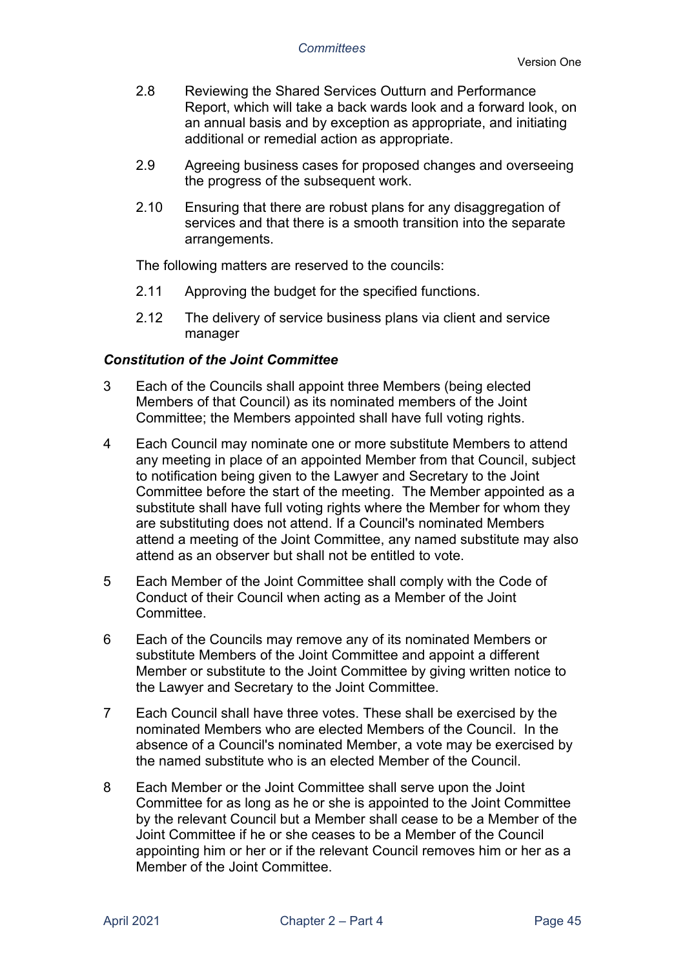- 2.8 Reviewing the Shared Services Outturn and Performance Report, which will take a back wards look and a forward look, on an annual basis and by exception as appropriate, and initiating additional or remedial action as appropriate.
- 2.9 Agreeing business cases for proposed changes and overseeing the progress of the subsequent work.
- 2.10 Ensuring that there are robust plans for any disaggregation of services and that there is a smooth transition into the separate arrangements.

The following matters are reserved to the councils:

- 2.11 Approving the budget for the specified functions.
- 2.12 The delivery of service business plans via client and service manager

#### *Constitution of the Joint Committee*

- 3 Each of the Councils shall appoint three Members (being elected Members of that Council) as its nominated members of the Joint Committee; the Members appointed shall have full voting rights.
- 4 Each Council may nominate one or more substitute Members to attend any meeting in place of an appointed Member from that Council, subject to notification being given to the Lawyer and Secretary to the Joint Committee before the start of the meeting. The Member appointed as a substitute shall have full voting rights where the Member for whom they are substituting does not attend. If a Council's nominated Members attend a meeting of the Joint Committee, any named substitute may also attend as an observer but shall not be entitled to vote.
- 5 Each Member of the Joint Committee shall comply with the Code of Conduct of their Council when acting as a Member of the Joint **Committee.**
- 6 Each of the Councils may remove any of its nominated Members or substitute Members of the Joint Committee and appoint a different Member or substitute to the Joint Committee by giving written notice to the Lawyer and Secretary to the Joint Committee.
- 7 Each Council shall have three votes. These shall be exercised by the nominated Members who are elected Members of the Council. In the absence of a Council's nominated Member, a vote may be exercised by the named substitute who is an elected Member of the Council.
- 8 Each Member or the Joint Committee shall serve upon the Joint Committee for as long as he or she is appointed to the Joint Committee by the relevant Council but a Member shall cease to be a Member of the Joint Committee if he or she ceases to be a Member of the Council appointing him or her or if the relevant Council removes him or her as a Member of the Joint Committee.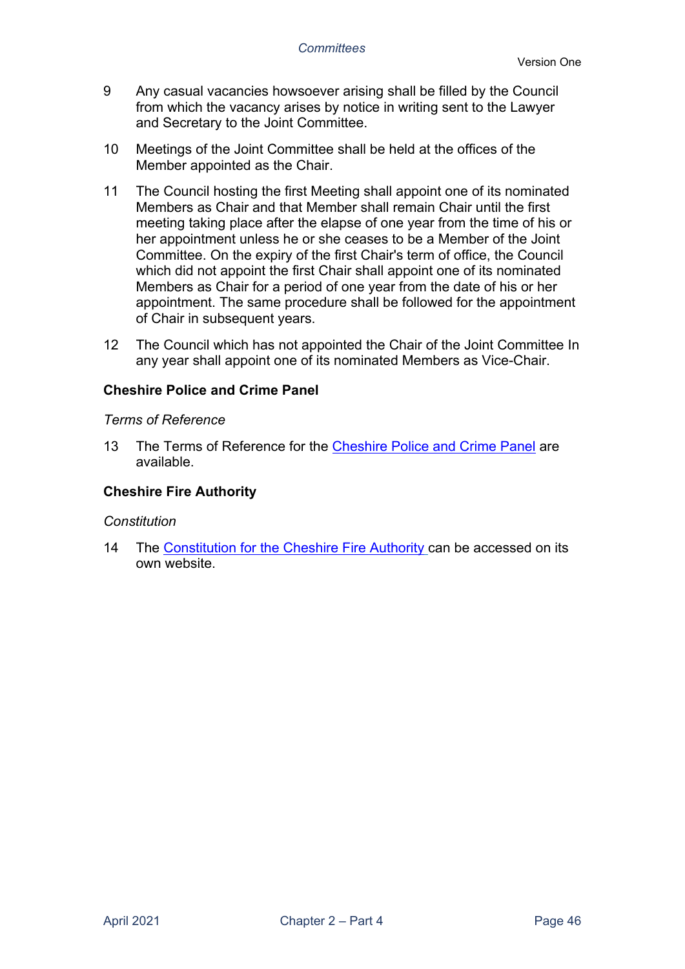- 9 Any casual vacancies howsoever arising shall be filled by the Council from which the vacancy arises by notice in writing sent to the Lawyer and Secretary to the Joint Committee.
- 10 Meetings of the Joint Committee shall be held at the offices of the Member appointed as the Chair.
- 11 The Council hosting the first Meeting shall appoint one of its nominated Members as Chair and that Member shall remain Chair until the first meeting taking place after the elapse of one year from the time of his or her appointment unless he or she ceases to be a Member of the Joint Committee. On the expiry of the first Chair's term of office, the Council which did not appoint the first Chair shall appoint one of its nominated Members as Chair for a period of one year from the date of his or her appointment. The same procedure shall be followed for the appointment of Chair in subsequent years.
- 12 The Council which has not appointed the Chair of the Joint Committee In any year shall appoint one of its nominated Members as Vice-Chair.

## <span id="page-45-0"></span>**Cheshire Police and Crime Panel**

#### *Terms of Reference*

13 The Terms of Reference for the [Cheshire](http://www.cheshireeast.gov.uk/council_and_democracy/your_council/cheshire-police-and-crime-panel.aspx) Police and Crime Panel are available.

## <span id="page-45-1"></span>**Cheshire Fire Authority**

## *Constitution*

14 The [Constitution](http://www.cheshirefire.gov.uk/about-us/fire-authority/cheshire-fire-authority-constitution) for the Cheshire Fire Authority can be accessed on its own website.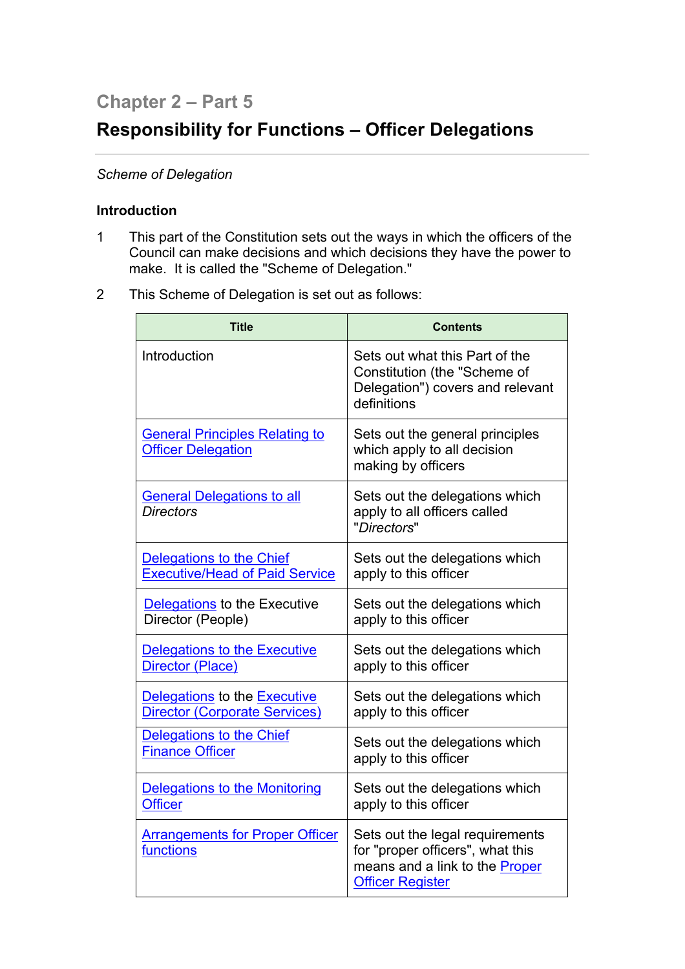# <span id="page-46-0"></span>**Responsibility for Functions – Officer Delegations**

## <span id="page-46-1"></span>*Scheme of Delegation*

## **Introduction**

- 1 This part of the Constitution sets out the ways in which the officers of the Council can make decisions and which decisions they have the power to make. It is called the "Scheme of Delegation."
- 2 This Scheme of Delegation is set out as follows:

| <b>Title</b>                                                       | <b>Contents</b>                                                                                                                  |
|--------------------------------------------------------------------|----------------------------------------------------------------------------------------------------------------------------------|
| Introduction                                                       | Sets out what this Part of the<br>Constitution (the "Scheme of<br>Delegation") covers and relevant<br>definitions                |
| <b>General Principles Relating to</b><br><b>Officer Delegation</b> | Sets out the general principles<br>which apply to all decision<br>making by officers                                             |
| <b>General Delegations to all</b><br><b>Directors</b>              | Sets out the delegations which<br>apply to all officers called<br>"Directors"                                                    |
| Delegations to the Chief                                           | Sets out the delegations which                                                                                                   |
| <b>Executive/Head of Paid Service</b>                              | apply to this officer                                                                                                            |
| Delegations to the Executive                                       | Sets out the delegations which                                                                                                   |
| Director (People)                                                  | apply to this officer                                                                                                            |
| Delegations to the Executive                                       | Sets out the delegations which                                                                                                   |
| Director (Place)                                                   | apply to this officer                                                                                                            |
| Delegations to the Executive                                       | Sets out the delegations which                                                                                                   |
| <b>Director (Corporate Services)</b>                               | apply to this officer                                                                                                            |
| Delegations to the Chief                                           | Sets out the delegations which                                                                                                   |
| <b>Finance Officer</b>                                             | apply to this officer                                                                                                            |
| Delegations to the Monitoring                                      | Sets out the delegations which                                                                                                   |
| <b>Officer</b>                                                     | apply to this officer                                                                                                            |
| <b>Arrangements for Proper Officer</b><br>functions                | Sets out the legal requirements<br>for "proper officers", what this<br>means and a link to the Proper<br><b>Officer Register</b> |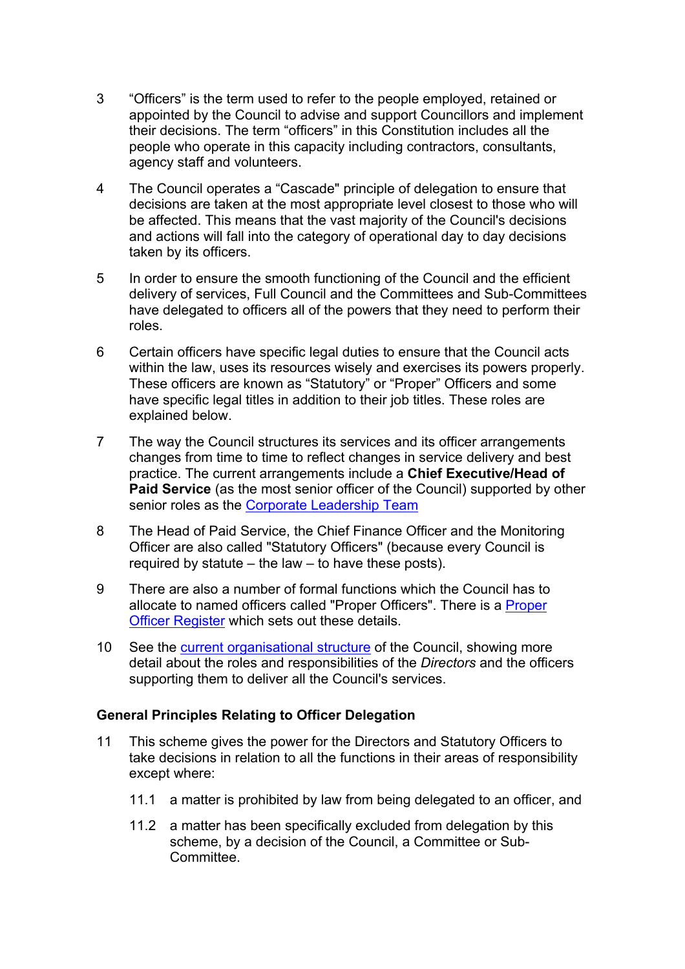- 3 "Officers" is the term used to refer to the people employed, retained or appointed by the Council to advise and support Councillors and implement their decisions. The term "officers" in this Constitution includes all the people who operate in this capacity including contractors, consultants, agency staff and volunteers.
- 4 The Council operates a "Cascade" principle of delegation to ensure that decisions are taken at the most appropriate level closest to those who will be affected. This means that the vast majority of the Council's decisions and actions will fall into the category of operational day to day decisions taken by its officers.
- 5 In order to ensure the smooth functioning of the Council and the efficient delivery of services, Full Council and the Committees and Sub-Committees have delegated to officers all of the powers that they need to perform their roles.
- 6 Certain officers have specific legal duties to ensure that the Council acts within the law, uses its resources wisely and exercises its powers properly. These officers are known as "Statutory" or "Proper" Officers and some have specific legal titles in addition to their job titles. These roles are explained below.
- 7 The way the Council structures its services and its officer arrangements changes from time to time to reflect changes in service delivery and best practice. The current arrangements include a **Chief Executive/Head of Paid Service** (as the most senior officer of the Council) supported by other senior roles as the Corporate Leadership Team
- 8 The Head of Paid Service, the Chief Finance Officer and the Monitoring Officer are also called "Statutory Officers" (because every Council is required by statute  $-$  the law  $-$  to have these posts).
- 9 There are also a number of formal functions which the Council has to allocate to named officers called "Proper Officers". There is a [Proper](http://www.cheshireeast.gov.uk/pdf/Council-and-democracy/constitution/2017-18-constitution/statutory-and-proper-officer-provisions/statutory-and-proper-officer-provisions.pdf) Officer [Register](http://www.cheshireeast.gov.uk/pdf/Council-and-democracy/constitution/2017-18-constitution/statutory-and-proper-officer-provisions/statutory-and-proper-officer-provisions.pdf) which sets out these details.
- 10 See the current [organisational](http://www.cheshireeast.gov.uk/council_and_democracy/your_council/corporate_leadership_structure/executive-leadership-team.aspx) structure of the Council, showing more detail about the roles and responsibilities of the *Directors* and the officers supporting them to deliver all the Council's services.

## <span id="page-47-0"></span>**General Principles Relating to Officer Delegation**

- 11 This scheme gives the power for the Directors and Statutory Officers to take decisions in relation to all the functions in their areas of responsibility except where:
	- 11.1 a matter is prohibited by law from being delegated to an officer, and
	- 11.2 a matter has been specifically excluded from delegation by this scheme, by a decision of the Council, a Committee or Sub-**Committee.**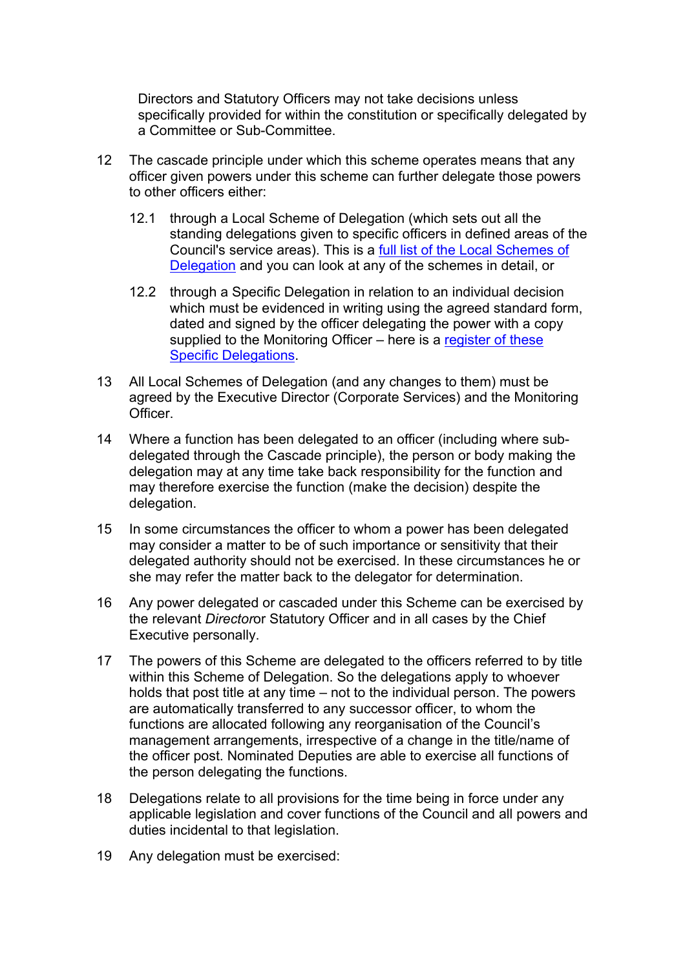Directors and Statutory Officers may not take decisions unless specifically provided for within the constitution or specifically delegated by a Committee or Sub-Committee.

- 12 The cascade principle under which this scheme operates means that any officer given powers under this scheme can further delegate those powers to other officers either:
	- 12.1 through a Local Scheme of Delegation (which sets out all the standing delegations given to specific officers in defined areas of the Council's service areas). This is a full list of the Local Schemes of Delegation and you can look at any of the schemes in detail, or
	- 12.2 through a Specific Delegation in relation to an individual decision which must be evidenced in writing using the agreed standard form, dated and signed by the officer delegating the power with a copy supplied to the Monitoring Officer – here is a register of these Specific Delegations.
- 13 All Local Schemes of Delegation (and any changes to them) must be agreed by the Executive Director (Corporate Services) and the Monitoring Officer.
- 14 Where a function has been delegated to an officer (including where subdelegated through the Cascade principle), the person or body making the delegation may at any time take back responsibility for the function and may therefore exercise the function (make the decision) despite the delegation.
- 15 In some circumstances the officer to whom a power has been delegated may consider a matter to be of such importance or sensitivity that their delegated authority should not be exercised. In these circumstances he or she may refer the matter back to the delegator for determination.
- 16 Any power delegated or cascaded under this Scheme can be exercised by the relevant *Director*or Statutory Officer and in all cases by the Chief Executive personally.
- 17 The powers of this Scheme are delegated to the officers referred to by title within this Scheme of Delegation. So the delegations apply to whoever holds that post title at any time – not to the individual person. The powers are automatically transferred to any successor officer, to whom the functions are allocated following any reorganisation of the Council's management arrangements, irrespective of a change in the title/name of the officer post. Nominated Deputies are able to exercise all functions of the person delegating the functions.
- 18 Delegations relate to all provisions for the time being in force under any applicable legislation and cover functions of the Council and all powers and duties incidental to that legislation.
- 19 Any delegation must be exercised: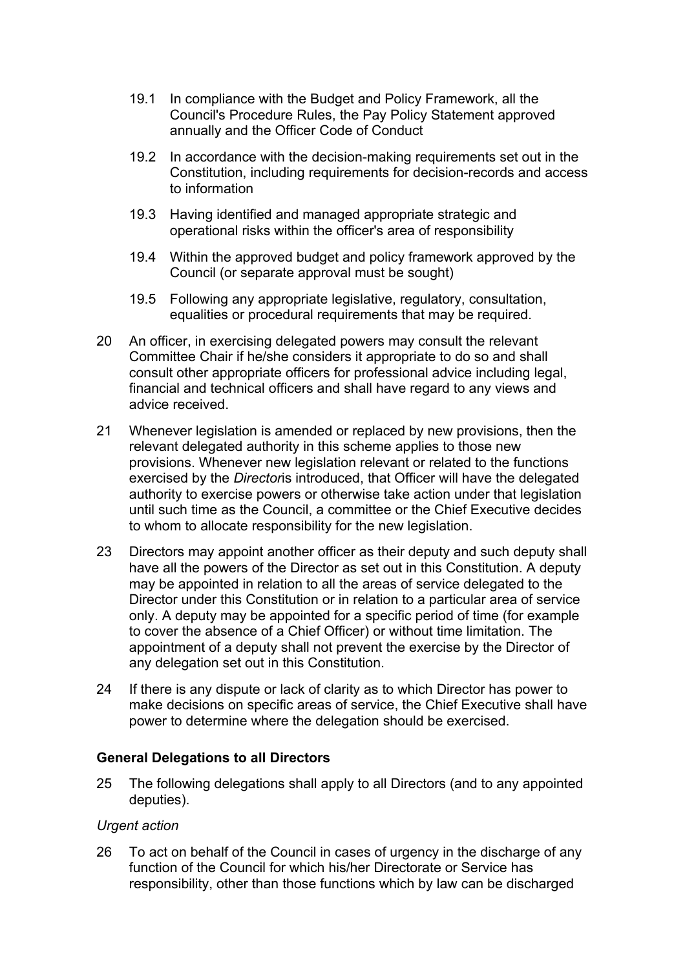- 19.1 In compliance with the Budget and Policy Framework, all the Council's Procedure Rules, the Pay Policy Statement approved annually and the Officer Code of Conduct
- 19.2 In accordance with the decision-making requirements set out in the Constitution, including requirements for decision-records and access to information
- 19.3 Having identified and managed appropriate strategic and operational risks within the officer's area of responsibility
- 19.4 Within the approved budget and policy framework approved by the Council (or separate approval must be sought)
- 19.5 Following any appropriate legislative, regulatory, consultation, equalities or procedural requirements that may be required.
- 20 An officer, in exercising delegated powers may consult the relevant Committee Chair if he/she considers it appropriate to do so and shall consult other appropriate officers for professional advice including legal, financial and technical officers and shall have regard to any views and advice received.
- 21 Whenever legislation is amended or replaced by new provisions, then the relevant delegated authority in this scheme applies to those new provisions. Whenever new legislation relevant or related to the functions exercised by the *Director*is introduced, that Officer will have the delegated authority to exercise powers or otherwise take action under that legislation until such time as the Council, a committee or the Chief Executive decides to whom to allocate responsibility for the new legislation.
- 23 Directors may appoint another officer as their deputy and such deputy shall have all the powers of the Director as set out in this Constitution. A deputy may be appointed in relation to all the areas of service delegated to the Director under this Constitution or in relation to a particular area of service only. A deputy may be appointed for a specific period of time (for example to cover the absence of a Chief Officer) or without time limitation. The appointment of a deputy shall not prevent the exercise by the Director of any delegation set out in this Constitution.
- 24 If there is any dispute or lack of clarity as to which Director has power to make decisions on specific areas of service, the Chief Executive shall have power to determine where the delegation should be exercised.

## <span id="page-49-0"></span>**General Delegations to all Directors**

25 The following delegations shall apply to all Directors (and to any appointed deputies).

## *Urgent action*

26 To act on behalf of the Council in cases of urgency in the discharge of any function of the Council for which his/her Directorate or Service has responsibility, other than those functions which by law can be discharged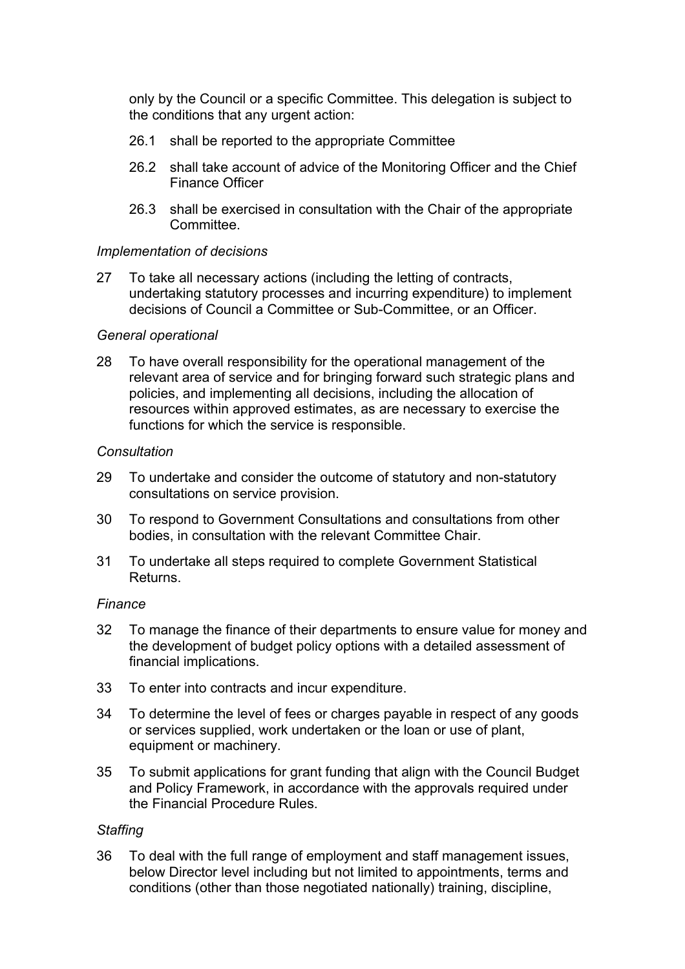only by the Council or a specific Committee. This delegation is subject to the conditions that any urgent action:

- 26.1 shall be reported to the appropriate Committee
- 26.2 shall take account of advice of the Monitoring Officer and the Chief Finance Officer
- 26.3 shall be exercised in consultation with the Chair of the appropriate Committee.

#### *Implementation of decisions*

27 To take all necessary actions (including the letting of contracts, undertaking statutory processes and incurring expenditure) to implement decisions of Council a Committee or Sub-Committee, or an Officer.

#### *General operational*

28 To have overall responsibility for the operational management of the relevant area of service and for bringing forward such strategic plans and policies, and implementing all decisions, including the allocation of resources within approved estimates, as are necessary to exercise the functions for which the service is responsible.

#### *Consultation*

- 29 To undertake and consider the outcome of statutory and non-statutory consultations on service provision.
- 30 To respond to Government Consultations and consultations from other bodies, in consultation with the relevant Committee Chair.
- 31 To undertake all steps required to complete Government Statistical Returns.

#### *Finance*

- 32 To manage the finance of their departments to ensure value for money and the development of budget policy options with a detailed assessment of financial implications.
- 33 To enter into contracts and incur expenditure.
- 34 To determine the level of fees or charges payable in respect of any goods or services supplied, work undertaken or the loan or use of plant, equipment or machinery.
- 35 To submit applications for grant funding that align with the Council Budget and Policy Framework, in accordance with the approvals required under the Financial Procedure Rules.

#### *Staffing*

36 To deal with the full range of employment and staff management issues, below Director level including but not limited to appointments, terms and conditions (other than those negotiated nationally) training, discipline,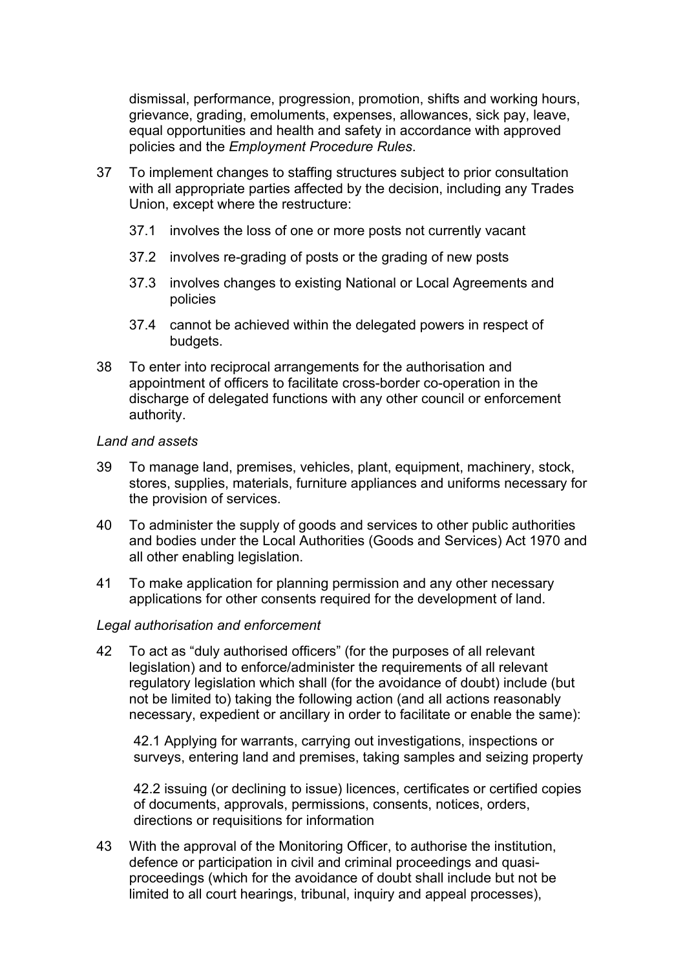dismissal, performance, progression, promotion, shifts and working hours, grievance, grading, emoluments, expenses, allowances, sick pay, leave, equal opportunities and health and safety in accordance with approved policies and the *Employment Procedure Rules*.

- 37 To implement changes to staffing structures subject to prior consultation with all appropriate parties affected by the decision, including any Trades Union, except where the restructure:
	- 37.1 involves the loss of one or more posts not currently vacant
	- 37.2 involves re-grading of posts or the grading of new posts
	- 37.3 involves changes to existing National or Local Agreements and policies
	- 37.4 cannot be achieved within the delegated powers in respect of budgets.
- 38 To enter into reciprocal arrangements for the authorisation and appointment of officers to facilitate cross-border co-operation in the discharge of delegated functions with any other council or enforcement authority.

#### *Land and assets*

- 39 To manage land, premises, vehicles, plant, equipment, machinery, stock, stores, supplies, materials, furniture appliances and uniforms necessary for the provision of services.
- 40 To administer the supply of goods and services to other public authorities and bodies under the Local Authorities (Goods and Services) Act 1970 and all other enabling legislation.
- 41 To make application for planning permission and any other necessary applications for other consents required for the development of land.

#### *Legal authorisation and enforcement*

42 To act as "duly authorised officers" (for the purposes of all relevant legislation) and to enforce/administer the requirements of all relevant regulatory legislation which shall (for the avoidance of doubt) include (but not be limited to) taking the following action (and all actions reasonably necessary, expedient or ancillary in order to facilitate or enable the same):

42.1 Applying for warrants, carrying out investigations, inspections or surveys, entering land and premises, taking samples and seizing property

42.2 issuing (or declining to issue) licences, certificates or certified copies of documents, approvals, permissions, consents, notices, orders, directions or requisitions for information

43 With the approval of the Monitoring Officer, to authorise the institution, defence or participation in civil and criminal proceedings and quasiproceedings (which for the avoidance of doubt shall include but not be limited to all court hearings, tribunal, inquiry and appeal processes),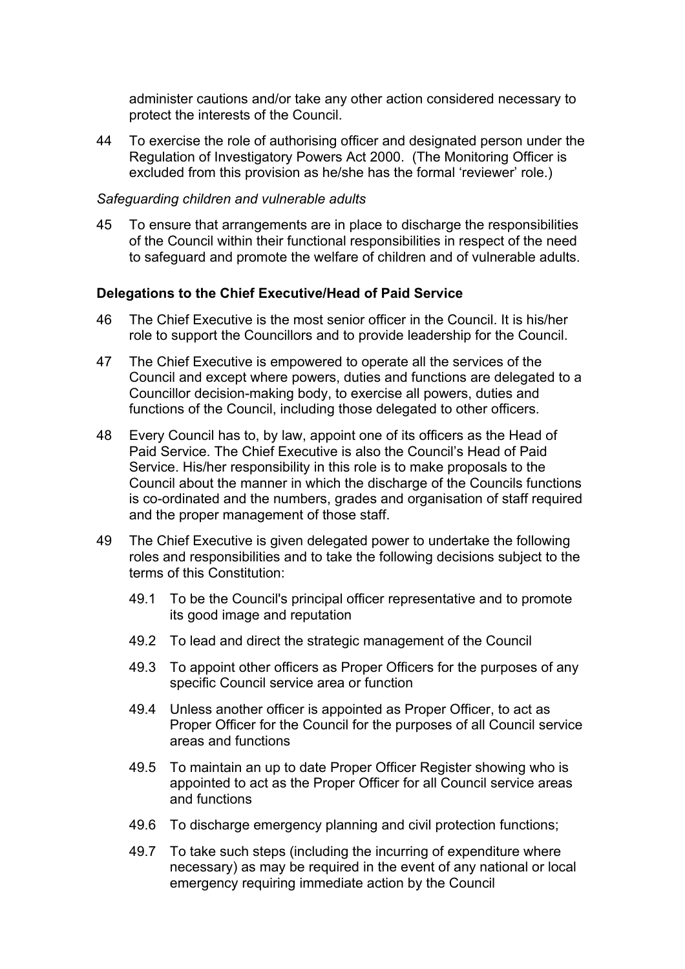administer cautions and/or take any other action considered necessary to protect the interests of the Council.

44 To exercise the role of authorising officer and designated person under the Regulation of Investigatory Powers Act 2000. (The Monitoring Officer is excluded from this provision as he/she has the formal 'reviewer' role.)

#### *Safeguarding children and vulnerable adults*

45 To ensure that arrangements are in place to discharge the responsibilities of the Council within their functional responsibilities in respect of the need to safeguard and promote the welfare of children and of vulnerable adults.

#### <span id="page-52-0"></span>**Delegations to the Chief Executive/Head of Paid Service**

- 46 The Chief Executive is the most senior officer in the Council. It is his/her role to support the Councillors and to provide leadership for the Council.
- 47 The Chief Executive is empowered to operate all the services of the Council and except where powers, duties and functions are delegated to a Councillor decision-making body, to exercise all powers, duties and functions of the Council, including those delegated to other officers.
- 48 Every Council has to, by law, appoint one of its officers as the Head of Paid Service. The Chief Executive is also the Council's Head of Paid Service. His/her responsibility in this role is to make proposals to the Council about the manner in which the discharge of the Councils functions is co-ordinated and the numbers, grades and organisation of staff required and the proper management of those staff.
- 49 The Chief Executive is given delegated power to undertake the following roles and responsibilities and to take the following decisions subject to the terms of this Constitution:
	- 49.1 To be the Council's principal officer representative and to promote its good image and reputation
	- 49.2 To lead and direct the strategic management of the Council
	- 49.3 To appoint other officers as Proper Officers for the purposes of any specific Council service area or function
	- 49.4 Unless another officer is appointed as Proper Officer, to act as Proper Officer for the Council for the purposes of all Council service areas and functions
	- 49.5 To maintain an up to date Proper Officer Register showing who is appointed to act as the Proper Officer for all Council service areas and functions
	- 49.6 To discharge emergency planning and civil protection functions;
	- 49.7 To take such steps (including the incurring of expenditure where necessary) as may be required in the event of any national or local emergency requiring immediate action by the Council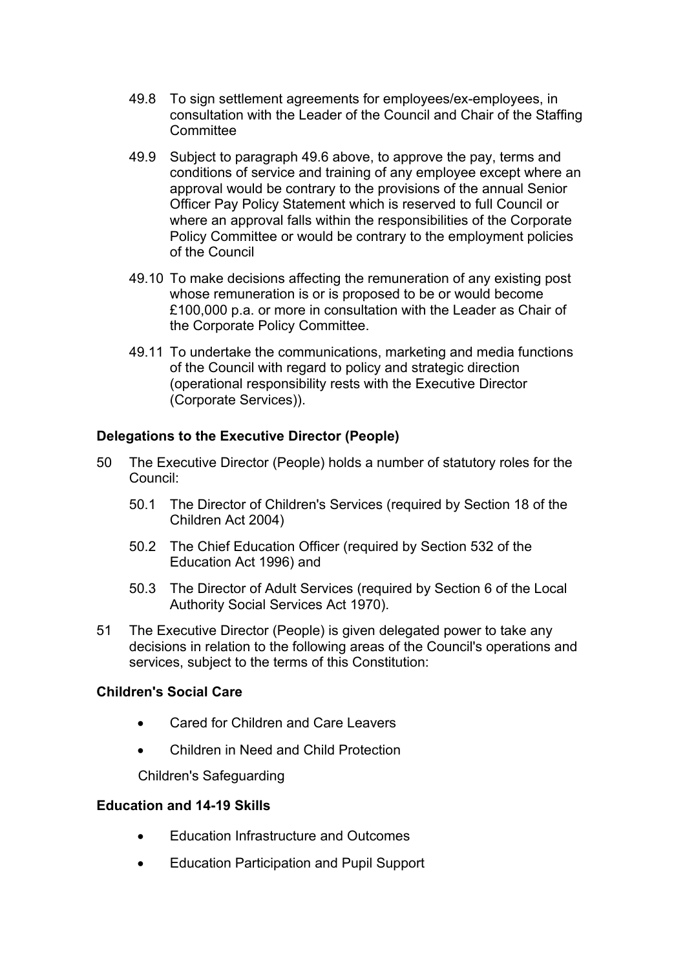- 49.8 To sign settlement agreements for employees/ex-employees, in consultation with the Leader of the Council and Chair of the Staffing **Committee**
- 49.9 Subject to paragraph 49.6 above, to approve the pay, terms and conditions of service and training of any employee except where an approval would be contrary to the provisions of the annual Senior Officer Pay Policy Statement which is reserved to full Council or where an approval falls within the responsibilities of the Corporate Policy Committee or would be contrary to the employment policies of the Council
- 49.10 To make decisions affecting the remuneration of any existing post whose remuneration is or is proposed to be or would become £100,000 p.a. or more in consultation with the Leader as Chair of the Corporate Policy Committee.
- 49.11 To undertake the communications, marketing and media functions of the Council with regard to policy and strategic direction (operational responsibility rests with the Executive Director (Corporate Services)).

## <span id="page-53-0"></span>**Delegations to the Executive Director (People)**

- 50 The Executive Director (People) holds a number of statutory roles for the Council:
	- 50.1 The Director of Children's Services (required by Section 18 of the Children Act 2004)
	- 50.2 The Chief Education Officer (required by Section 532 of the Education Act 1996) and
	- 50.3 The Director of Adult Services (required by Section 6 of the Local Authority Social Services Act 1970).
- 51 The Executive Director (People) is given delegated power to take any decisions in relation to the following areas of the Council's operations and services, subject to the terms of this Constitution:

## **Children's Social Care**

- Cared for Children and Care Leavers
- Children in Need and Child Protection

Children's Safeguarding

#### **Education and 14-19 Skills**

- Education Infrastructure and Outcomes
- **Education Participation and Pupil Support**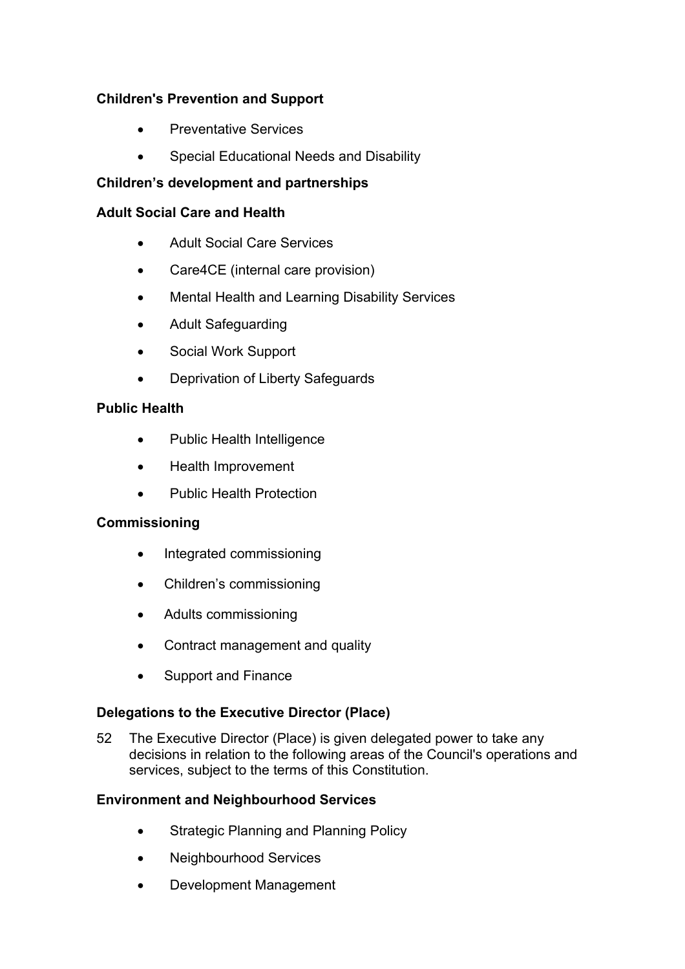## **Children's Prevention and Support**

- Preventative Services
- Special Educational Needs and Disability

## **Children's development and partnerships**

## **Adult Social Care and Health**

- Adult Social Care Services
- Care4CE (internal care provision)
- Mental Health and Learning Disability Services
- Adult Safeguarding
- Social Work Support
- Deprivation of Liberty Safeguards

## **Public Health**

- Public Health Intelligence
- Health Improvement
- Public Health Protection

## **Commissioning**

- Integrated commissioning
- Children's commissioning
- Adults commissioning
- Contract management and quality
- Support and Finance

## <span id="page-54-0"></span>**Delegations to the Executive Director (Place)**

52 The Executive Director (Place) is given delegated power to take any decisions in relation to the following areas of the Council's operations and services, subject to the terms of this Constitution.

## **Environment and Neighbourhood Services**

- Strategic Planning and Planning Policy
- Neighbourhood Services
- Development Management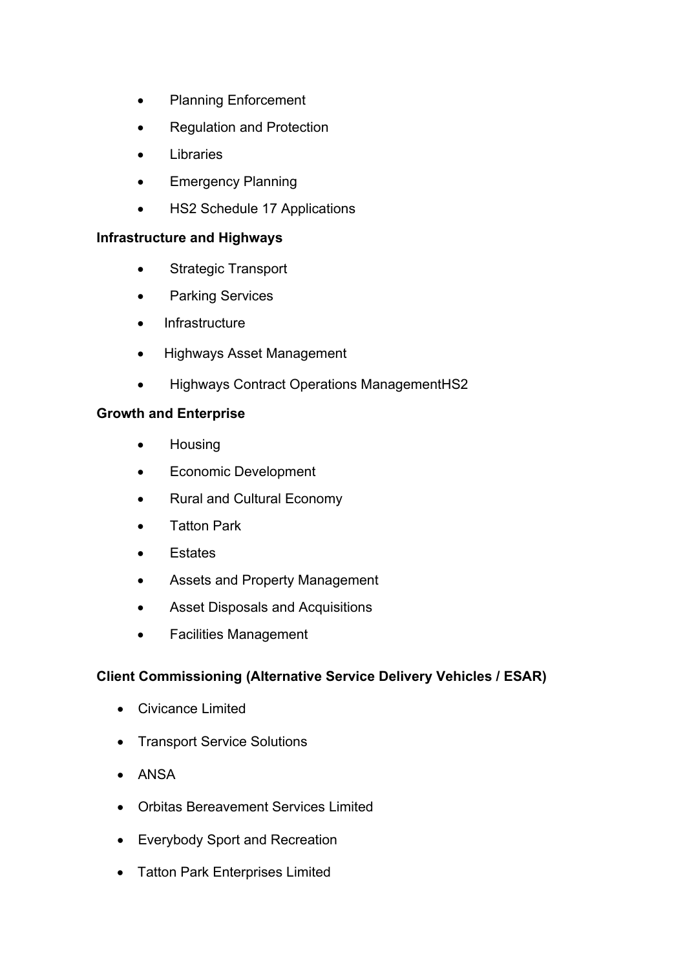- Planning Enforcement
- Regulation and Protection
- Libraries
- Emergency Planning
- HS2 Schedule 17 Applications

## **Infrastructure and Highways**

- Strategic Transport
- Parking Services
- Infrastructure
- Highways Asset Management
- Highways Contract Operations ManagementHS2

## **Growth and Enterprise**

- Housing
- Economic Development
- Rural and Cultural Economy
- Tatton Park
- Estates
- Assets and Property Management
- Asset Disposals and Acquisitions
- Facilities Management

## **Client Commissioning (Alternative Service Delivery Vehicles / ESAR)**

- Civicance Limited
- Transport Service Solutions
- ANSA
- Orbitas Bereavement Services Limited
- Everybody Sport and Recreation
- Tatton Park Enterprises Limited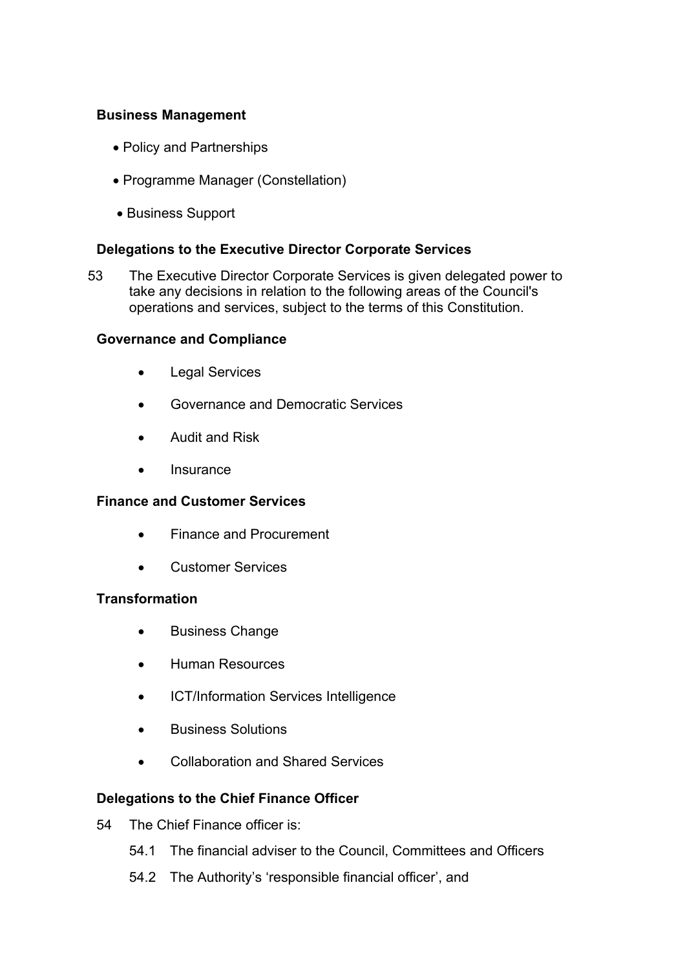## **Business Management**

- Policy and Partnerships
- Programme Manager (Constellation)
- Business Support

## <span id="page-56-0"></span>**Delegations to the Executive Director Corporate Services**

53 The Executive Director Corporate Services is given delegated power to take any decisions in relation to the following areas of the Council's operations and services, subject to the terms of this Constitution.

## **Governance and Compliance**

- Legal Services
- Governance and Democratic Services
- Audit and Risk
- Insurance

## **Finance and Customer Services**

- Finance and Procurement
- Customer Services

## **Transformation**

- Business Change
- Human Resources
- ICT/Information Services Intelligence
- **•** Business Solutions
- Collaboration and Shared Services

## <span id="page-56-1"></span>**Delegations to the Chief Finance Officer**

- 54 The Chief Finance officer is:
	- 54.1 The financial adviser to the Council, Committees and Officers
	- 54.2 The Authority's 'responsible financial officer', and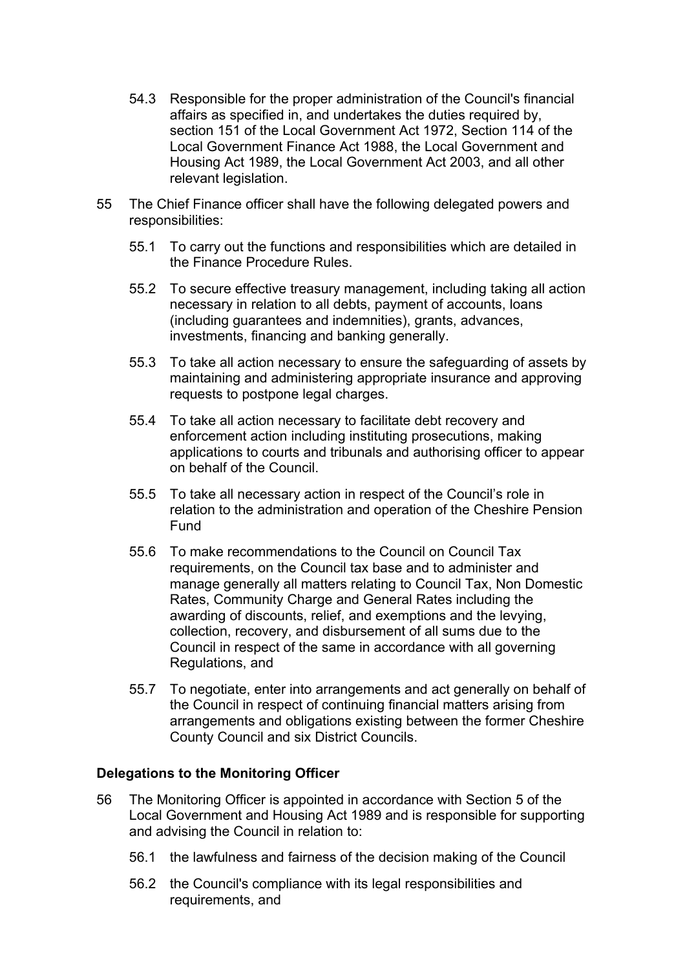- 54.3 Responsible for the proper administration of the Council's financial affairs as specified in, and undertakes the duties required by, section 151 of the Local Government Act 1972, Section 114 of the Local Government Finance Act 1988, the Local Government and Housing Act 1989, the Local Government Act 2003, and all other relevant legislation.
- 55 The Chief Finance officer shall have the following delegated powers and responsibilities:
	- 55.1 To carry out the functions and responsibilities which are detailed in the Finance Procedure Rules.
	- 55.2 To secure effective treasury management, including taking all action necessary in relation to all debts, payment of accounts, loans (including guarantees and indemnities), grants, advances, investments, financing and banking generally.
	- 55.3 To take all action necessary to ensure the safeguarding of assets by maintaining and administering appropriate insurance and approving requests to postpone legal charges.
	- 55.4 To take all action necessary to facilitate debt recovery and enforcement action including instituting prosecutions, making applications to courts and tribunals and authorising officer to appear on behalf of the Council.
	- 55.5 To take all necessary action in respect of the Council's role in relation to the administration and operation of the Cheshire Pension Fund
	- 55.6 To make recommendations to the Council on Council Tax requirements, on the Council tax base and to administer and manage generally all matters relating to Council Tax, Non Domestic Rates, Community Charge and General Rates including the awarding of discounts, relief, and exemptions and the levying, collection, recovery, and disbursement of all sums due to the Council in respect of the same in accordance with all governing Regulations, and
	- 55.7 To negotiate, enter into arrangements and act generally on behalf of the Council in respect of continuing financial matters arising from arrangements and obligations existing between the former Cheshire County Council and six District Councils.

## <span id="page-57-0"></span>**Delegations to the Monitoring Officer**

- 56 The Monitoring Officer is appointed in accordance with Section 5 of the Local Government and Housing Act 1989 and is responsible for supporting and advising the Council in relation to:
	- 56.1 the lawfulness and fairness of the decision making of the Council
	- 56.2 the Council's compliance with its legal responsibilities and requirements, and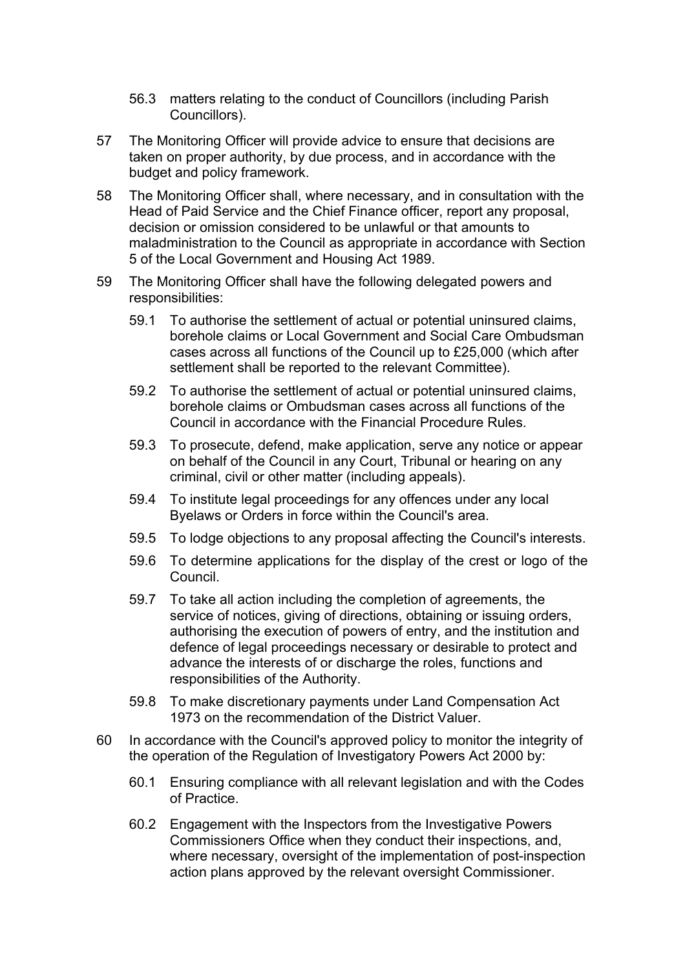- 56.3 matters relating to the conduct of Councillors (including Parish Councillors).
- 57 The Monitoring Officer will provide advice to ensure that decisions are taken on proper authority, by due process, and in accordance with the budget and policy framework.
- 58 The Monitoring Officer shall, where necessary, and in consultation with the Head of Paid Service and the Chief Finance officer, report any proposal, decision or omission considered to be unlawful or that amounts to maladministration to the Council as appropriate in accordance with Section 5 of the Local Government and Housing Act 1989.
- 59 The Monitoring Officer shall have the following delegated powers and responsibilities:
	- 59.1 To authorise the settlement of actual or potential uninsured claims, borehole claims or Local Government and Social Care Ombudsman cases across all functions of the Council up to £25,000 (which after settlement shall be reported to the relevant Committee).
	- 59.2 To authorise the settlement of actual or potential uninsured claims, borehole claims or Ombudsman cases across all functions of the Council in accordance with the Financial Procedure Rules.
	- 59.3 To prosecute, defend, make application, serve any notice or appear on behalf of the Council in any Court, Tribunal or hearing on any criminal, civil or other matter (including appeals).
	- 59.4 To institute legal proceedings for any offences under any local Byelaws or Orders in force within the Council's area.
	- 59.5 To lodge objections to any proposal affecting the Council's interests.
	- 59.6 To determine applications for the display of the crest or logo of the Council.
	- 59.7 To take all action including the completion of agreements, the service of notices, giving of directions, obtaining or issuing orders, authorising the execution of powers of entry, and the institution and defence of legal proceedings necessary or desirable to protect and advance the interests of or discharge the roles, functions and responsibilities of the Authority.
	- 59.8 To make discretionary payments under Land Compensation Act 1973 on the recommendation of the District Valuer.
- 60 In accordance with the Council's approved policy to monitor the integrity of the operation of the Regulation of Investigatory Powers Act 2000 by:
	- 60.1 Ensuring compliance with all relevant legislation and with the Codes of Practice.
	- 60.2 Engagement with the Inspectors from the Investigative Powers Commissioners Office when they conduct their inspections, and, where necessary, oversight of the implementation of post-inspection action plans approved by the relevant oversight Commissioner.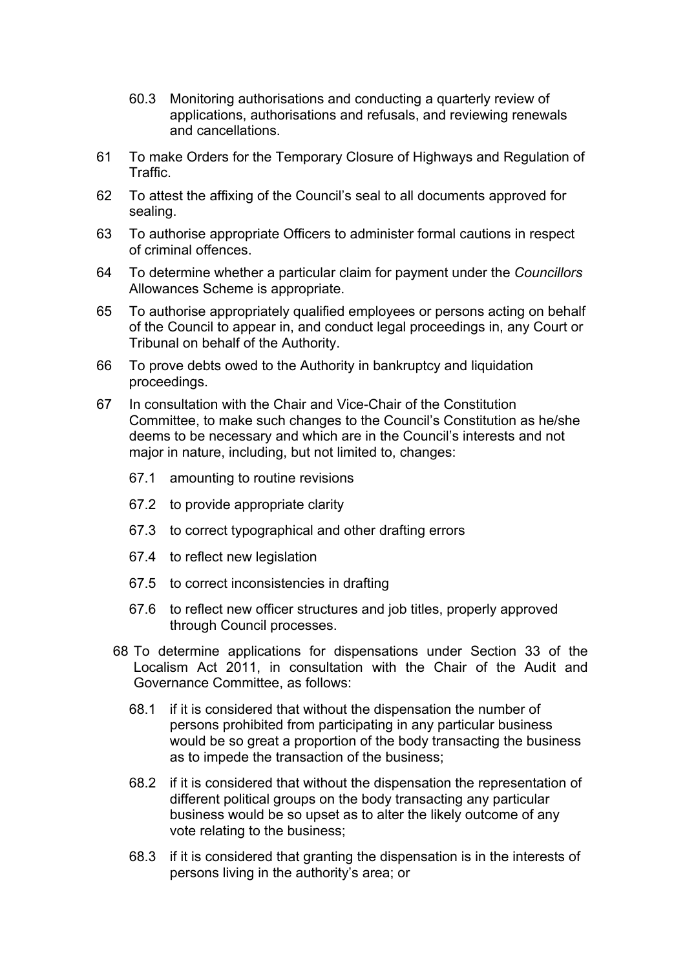- 60.3 Monitoring authorisations and conducting a quarterly review of applications, authorisations and refusals, and reviewing renewals and cancellations.
- 61 To make Orders for the Temporary Closure of Highways and Regulation of Traffic.
- 62 To attest the affixing of the Council's seal to all documents approved for sealing.
- 63 To authorise appropriate Officers to administer formal cautions in respect of criminal offences.
- 64 To determine whether a particular claim for payment under the *Councillors* Allowances Scheme is appropriate.
- 65 To authorise appropriately qualified employees or persons acting on behalf of the Council to appear in, and conduct legal proceedings in, any Court or Tribunal on behalf of the Authority.
- 66 To prove debts owed to the Authority in bankruptcy and liquidation proceedings.
- 67 In consultation with the Chair and Vice-Chair of the Constitution Committee, to make such changes to the Council's Constitution as he/she deems to be necessary and which are in the Council's interests and not major in nature, including, but not limited to, changes:
	- 67.1 amounting to routine revisions
	- 67.2 to provide appropriate clarity
	- 67.3 to correct typographical and other drafting errors
	- 67.4 to reflect new legislation
	- 67.5 to correct inconsistencies in drafting
	- 67.6 to reflect new officer structures and job titles, properly approved through Council processes.
	- 68 To determine applications for dispensations under Section 33 of the Localism Act 2011, in consultation with the Chair of the Audit and Governance Committee, as follows:
		- 68.1 if it is considered that without the dispensation the number of persons prohibited from participating in any particular business would be so great a proportion of the body transacting the business as to impede the transaction of the business;
		- 68.2 if it is considered that without the dispensation the representation of different political groups on the body transacting any particular business would be so upset as to alter the likely outcome of any vote relating to the business;
		- 68.3 if it is considered that granting the dispensation is in the interests of persons living in the authority's area; or